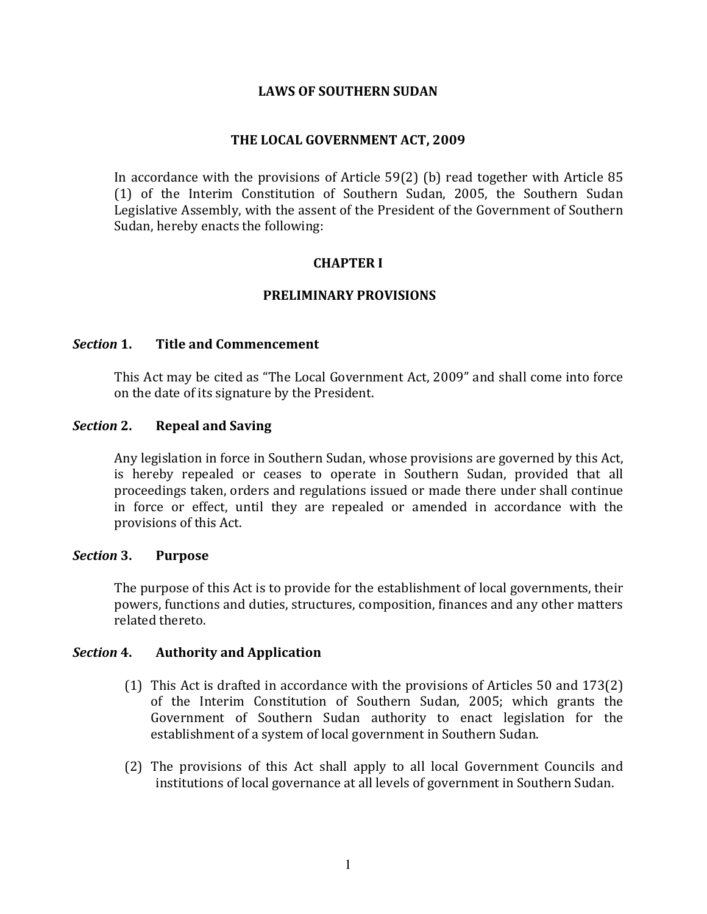### **LAWS OF SOUTHERN SUDAN**

### THE LOCAL GOVERNMENT ACT, 2009

In accordance with the provisions of Article 59(2) (b) read together with Article 85 (1) of the Interim Constitution of Southern Sudan, 2005, the Southern Sudan Legislative Assembly, with the assent of the President of the Government of Southern Sudan, hereby enacts the following:

### **CHAPTER I**

### PRELIMINARY PROVISIONS

#### Section 1. **Title and Commencement**

This Act may be cited as "The Local Government Act, 2009" and shall come into force on the date of its signature by the President.

#### Section 2. **Repeal and Saving**

Any legislation in force in Southern Sudan, whose provisions are governed by this Act, is hereby repealed or ceases to operate in Southern Sudan, provided that all proceedings taken, orders and regulations issued or made there under shall continue in force or effect, until they are repealed or amended in accordance with the provisions of this Act.

#### Section 3. **Purpose**

The purpose of this Act is to provide for the establishment of local governments, their powers, functions and duties, structures, composition, finances and any other matters related thereto.

#### Section 4. **Authority and Application**

- (1) This Act is drafted in accordance with the provisions of Articles 50 and 173(2) of the Interim Constitution of Southern Sudan, 2005; which grants the Government of Southern Sudan authority to enact legislation for the establishment of a system of local government in Southern Sudan.
- (2) The provisions of this Act shall apply to all local Government Councils and institutions of local governance at all levels of government in Southern Sudan.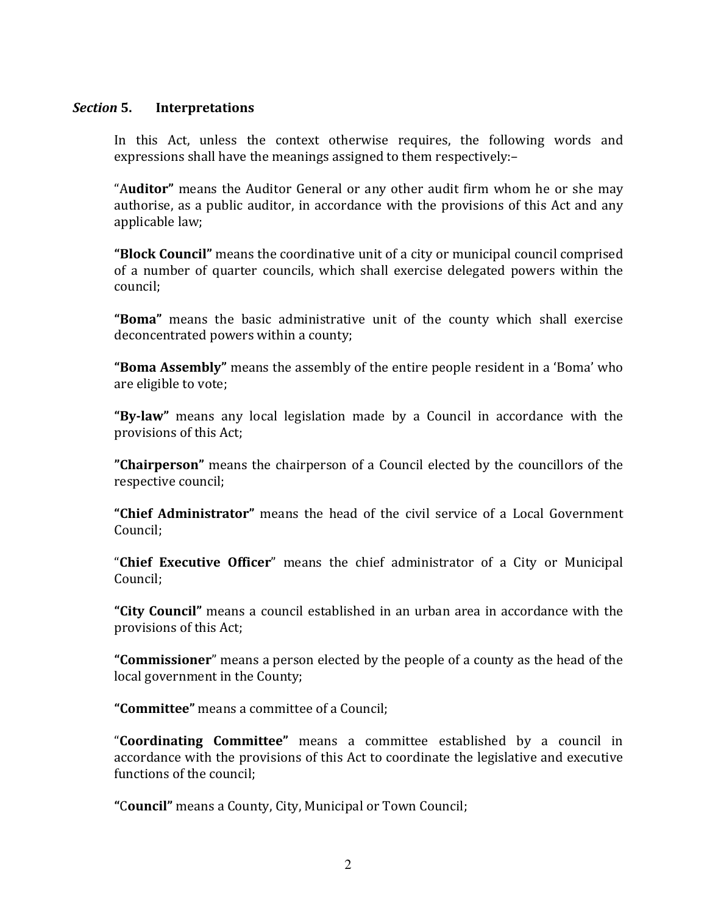#### Section 5. **Interpretations**

In this Act, unless the context otherwise requires, the following words and expressions shall have the meanings assigned to them respectively:-

"Auditor" means the Auditor General or any other audit firm whom he or she may authorise, as a public auditor, in accordance with the provisions of this Act and any applicable law;

"Block Council" means the coordinative unit of a city or municipal council comprised of a number of quarter councils, which shall exercise delegated powers within the council:

"Boma" means the basic administrative unit of the county which shall exercise deconcentrated powers within a county;

"Boma Assembly" means the assembly of the entire people resident in a 'Boma' who are eligible to vote;

"By-law" means any local legislation made by a Council in accordance with the provisions of this Act;

"Chairperson" means the chairperson of a Council elected by the councillors of the respective council:

"Chief Administrator" means the head of the civil service of a Local Government Council:

"Chief Executive Officer" means the chief administrator of a City or Municipal Council:

"City Council" means a council established in an urban area in accordance with the provisions of this Act;

"Commissioner" means a person elected by the people of a county as the head of the local government in the County;

"Committee" means a committee of a Council;

"Coordinating Committee" means a committee established by a council in accordance with the provisions of this Act to coordinate the legislative and executive functions of the council:

"Council" means a County, City, Municipal or Town Council;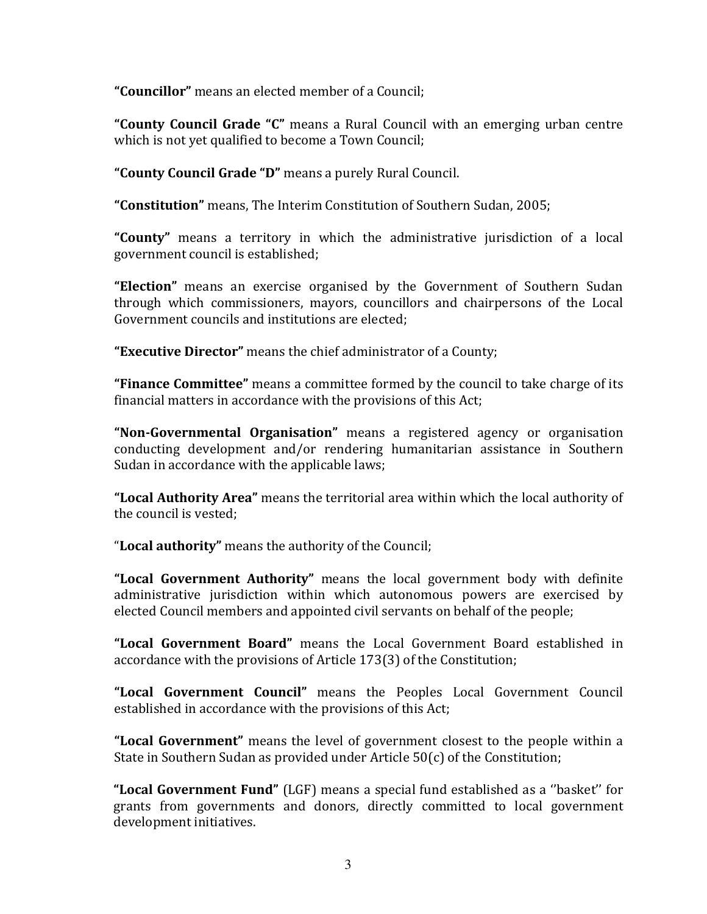"Councillor" means an elected member of a Council:

"County Council Grade "C" means a Rural Council with an emerging urban centre which is not yet qualified to become a Town Council;

"County Council Grade "D" means a purely Rural Council.

"Constitution" means, The Interim Constitution of Southern Sudan, 2005;

"County" means a territory in which the administrative jurisdiction of a local government council is established;

"Election" means an exercise organised by the Government of Southern Sudan through which commissioners, mayors, councillors and chairpersons of the Local Government councils and institutions are elected:

"Executive Director" means the chief administrator of a County;

"Finance Committee" means a committee formed by the council to take charge of its financial matters in accordance with the provisions of this Act;

"Non-Governmental Organisation" means a registered agency or organisation conducting development and/or rendering humanitarian assistance in Southern Sudan in accordance with the applicable laws;

"Local Authority Area" means the territorial area within which the local authority of the council is vested:

"Local authority" means the authority of the Council;

"Local Government Authority" means the local government body with definite administrative jurisdiction within which autonomous powers are exercised by elected Council members and appointed civil servants on behalf of the people;

"Local Government Board" means the Local Government Board established in accordance with the provisions of Article 173(3) of the Constitution;

"Local Government Council" means the Peoples Local Government Council established in accordance with the provisions of this Act;

"Local Government" means the level of government closest to the people within a State in Southern Sudan as provided under Article 50(c) of the Constitution;

"Local Government Fund" (LGF) means a special fund established as a "basket" for grants from governments and donors, directly committed to local government development initiatives.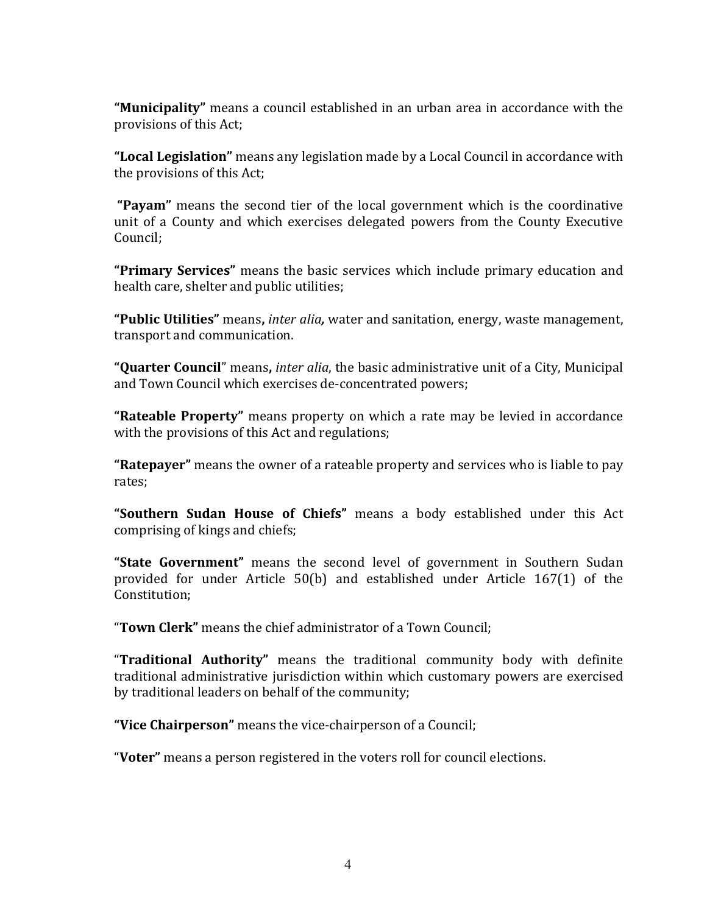"Municipality" means a council established in an urban area in accordance with the provisions of this Act;

"Local Legislation" means any legislation made by a Local Council in accordance with the provisions of this Act:

"Pavam" means the second tier of the local government which is the coordinative unit of a County and which exercises delegated powers from the County Executive Council:

"Primary Services" means the basic services which include primary education and health care, shelter and public utilities;

"Public Utilities" means, *inter alia*, water and sanitation, energy, waste management, transport and communication.

"Quarter Council" means, *inter alia*, the basic administrative unit of a City, Municipal and Town Council which exercises de-concentrated powers;

**"Rateable Property"** means property on which a rate may be levied in accordance with the provisions of this Act and regulations:

**"Ratepayer"** means the owner of a rateable property and services who is liable to pay rates:

"Southern Sudan House of Chiefs" means a body established under this Act comprising of kings and chiefs;

"State Government" means the second level of government in Southern Sudan provided for under Article 50(b) and established under Article 167(1) of the Constitution;

"Town Clerk" means the chief administrator of a Town Council;

"Traditional Authority" means the traditional community body with definite traditional administrative jurisdiction within which customary powers are exercised by traditional leaders on behalf of the community;

"Vice Chairperson" means the vice-chairperson of a Council;

"Voter" means a person registered in the voters roll for council elections.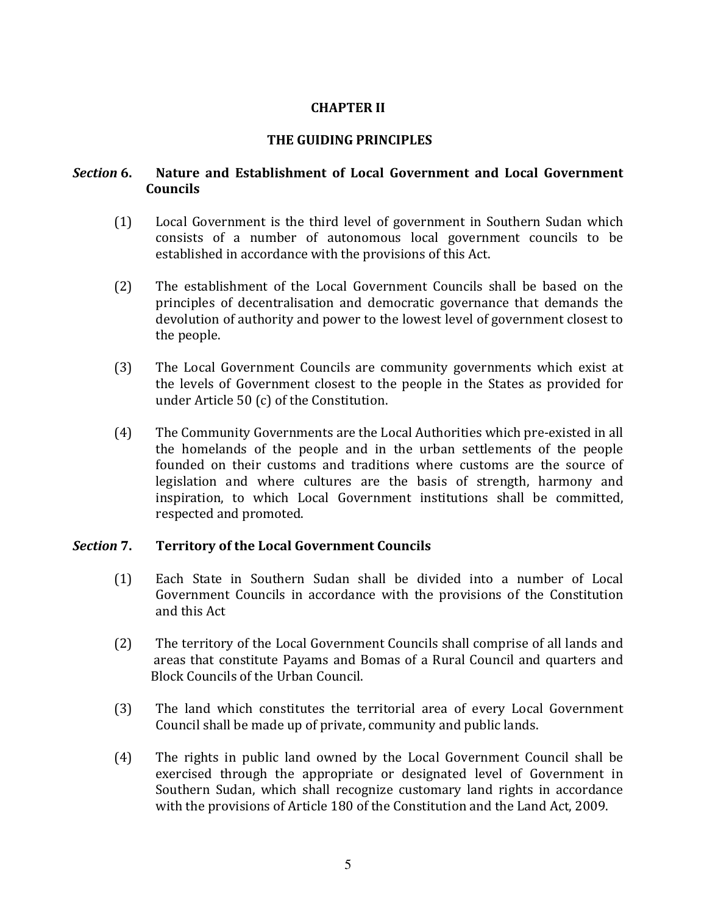# **CHAPTER II**

# THE GUIDING PRINCIPLES

### Nature and Establishment of Local Government and Local Government Section 6. **Councils**

- $(1)$ Local Government is the third level of government in Southern Sudan which consists of a number of autonomous local government councils to be established in accordance with the provisions of this Act.
- $(2)$ The establishment of the Local Government Councils shall be based on the principles of decentralisation and democratic governance that demands the devolution of authority and power to the lowest level of government closest to the people.
- $(3)$ The Local Government Councils are community governments which exist at the levels of Government closest to the people in the States as provided for under Article 50 (c) of the Constitution.
- $(4)$ The Community Governments are the Local Authorities which pre-existed in all the homelands of the people and in the urban settlements of the people founded on their customs and traditions where customs are the source of legislation and where cultures are the basis of strength, harmony and inspiration, to which Local Government institutions shall be committed, respected and promoted.

#### Section 7. **Territory of the Local Government Councils**

- Each State in Southern Sudan shall be divided into a number of Local  $(1)$ Government Councils in accordance with the provisions of the Constitution and this Act
- $(2)$ The territory of the Local Government Councils shall comprise of all lands and areas that constitute Payams and Bomas of a Rural Council and quarters and Block Councils of the Urban Council
- $(3)$ The land which constitutes the territorial area of every Local Government Council shall be made up of private, community and public lands.
- $(4)$ The rights in public land owned by the Local Government Council shall be exercised through the appropriate or designated level of Government in Southern Sudan, which shall recognize customary land rights in accordance with the provisions of Article 180 of the Constitution and the Land Act, 2009.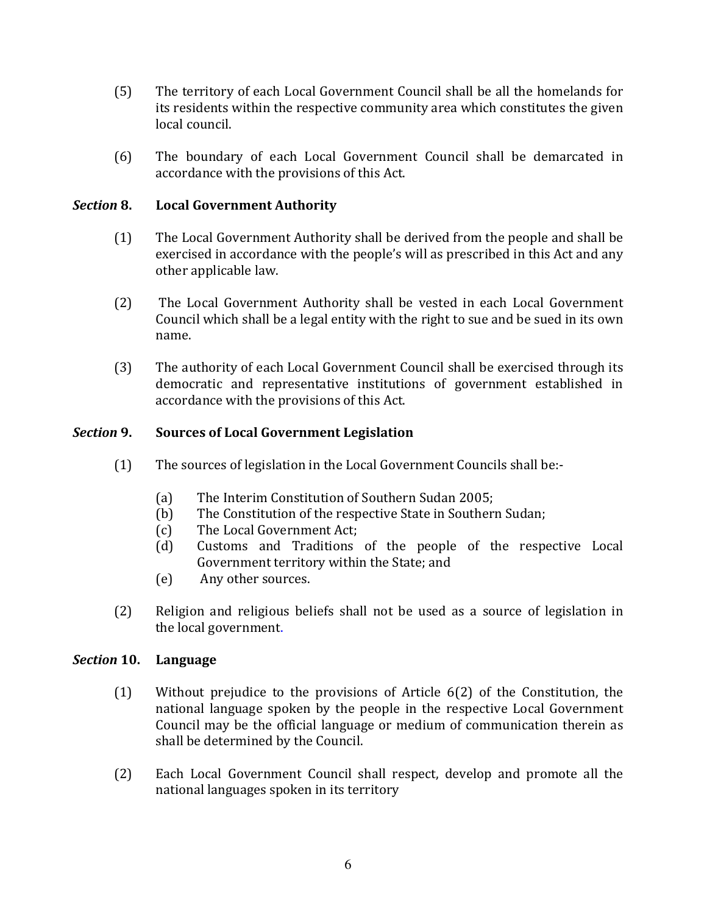- $(5)$ The territory of each Local Government Council shall be all the homelands for its residents within the respective community area which constitutes the given local council.
- $(6)$ The boundary of each Local Government Council shall be demarcated in accordance with the provisions of this Act.

### **Section 8. Local Government Authority**

- $(1)$ The Local Government Authority shall be derived from the people and shall be exercised in accordance with the people's will as prescribed in this Act and any other applicable law.
- $(2)$ The Local Government Authority shall be vested in each Local Government Council which shall be a legal entity with the right to sue and be sued in its own name.
- $(3)$ The authority of each Local Government Council shall be exercised through its democratic and representative institutions of government established in accordance with the provisions of this Act.

### Section 9. **Sources of Local Government Legislation**

- $(1)$ The sources of legislation in the Local Government Councils shall be:-
	- $(a)$ The Interim Constitution of Southern Sudan 2005;
	- The Constitution of the respective State in Southern Sudan;  $(b)$
	- The Local Government Act;  $(c)$
	- $(d)$ Customs and Traditions of the people of the respective Local Government territory within the State; and
	- Any other sources.  $(e)$
- $(2)$ Religion and religious beliefs shall not be used as a source of legislation in the local government.

#### Section 10. Language

- $(1)$ Without prejudice to the provisions of Article 6(2) of the Constitution, the national language spoken by the people in the respective Local Government Council may be the official language or medium of communication therein as shall be determined by the Council.
- $(2)$ Each Local Government Council shall respect, develop and promote all the national languages spoken in its territory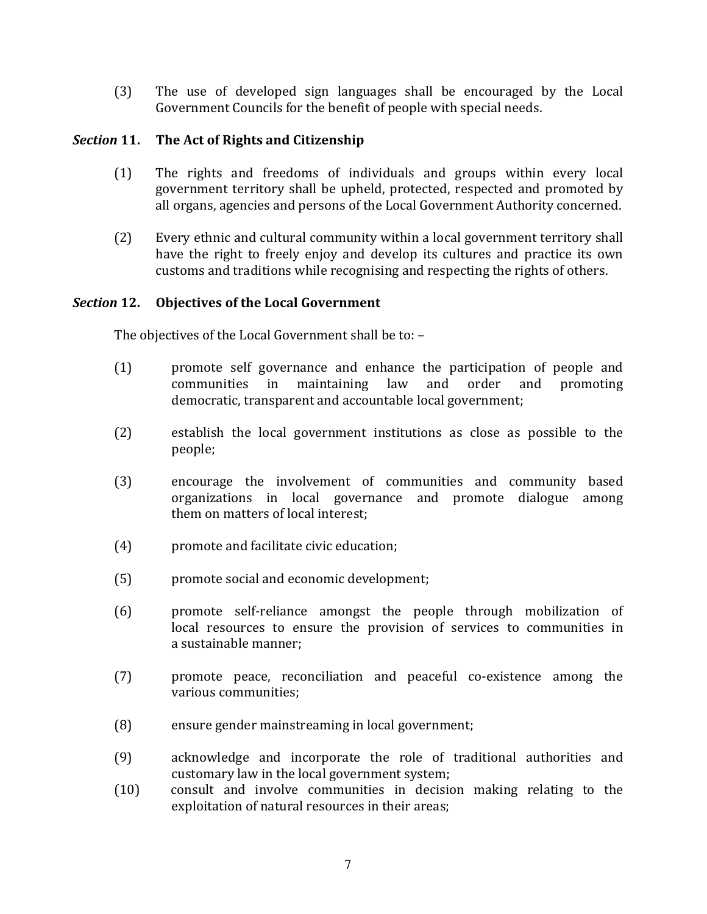$(3)$ The use of developed sign languages shall be encouraged by the Local Government Councils for the benefit of people with special needs.

### Section 11. The Act of Rights and Citizenship

- $(1)$ The rights and freedoms of individuals and groups within every local government territory shall be upheld, protected, respected and promoted by all organs, agencies and persons of the Local Government Authority concerned.
- $(2)$ Every ethnic and cultural community within a local government territory shall have the right to freely enjoy and develop its cultures and practice its own customs and traditions while recognising and respecting the rights of others.

# Section 12. Objectives of the Local Government

The objectives of the Local Government shall be to: -

- $(1)$ promote self governance and enhance the participation of people and maintaining law and order and communities in promoting democratic, transparent and accountable local government;
- $(2)$ establish the local government institutions as close as possible to the people;
- $(3)$ encourage the involvement of communities and community based organizations in local governance and promote dialogue among them on matters of local interest:
- $(4)$ promote and facilitate civic education;
- $(5)$ promote social and economic development;
- $(6)$ promote self-reliance amongst the people through mobilization of local resources to ensure the provision of services to communities in a sustainable manner:
- $(7)$ promote peace, reconciliation and peaceful co-existence among the various communities:
- $(8)$ ensure gender mainstreaming in local government;
- acknowledge and incorporate the role of traditional authorities and  $(9)$ customary law in the local government system;
- consult and involve communities in decision making relating to the  $(10)$ exploitation of natural resources in their areas;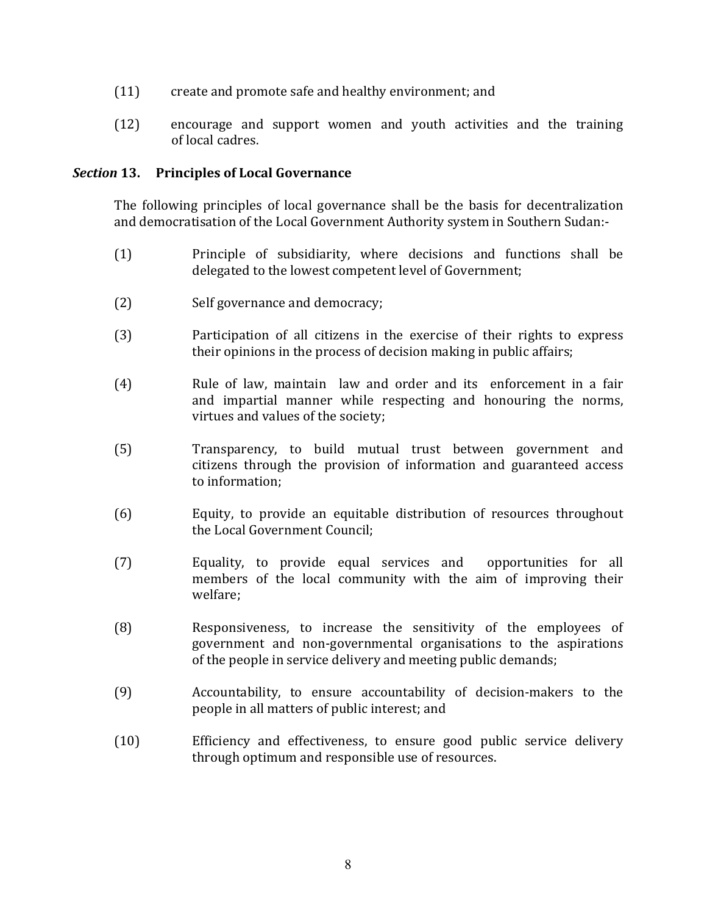- create and promote safe and healthy environment; and  $(11)$
- $(12)$ encourage and support women and youth activities and the training of local cadres.

### Section 13. Principles of Local Governance

The following principles of local governance shall be the basis for decentralization and democratisation of the Local Government Authority system in Southern Sudan:-

- $(1)$ Principle of subsidiarity, where decisions and functions shall be delegated to the lowest competent level of Government;
- $(2)$ Self governance and democracy;
- $(3)$ Participation of all citizens in the exercise of their rights to express their opinions in the process of decision making in public affairs;
- $(4)$ Rule of law, maintain law and order and its enforcement in a fair and impartial manner while respecting and honouring the norms, virtues and values of the society;
- $(5)$ Transparency, to build mutual trust between government and citizens through the provision of information and guaranteed access to information:
- Equity, to provide an equitable distribution of resources throughout  $(6)$ the Local Government Council:
- opportunities for all  $(7)$ Equality, to provide equal services and members of the local community with the aim of improving their welfare;
- $(8)$ Responsiveness, to increase the sensitivity of the employees of government and non-governmental organisations to the aspirations of the people in service delivery and meeting public demands;
- $(9)$ Accountability, to ensure accountability of decision-makers to the people in all matters of public interest; and
- $(10)$ Efficiency and effectiveness, to ensure good public service delivery through optimum and responsible use of resources.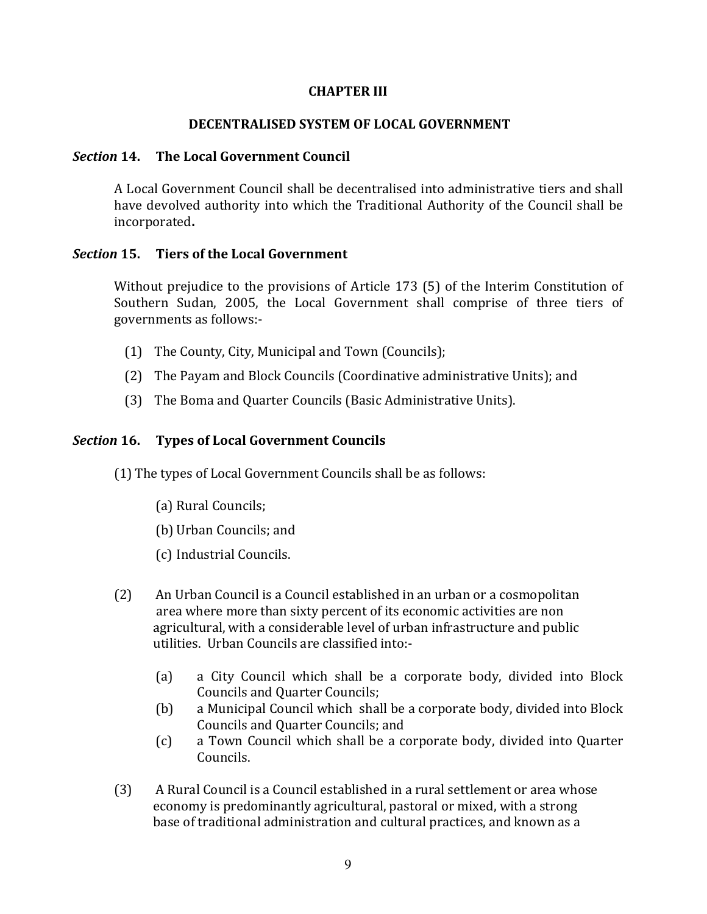### **CHAPTER III**

### DECENTRALISED SYSTEM OF LOCAL GOVERNMENT

#### Section 14. The Local Government Council

A Local Government Council shall be decentralised into administrative tiers and shall have devolved authority into which the Traditional Authority of the Council shall be incorporated.

#### Section 15. **Tiers of the Local Government**

Without prejudice to the provisions of Article 173 (5) of the Interim Constitution of Southern Sudan, 2005, the Local Government shall comprise of three tiers of governments as follows:-

- (1) The County, City, Municipal and Town (Councils);
- (2) The Payam and Block Councils (Coordinative administrative Units); and
- (3) The Boma and Quarter Councils (Basic Administrative Units).

# **Section 16. Types of Local Government Councils**

(1) The types of Local Government Councils shall be as follows:

- (a) Rural Councils;
- (b) Urban Councils; and
- (c) Industrial Councils.
- An Urban Council is a Council established in an urban or a cosmopolitan  $(2)$ area where more than sixty percent of its economic activities are non agricultural, with a considerable level of urban infrastructure and public utilities. Urban Councils are classified into:
	- a City Council which shall be a corporate body, divided into Block  $(a)$ **Councils and Quarter Councils;**
	- a Municipal Council which shall be a corporate body, divided into Block  $(b)$ Councils and Quarter Councils; and
	- $(c)$ a Town Council which shall be a corporate body, divided into Quarter Councils.
- $(3)$ A Rural Council is a Council established in a rural settlement or area whose economy is predominantly agricultural, pastoral or mixed, with a strong base of traditional administration and cultural practices, and known as a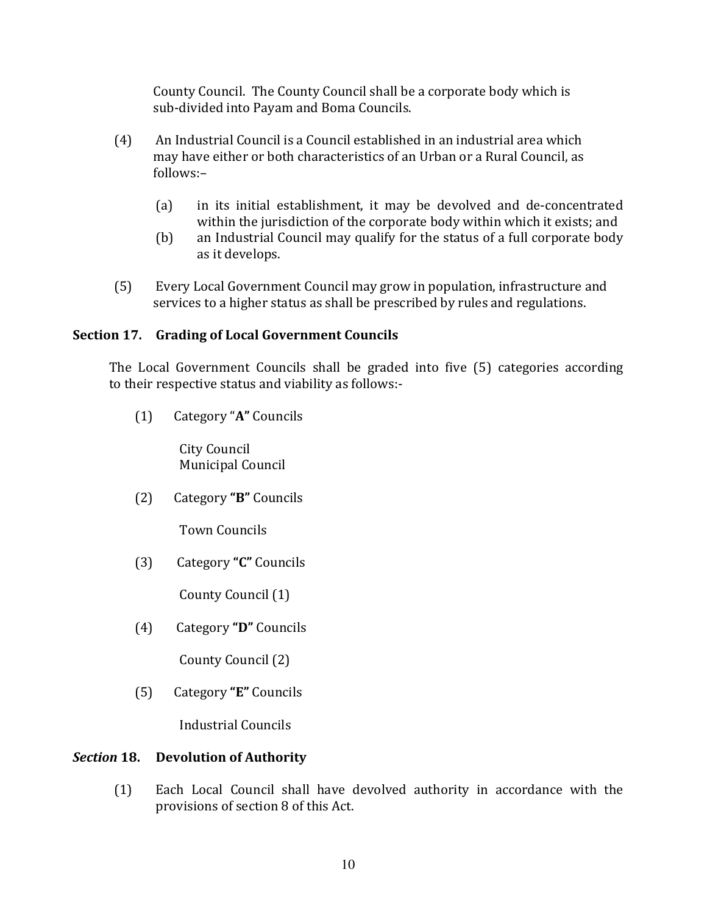County Council. The County Council shall be a corporate body which is sub-divided into Payam and Boma Councils.

- An Industrial Council is a Council established in an industrial area which  $(4)$ may have either or both characteristics of an Urban or a Rural Council, as follows:-
	- $(a)$ in its initial establishment, it may be devolved and de-concentrated within the jurisdiction of the corporate body within which it exists; and
	- an Industrial Council may qualify for the status of a full corporate body  $(b)$ as it develops.
- $(5)$ Every Local Government Council may grow in population, infrastructure and services to a higher status as shall be prescribed by rules and regulations.

# Section 17. Grading of Local Government Councils

The Local Government Councils shall be graded into five (5) categories according to their respective status and viability as follows:-

 $(1)$ Category "A" Councils

> City Council Municipal Council

 $(2)$ Category "B" Councils

**Town Councils** 

Category "C" Councils  $(3)$ 

County Council (1)

 $(4)$ Category "D" Councils

County Council (2)

Category "E" Councils  $(5)$ 

**Industrial Councils** 

# Section 18. Devolution of Authority

 $(1)$ Each Local Council shall have devolved authority in accordance with the provisions of section 8 of this Act.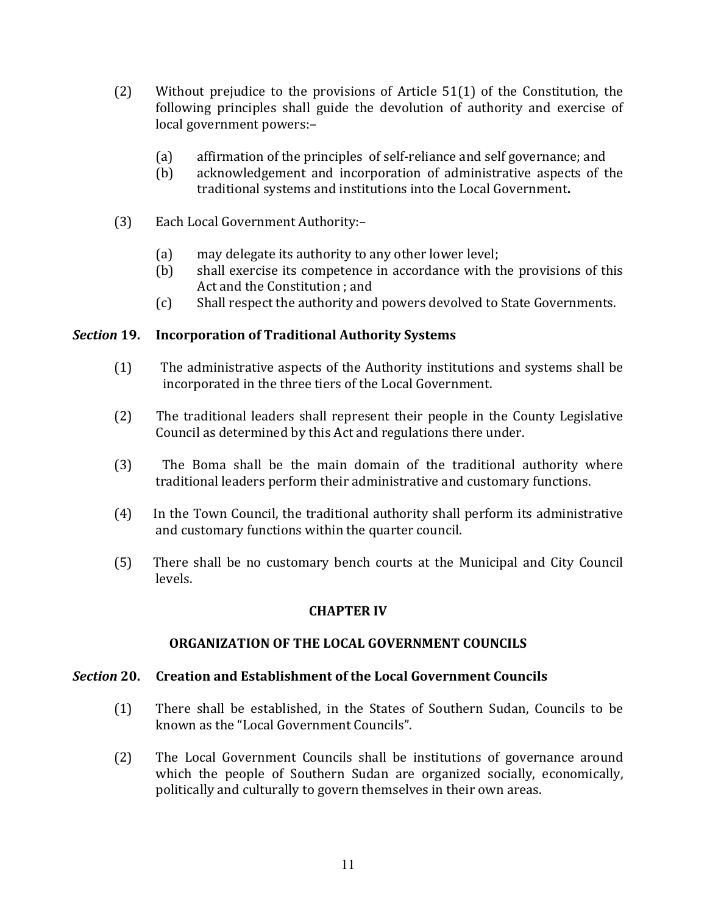- $(2)$ Without prejudice to the provisions of Article  $51(1)$  of the Constitution, the following principles shall guide the devolution of authority and exercise of local government powers:-
	- $(a)$ affirmation of the principles of self-reliance and self governance; and
	- acknowledgement and incorporation of administrative aspects of the  $(b)$ traditional systems and institutions into the Local Government.
- $(3)$ Each Local Government Authority:
	- may delegate its authority to any other lower level;  $(a)$
	- shall exercise its competence in accordance with the provisions of this  $(b)$ Act and the Constitution ; and
	- $(c)$ Shall respect the authority and powers devolved to State Governments.

#### Section 19. **Incorporation of Traditional Authority Systems**

- $(1)$ The administrative aspects of the Authority institutions and systems shall be incorporated in the three tiers of the Local Government.
- $(2)$ The traditional leaders shall represent their people in the County Legislative Council as determined by this Act and regulations there under.
- The Boma shall be the main domain of the traditional authority where  $(3)$ traditional leaders perform their administrative and customary functions.
- In the Town Council, the traditional authority shall perform its administrative  $(4)$ and customary functions within the quarter council.
- $(5)$ There shall be no customary bench courts at the Municipal and City Council levels.

# **CHAPTER IV**

### ORGANIZATION OF THE LOCAL GOVERNMENT COUNCILS

#### Section 20. **Creation and Establishment of the Local Government Councils**

- $(1)$ There shall be established, in the States of Southern Sudan, Councils to be known as the "Local Government Councils".
- $(2)$ The Local Government Councils shall be institutions of governance around which the people of Southern Sudan are organized socially, economically, politically and culturally to govern themselves in their own areas.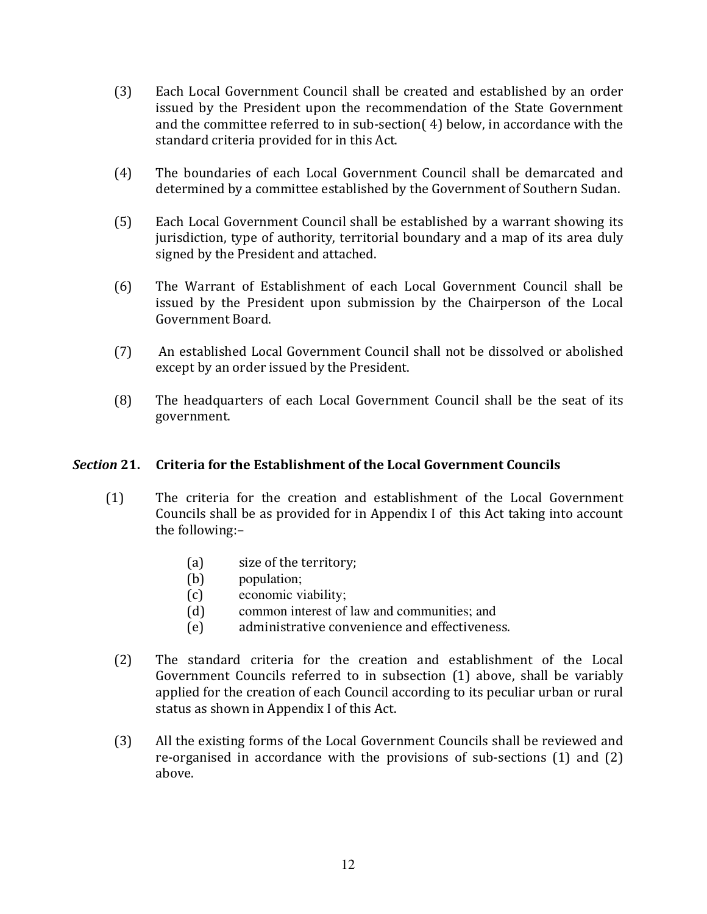- $(3)$ Each Local Government Council shall be created and established by an order issued by the President upon the recommendation of the State Government and the committee referred to in sub-section (4) below, in accordance with the standard criteria provided for in this Act.
- The boundaries of each Local Government Council shall be demarcated and  $(4)$ determined by a committee established by the Government of Southern Sudan.
- $(5)$ Each Local Government Council shall be established by a warrant showing its jurisdiction, type of authority, territorial boundary and a map of its area duly signed by the President and attached.
- $(6)$ The Warrant of Establishment of each Local Government Council shall be issued by the President upon submission by the Chairperson of the Local Government Board.
- $(7)$ An established Local Government Council shall not be dissolved or abolished except by an order issued by the President.
- The headquarters of each Local Government Council shall be the seat of its  $(8)$ government.

#### Section 21. Criteria for the Establishment of the Local Government Councils

- $(1)$ The criteria for the creation and establishment of the Local Government Councils shall be as provided for in Appendix I of this Act taking into account the following:-
	- $(a)$ size of the territory;
	- population:  $(b)$
	- economic viability;  $(c)$
	- $(d)$ common interest of law and communities; and
	- administrative convenience and effectiveness.  $(e)$
	- $(2)$ The standard criteria for the creation and establishment of the Local Government Councils referred to in subsection (1) above, shall be variably applied for the creation of each Council according to its peculiar urban or rural status as shown in Appendix I of this Act.
- All the existing forms of the Local Government Councils shall be reviewed and  $(3)$ re-organised in accordance with the provisions of sub-sections (1) and (2) above.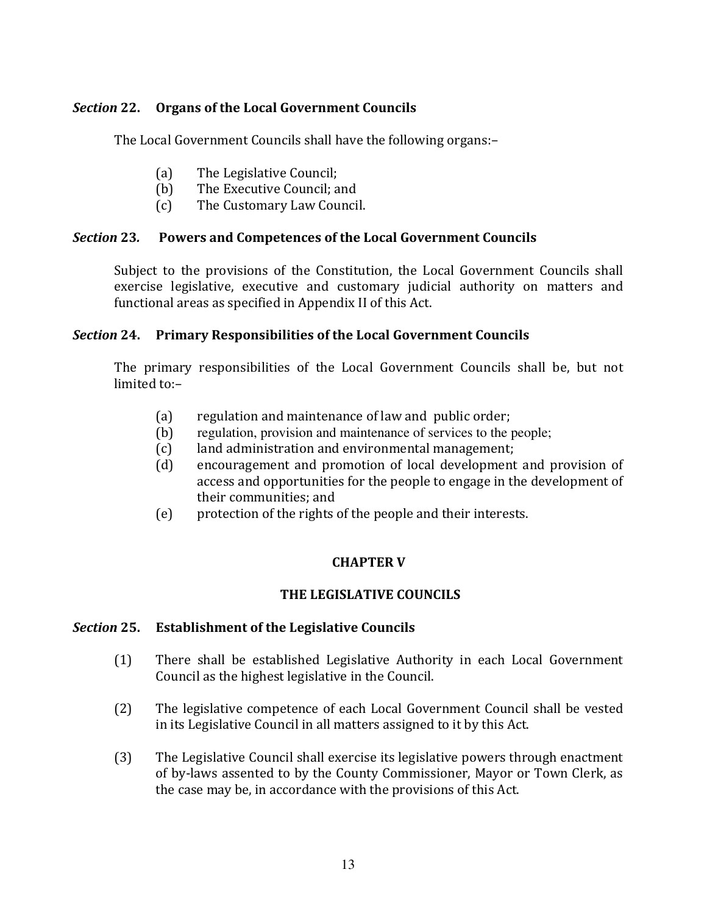### Section 22. **Organs of the Local Government Councils**

The Local Government Councils shall have the following organs:-

- $(a)$ The Legislative Council;
- The Executive Council: and  $(b)$
- $(c)$ The Customary Law Council.

#### **Section 23. Powers and Competences of the Local Government Councils**

Subject to the provisions of the Constitution, the Local Government Councils shall exercise legislative, executive and customary judicial authority on matters and functional areas as specified in Appendix II of this Act.

# Section 24. Primary Responsibilities of the Local Government Councils

The primary responsibilities of the Local Government Councils shall be, but not limited to:-

- $(a)$ regulation and maintenance of law and public order;
- regulation, provision and maintenance of services to the people;  $(b)$
- $(c)$ land administration and environmental management;
- encouragement and promotion of local development and provision of  $(d)$ access and opportunities for the people to engage in the development of their communities; and
- protection of the rights of the people and their interests.  $(e)$

# **CHAPTER V**

# THE LEGISLATIVE COUNCILS

#### Section 25. **Establishment of the Legislative Councils**

- There shall be established Legislative Authority in each Local Government  $(1)$ Council as the highest legislative in the Council.
- $(2)$ The legislative competence of each Local Government Council shall be vested in its Legislative Council in all matters assigned to it by this Act.
- $(3)$ The Legislative Council shall exercise its legislative powers through enactment of by-laws assented to by the County Commissioner, Mayor or Town Clerk, as the case may be, in accordance with the provisions of this Act.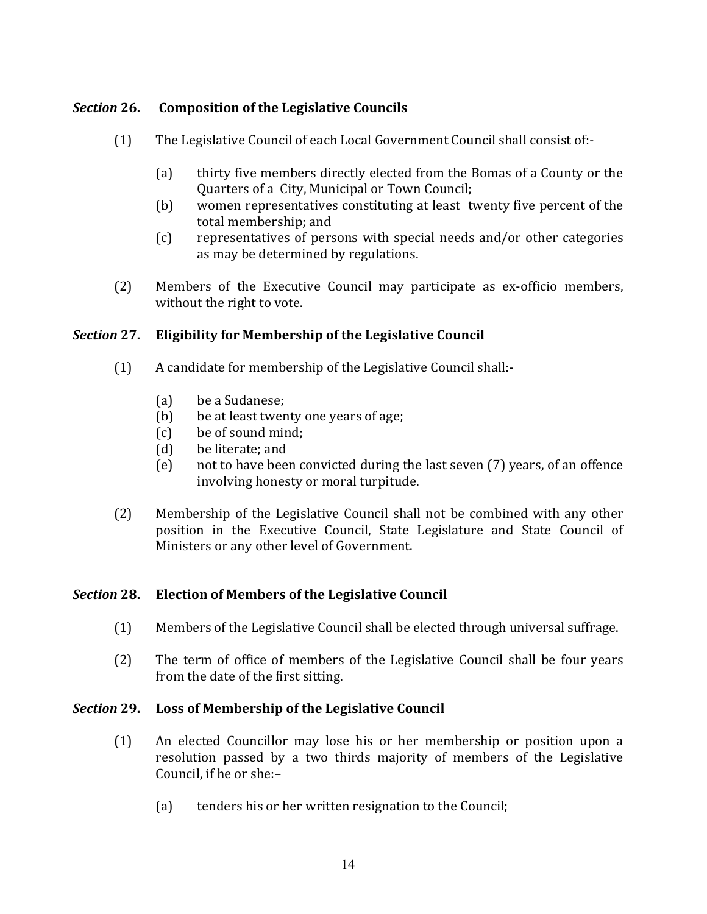### Section 26. **Composition of the Legislative Councils**

- $(1)$ The Legislative Council of each Local Government Council shall consist of:-
	- $(a)$ thirty five members directly elected from the Bomas of a County or the Quarters of a City, Municipal or Town Council;
	- women representatives constituting at least twenty five percent of the  $(b)$ total membership; and
	- $(c)$ representatives of persons with special needs and/or other categories as may be determined by regulations.
- $(2)$ Members of the Executive Council may participate as ex-officio members, without the right to vote.

### Section 27. **Eligibility for Membership of the Legislative Council**

- $(1)$ A candidate for membership of the Legislative Council shall:
	- be a Sudanese:  $(a)$
	- $(b)$ be at least twenty one years of age;
	- be of sound mind;  $(c)$
	- $(d)$ be literate: and
	- not to have been convicted during the last seven (7) years, of an offence  $(e)$ involving honesty or moral turpitude.
- Membership of the Legislative Council shall not be combined with any other  $(2)$ position in the Executive Council, State Legislature and State Council of Ministers or any other level of Government.

#### Section 28. **Election of Members of the Legislative Council**

- $(1)$ Members of the Legislative Council shall be elected through universal suffrage.
- $(2)$ The term of office of members of the Legislative Council shall be four years from the date of the first sitting.

#### Section 29. Loss of Membership of the Legislative Council

- $(1)$ An elected Councillor may lose his or her membership or position upon a resolution passed by a two thirds majority of members of the Legislative Council, if he or she:-
	- $(a)$ tenders his or her written resignation to the Council;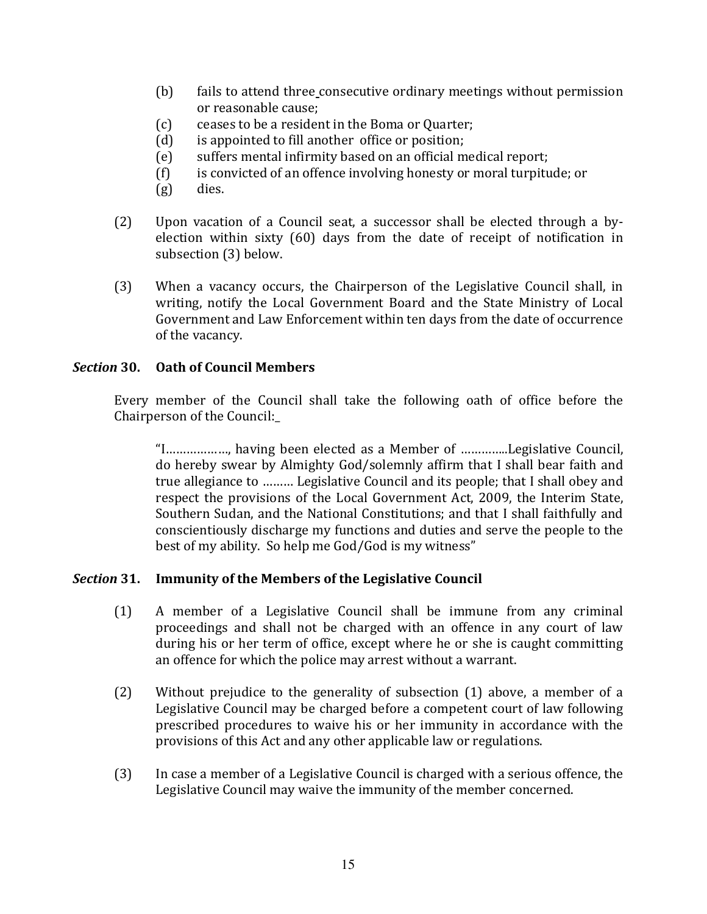- $(b)$ fails to attend three consecutive ordinary meetings without permission or reasonable cause;
- ceases to be a resident in the Boma or Quarter;  $(c)$
- is appointed to fill another office or position;  $(d)$
- suffers mental infirmity based on an official medical report;  $(e)$
- is convicted of an offence involving honesty or moral turpitude; or  $(f)$
- dies.  $(g)$
- $(2)$ Upon vacation of a Council seat, a successor shall be elected through a byelection within sixty (60) days from the date of receipt of notification in subsection (3) below.
- $(3)$ When a vacancy occurs, the Chairperson of the Legislative Council shall, in writing, notify the Local Government Board and the State Ministry of Local Government and Law Enforcement within ten days from the date of occurrence of the vacancy.

### **Section 30. Oath of Council Members**

Every member of the Council shall take the following oath of office before the Chairperson of the Council:

"I.................., having been elected as a Member of ..............Legislative Council, do hereby swear by Almighty God/solemnly affirm that I shall bear faith and true allegiance to ......... Legislative Council and its people; that I shall obey and respect the provisions of the Local Government Act, 2009, the Interim State, Southern Sudan, and the National Constitutions; and that I shall faithfully and conscientiously discharge my functions and duties and serve the people to the best of my ability. So help me God/God is my witness"

#### Section 31. **Immunity of the Members of the Legislative Council**

- $(1)$ A member of a Legislative Council shall be immune from any criminal proceedings and shall not be charged with an offence in any court of law during his or her term of office, except where he or she is caught committing an offence for which the police may arrest without a warrant.
- $(2)$ Without prejudice to the generality of subsection (1) above, a member of a Legislative Council may be charged before a competent court of law following prescribed procedures to waive his or her immunity in accordance with the provisions of this Act and any other applicable law or regulations.
- In case a member of a Legislative Council is charged with a serious offence, the  $(3)$ Legislative Council may waive the immunity of the member concerned.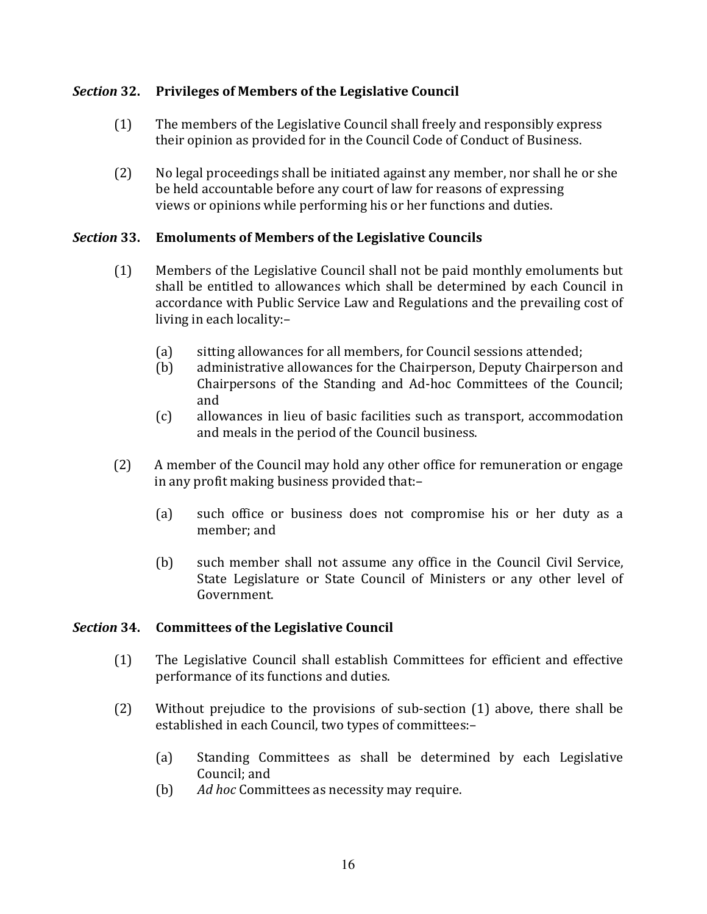### **Section 32. Privileges of Members of the Legislative Council**

- $(1)$ The members of the Legislative Council shall freely and responsibly express their opinion as provided for in the Council Code of Conduct of Business.
- $(2)$ No legal proceedings shall be initiated against any member, nor shall he or she be held accountable before any court of law for reasons of expressing views or opinions while performing his or her functions and duties.

#### **Section 33. Emoluments of Members of the Legislative Councils**

- $(1)$ Members of the Legislative Council shall not be paid monthly emoluments but shall be entitled to allowances which shall be determined by each Council in accordance with Public Service Law and Regulations and the prevailing cost of living in each locality:
	- sitting allowances for all members, for Council sessions attended;  $(a)$
	- $(b)$ administrative allowances for the Chairperson, Deputy Chairperson and Chairpersons of the Standing and Ad-hoc Committees of the Council; and
	- $(c)$ allowances in lieu of basic facilities such as transport, accommodation and meals in the period of the Council business.
- A member of the Council may hold any other office for remuneration or engage  $(2)$ in any profit making business provided that:
	- such office or business does not compromise his or her duty as a  $(a)$ member; and
	- $(b)$ such member shall not assume any office in the Council Civil Service, State Legislature or State Council of Ministers or any other level of Government.

#### Section 34. **Committees of the Legislative Council**

- The Legislative Council shall establish Committees for efficient and effective  $(1)$ performance of its functions and duties.
- $(2)$ Without prejudice to the provisions of sub-section (1) above, there shall be established in each Council, two types of committees:-
	- Standing Committees as shall be determined by each Legislative  $(a)$ Council: and
	- $(b)$ Ad hoc Committees as necessity may require.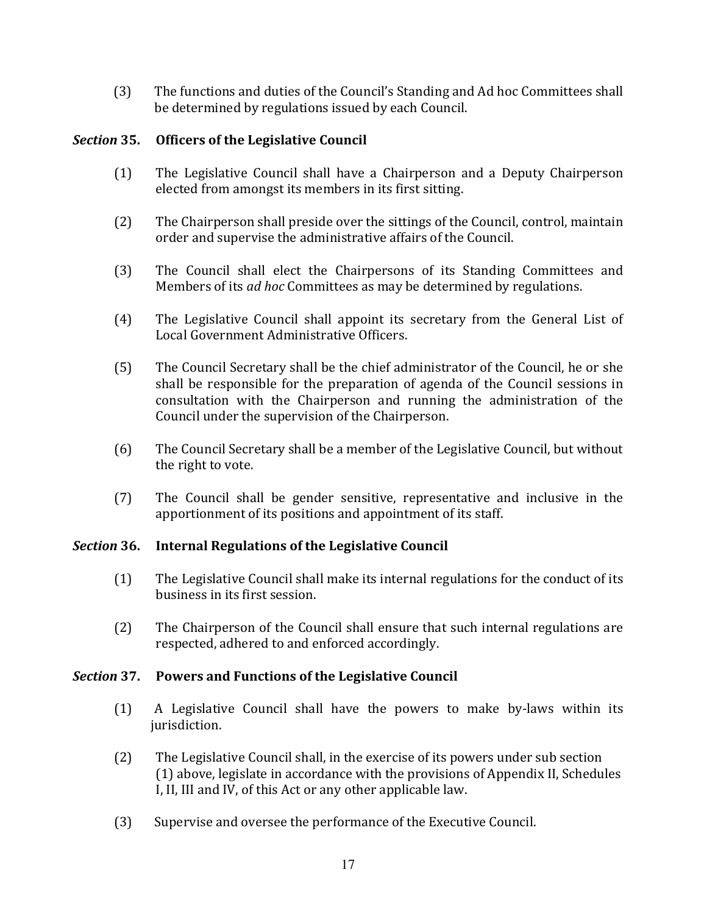$(3)$ The functions and duties of the Council's Standing and Ad hoc Committees shall be determined by regulations issued by each Council.

### Section 35. **Officers of the Legislative Council**

- $(1)$ The Legislative Council shall have a Chairperson and a Deputy Chairperson elected from amongst its members in its first sitting.
- $(2)$ The Chairperson shall preside over the sittings of the Council, control, maintain order and supervise the administrative affairs of the Council.
- The Council shall elect the Chairpersons of its Standing Committees and  $(3)$ Members of its *ad hoc* Committees as may be determined by regulations.
- The Legislative Council shall appoint its secretary from the General List of  $(4)$ Local Government Administrative Officers.
- $(5)$ The Council Secretary shall be the chief administrator of the Council, he or she shall be responsible for the preparation of agenda of the Council sessions in consultation with the Chairperson and running the administration of the Council under the supervision of the Chairperson.
- $(6)$ The Council Secretary shall be a member of the Legislative Council, but without the right to vote.
- $(7)$ The Council shall be gender sensitive, representative and inclusive in the apportionment of its positions and appointment of its staff.

#### Section 36. **Internal Regulations of the Legislative Council**

- $(1)$ The Legislative Council shall make its internal regulations for the conduct of its business in its first session.
- $(2)$ The Chairperson of the Council shall ensure that such internal regulations are respected, adhered to and enforced accordingly.

### Section 37. **Powers and Functions of the Legislative Council**

- $(1)$ A Legislative Council shall have the powers to make by-laws within its jurisdiction.
- $(2)$ The Legislative Council shall, in the exercise of its powers under sub section (1) above, legislate in accordance with the provisions of Appendix II, Schedules I, II, III and IV, of this Act or any other applicable law.
- $(3)$ Supervise and oversee the performance of the Executive Council.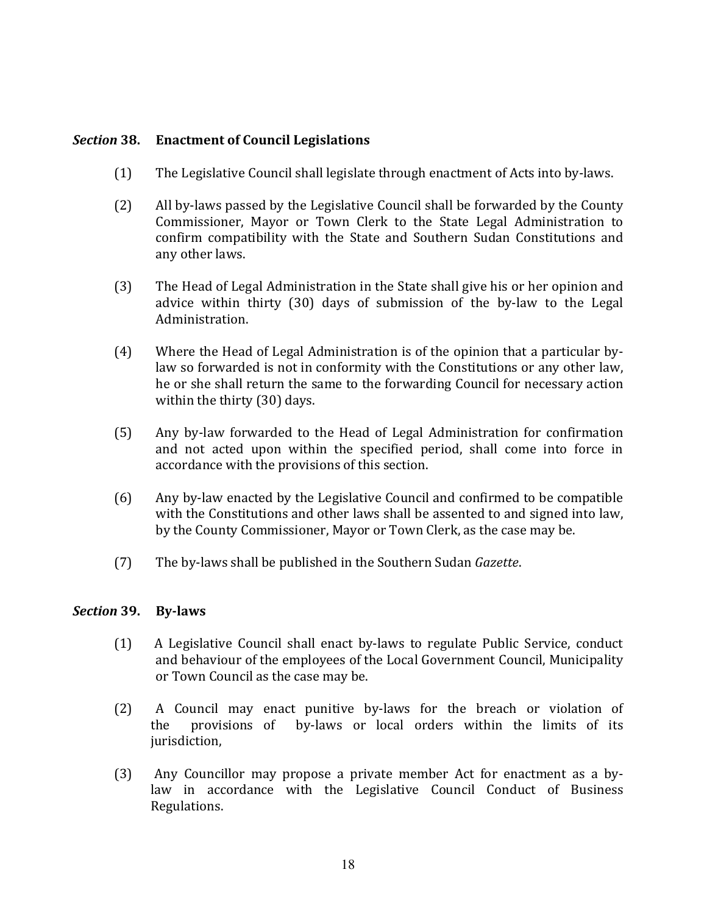#### Section 38. **Enactment of Council Legislations**

- $(1)$ The Legislative Council shall legislate through enactment of Acts into by-laws.
- $(2)$ All by-laws passed by the Legislative Council shall be forwarded by the County Commissioner, Mayor or Town Clerk to the State Legal Administration to confirm compatibility with the State and Southern Sudan Constitutions and any other laws.
- $(3)$ The Head of Legal Administration in the State shall give his or her opinion and advice within thirty (30) days of submission of the by-law to the Legal Administration.
- $(4)$ Where the Head of Legal Administration is of the opinion that a particular bylaw so forwarded is not in conformity with the Constitutions or any other law, he or she shall return the same to the forwarding Council for necessary action within the thirty (30) days.
- $(5)$ Any by-law forwarded to the Head of Legal Administration for confirmation and not acted upon within the specified period, shall come into force in accordance with the provisions of this section.
- $(6)$ Any by-law enacted by the Legislative Council and confirmed to be compatible with the Constitutions and other laws shall be assented to and signed into law, by the County Commissioner, Mayor or Town Clerk, as the case may be.
- $(7)$ The by-laws shall be published in the Southern Sudan Gazette.

#### Section 39. **By-laws**

- $(1)$ A Legislative Council shall enact by-laws to regulate Public Service, conduct and behaviour of the employees of the Local Government Council, Municipality or Town Council as the case may be.
- $(2)$ A Council may enact punitive by-laws for the breach or violation of by-laws or local orders within the limits of its the provisions of jurisdiction,
- Any Councillor may propose a private member Act for enactment as a by- $(3)$ law in accordance with the Legislative Council Conduct of Business Regulations.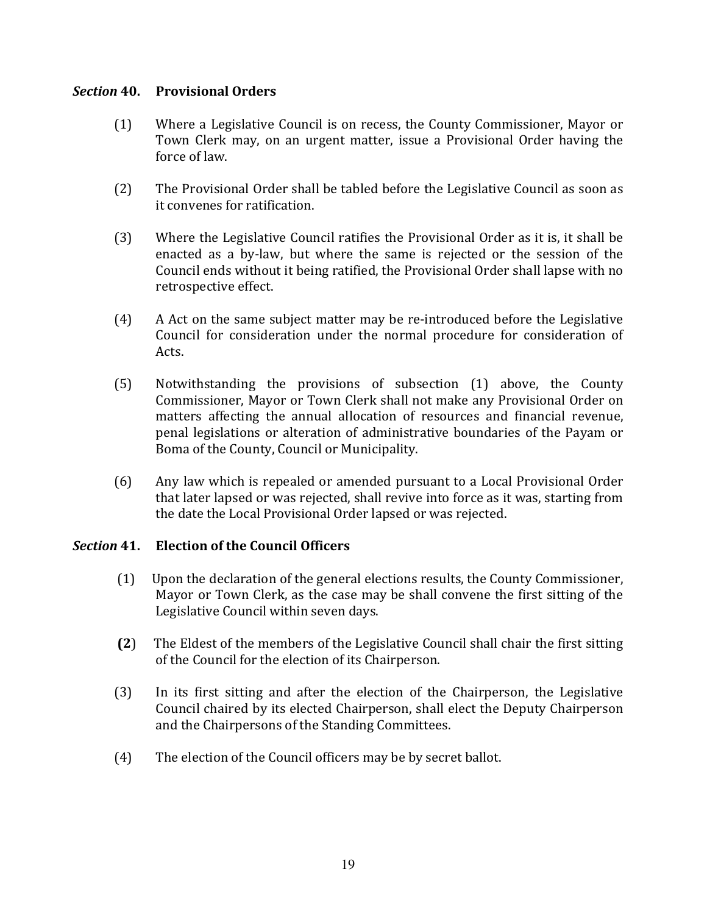### **Section 40.** Provisional Orders

- $(1)$ Where a Legislative Council is on recess, the County Commissioner, Mayor or Town Clerk may, on an urgent matter, issue a Provisional Order having the force of law.
- $(2)$ The Provisional Order shall be tabled before the Legislative Council as soon as it convenes for ratification.
- $(3)$ Where the Legislative Council ratifies the Provisional Order as it is, it shall be enacted as a by-law, but where the same is rejected or the session of the Council ends without it being ratified, the Provisional Order shall lapse with no retrospective effect.
- $(4)$ A Act on the same subject matter may be re-introduced before the Legislative Council for consideration under the normal procedure for consideration of Acts.
- Notwithstanding the provisions of subsection (1) above, the County  $(5)$ Commissioner, Mayor or Town Clerk shall not make any Provisional Order on matters affecting the annual allocation of resources and financial revenue, penal legislations or alteration of administrative boundaries of the Payam or Boma of the County, Council or Municipality.
- $(6)$ Any law which is repealed or amended pursuant to a Local Provisional Order that later lapsed or was rejected, shall revive into force as it was, starting from the date the Local Provisional Order lapsed or was rejected.

#### Section 41. **Election of the Council Officers**

- $(1)$ Upon the declaration of the general elections results, the County Commissioner, Mayor or Town Clerk, as the case may be shall convene the first sitting of the Legislative Council within seven days.
- $(2)$ The Eldest of the members of the Legislative Council shall chair the first sitting of the Council for the election of its Chairperson.
- $(3)$ In its first sitting and after the election of the Chairperson, the Legislative Council chaired by its elected Chairperson, shall elect the Deputy Chairperson and the Chairpersons of the Standing Committees.
- $(4)$ The election of the Council officers may be by secret ballot.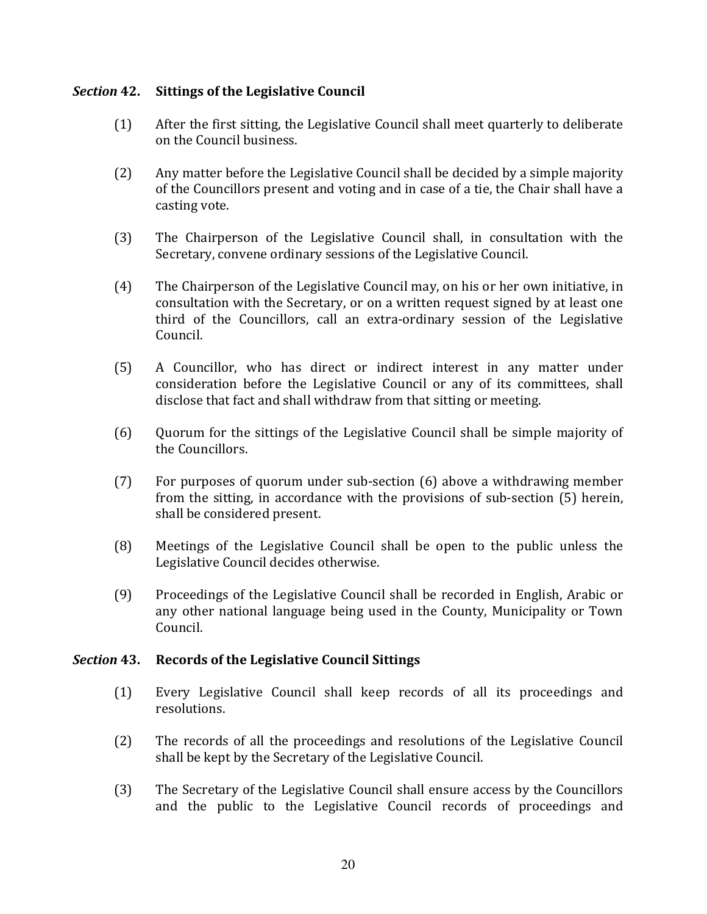#### Section 42. **Sittings of the Legislative Council**

- $(1)$ After the first sitting, the Legislative Council shall meet quarterly to deliberate on the Council business.
- Any matter before the Legislative Council shall be decided by a simple majority  $(2)$ of the Councillors present and voting and in case of a tie, the Chair shall have a casting vote.
- $(3)$ The Chairperson of the Legislative Council shall, in consultation with the Secretary, convene ordinary sessions of the Legislative Council.
- $(4)$ The Chairperson of the Legislative Council may, on his or her own initiative, in consultation with the Secretary, or on a written request signed by at least one third of the Councillors, call an extra-ordinary session of the Legislative Council.
- $(5)$ A Councillor, who has direct or indirect interest in any matter under consideration before the Legislative Council or any of its committees, shall disclose that fact and shall withdraw from that sitting or meeting.
- $(6)$ Quorum for the sittings of the Legislative Council shall be simple majority of the Councillors.
- For purposes of quorum under sub-section (6) above a withdrawing member  $(7)$ from the sitting, in accordance with the provisions of sub-section (5) herein, shall be considered present.
- $(8)$ Meetings of the Legislative Council shall be open to the public unless the Legislative Council decides otherwise.
- $(9)$ Proceedings of the Legislative Council shall be recorded in English, Arabic or any other national language being used in the County, Municipality or Town Council.

#### Section 43. **Records of the Legislative Council Sittings**

- Every Legislative Council shall keep records of all its proceedings and  $(1)$ resolutions.
- $(2)$ The records of all the proceedings and resolutions of the Legislative Council shall be kept by the Secretary of the Legislative Council.
- $(3)$ The Secretary of the Legislative Council shall ensure access by the Councillors and the public to the Legislative Council records of proceedings and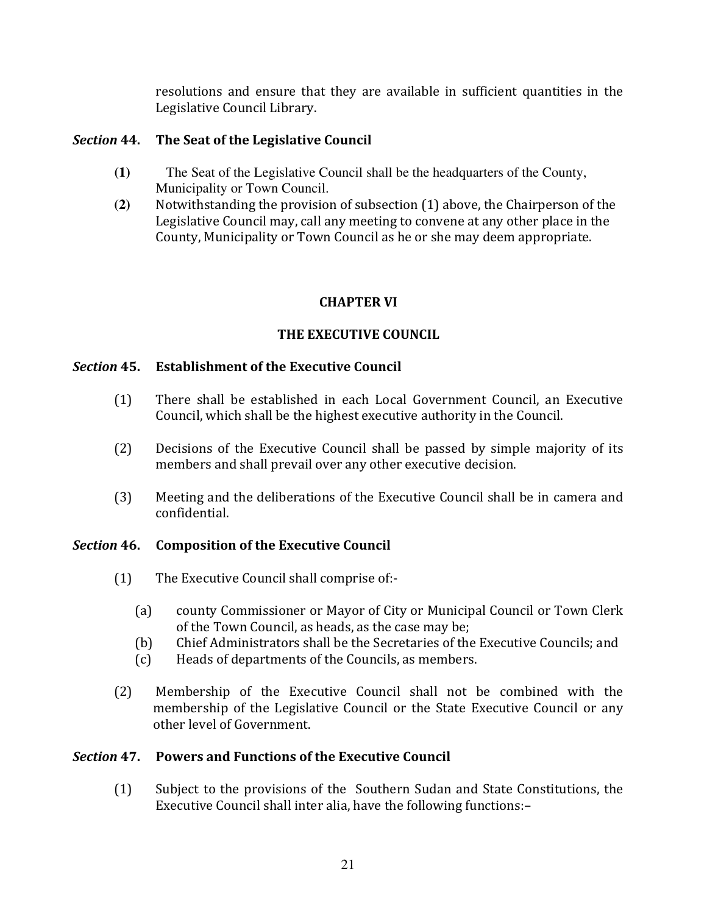resolutions and ensure that they are available in sufficient quantities in the Legislative Council Library.

### Section 44. The Seat of the Legislative Council

- $(1)$ The Seat of the Legislative Council shall be the headquarters of the County, Municipality or Town Council.
- Notwithstanding the provision of subsection (1) above, the Chairperson of the  $(2)$ Legislative Council may, call any meeting to convene at any other place in the County, Municipality or Town Council as he or she may deem appropriate.

# **CHAPTER VI**

# THE EXECUTIVE COUNCIL

### Section 45. **Establishment of the Executive Council**

- There shall be established in each Local Government Council, an Executive  $(1)$ Council, which shall be the highest executive authority in the Council.
- $(2)$ Decisions of the Executive Council shall be passed by simple majority of its members and shall prevail over any other executive decision.
- $(3)$ Meeting and the deliberations of the Executive Council shall be in camera and confidential.

#### Section 46. **Composition of the Executive Council**

- $(1)$ The Executive Council shall comprise of:-
	- $(a)$ county Commissioner or Mayor of City or Municipal Council or Town Clerk of the Town Council, as heads, as the case may be;
	- Chief Administrators shall be the Secretaries of the Executive Councils; and  $(b)$
	- $(c)$ Heads of departments of the Councils, as members.
- Membership of the Executive Council shall not be combined with the  $(2)$ membership of the Legislative Council or the State Executive Council or any other level of Government.

# Section 47. Powers and Functions of the Executive Council

Subject to the provisions of the Southern Sudan and State Constitutions, the  $(1)$ Executive Council shall inter alia, have the following functions:-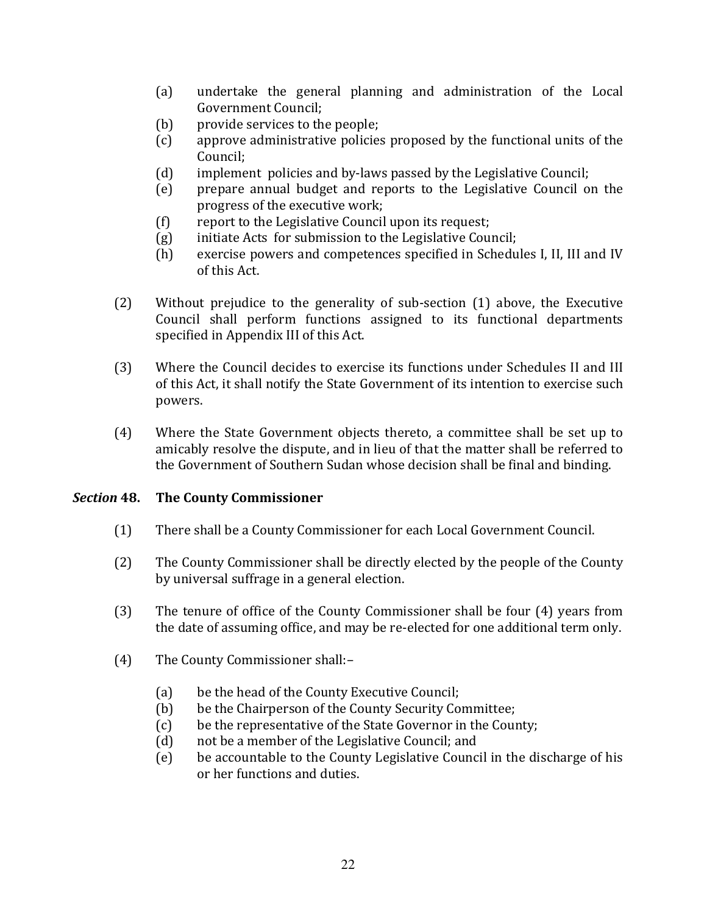- undertake the general planning and administration of the Local  $(a)$ **Government Council;**
- provide services to the people;  $(b)$
- approve administrative policies proposed by the functional units of the  $(c)$ Council;
- implement policies and by-laws passed by the Legislative Council;  $(d)$
- prepare annual budget and reports to the Legislative Council on the  $(e)$ progress of the executive work;
- $(f)$ report to the Legislative Council upon its request;
- initiate Acts for submission to the Legislative Council;  $(g)$
- exercise powers and competences specified in Schedules I, II, III and IV  $(h)$ of this Act.
- $(2)$ Without prejudice to the generality of sub-section (1) above, the Executive Council shall perform functions assigned to its functional departments specified in Appendix III of this Act.
- $(3)$ Where the Council decides to exercise its functions under Schedules II and III of this Act, it shall notify the State Government of its intention to exercise such powers.
- Where the State Government objects thereto, a committee shall be set up to  $(4)$ amicably resolve the dispute, and in lieu of that the matter shall be referred to the Government of Southern Sudan whose decision shall be final and binding.

#### **Section 48. The County Commissioner**

- $(1)$ There shall be a County Commissioner for each Local Government Council.
- $(2)$ The County Commissioner shall be directly elected by the people of the County by universal suffrage in a general election.
- $(3)$ The tenure of office of the County Commissioner shall be four (4) years from the date of assuming office, and may be re-elected for one additional term only.
- The County Commissioner shall:- $(4)$ 
	- $(a)$ be the head of the County Executive Council;
	- be the Chairperson of the County Security Committee;  $(b)$
	- be the representative of the State Governor in the County;  $(c)$
	- $(d)$ not be a member of the Legislative Council; and
	- be accountable to the County Legislative Council in the discharge of his  $(e)$ or her functions and duties.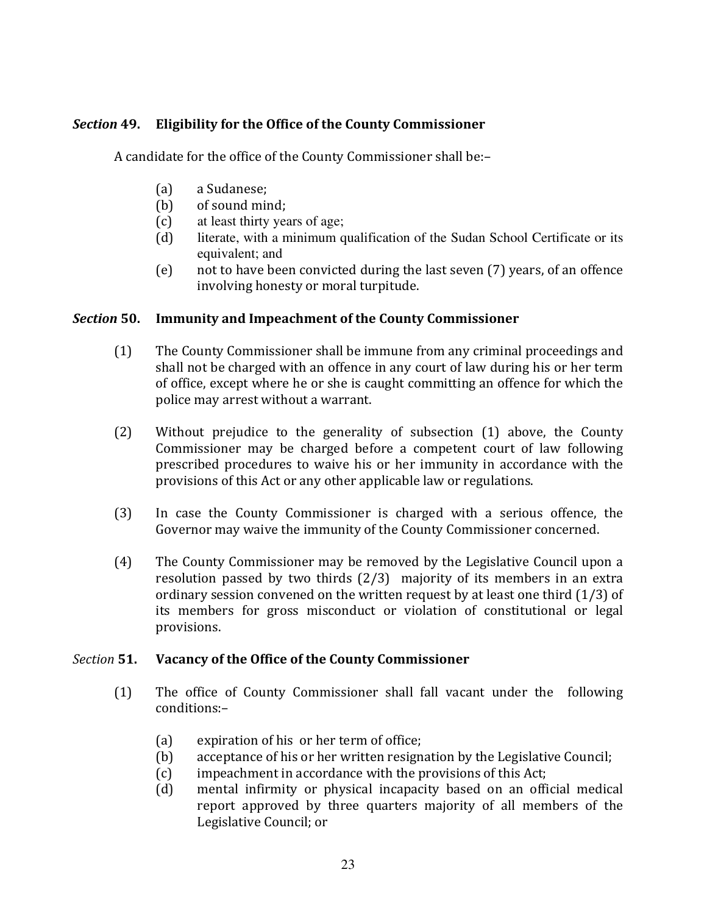### Section 49. **Eligibility for the Office of the County Commissioner**

A candidate for the office of the County Commissioner shall be:-

- $(a)$ a Sudanese:
- $(b)$ of sound mind:
- $(c)$ at least thirty years of age;
- literate, with a minimum qualification of the Sudan School Certificate or its  $(d)$ equivalent; and
- $(e)$ not to have been convicted during the last seven (7) years, of an offence involving honesty or moral turpitude.

#### Section 50. **Immunity and Impeachment of the County Commissioner**

- $(1)$ The County Commissioner shall be immune from any criminal proceedings and shall not be charged with an offence in any court of law during his or her term of office, except where he or she is caught committing an offence for which the police may arrest without a warrant.
- Without prejudice to the generality of subsection (1) above, the County  $(2)$ Commissioner may be charged before a competent court of law following prescribed procedures to waive his or her immunity in accordance with the provisions of this Act or any other applicable law or regulations.
- $(3)$ In case the County Commissioner is charged with a serious offence, the Governor may waive the immunity of the County Commissioner concerned.
- The County Commissioner may be removed by the Legislative Council upon a  $(4)$ resolution passed by two thirds (2/3) majority of its members in an extra ordinary session convened on the written request by at least one third  $(1/3)$  of its members for gross misconduct or violation of constitutional or legal provisions.

#### Section 51. Vacancy of the Office of the County Commissioner

- $(1)$ The office of County Commissioner shall fall vacant under the following conditions:
	- expiration of his or her term of office;  $(a)$
	- acceptance of his or her written resignation by the Legislative Council:  $(b)$
	- $(c)$ impeachment in accordance with the provisions of this Act;
	- mental infirmity or physical incapacity based on an official medical  $(d)$ report approved by three quarters majority of all members of the Legislative Council; or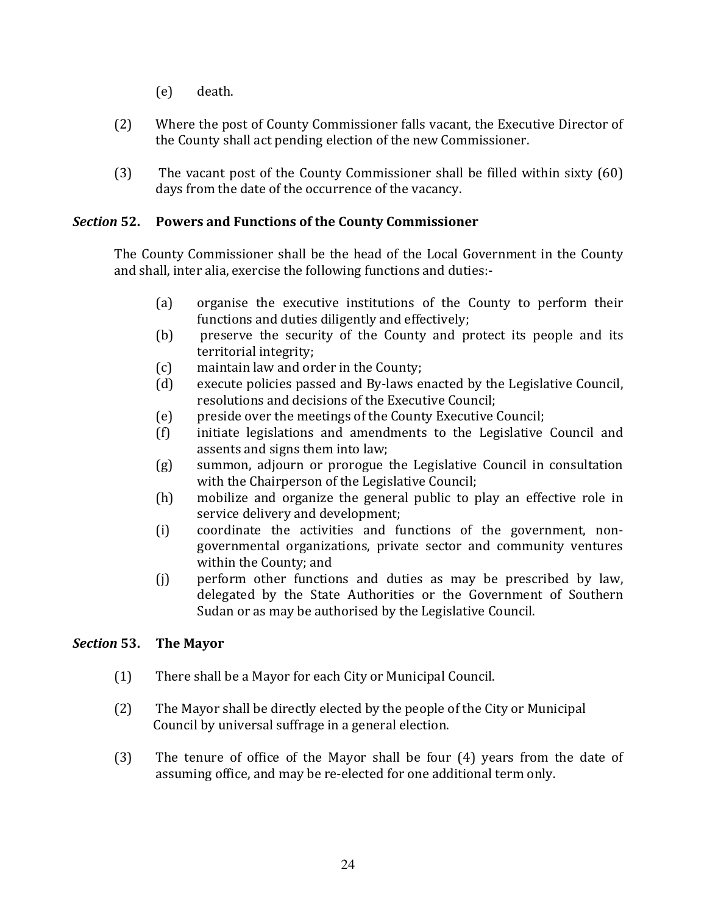- $(e)$ death.
- Where the post of County Commissioner falls vacant, the Executive Director of  $(2)$ the County shall act pending election of the new Commissioner.
- $(3)$ The vacant post of the County Commissioner shall be filled within sixty (60) days from the date of the occurrence of the vacancy.

### Section 52. **Powers and Functions of the County Commissioner**

The County Commissioner shall be the head of the Local Government in the County and shall, inter alia, exercise the following functions and duties:-

- $(a)$ organise the executive institutions of the County to perform their functions and duties diligently and effectively;
- (b) preserve the security of the County and protect its people and its territorial integrity;
- $(c)$ maintain law and order in the County;
- execute policies passed and By-laws enacted by the Legislative Council,  $(d)$ resolutions and decisions of the Executive Council;
- $(e)$ preside over the meetings of the County Executive Council;
- initiate legislations and amendments to the Legislative Council and  $(f)$ assents and signs them into law;
- summon, adjourn or prorogue the Legislative Council in consultation  $(g)$ with the Chairperson of the Legislative Council;
- mobilize and organize the general public to play an effective role in  $(h)$ service delivery and development;
- coordinate the activities and functions of the government, non- $(i)$ governmental organizations, private sector and community ventures within the County; and
- perform other functions and duties as may be prescribed by law,  $(i)$ delegated by the State Authorities or the Government of Southern Sudan or as may be authorised by the Legislative Council.

### Section 53. **The Mayor**

- $(1)$ There shall be a Mayor for each City or Municipal Council.
- $(2)$ The Mayor shall be directly elected by the people of the City or Municipal Council by universal suffrage in a general election.
- $(3)$ The tenure of office of the Mayor shall be four (4) years from the date of assuming office, and may be re-elected for one additional term only.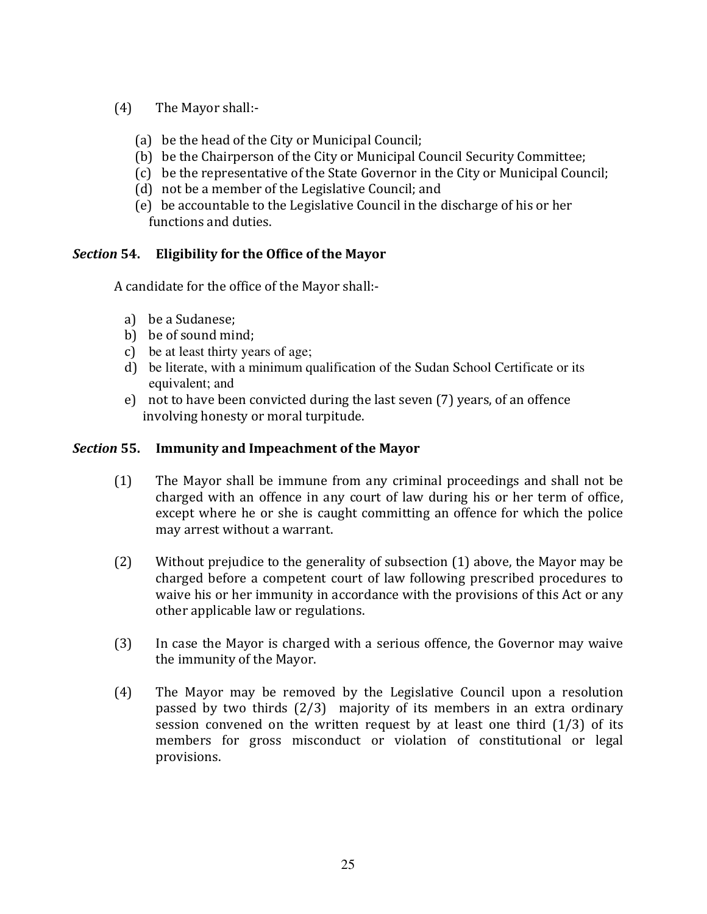- $(4)$ The Mayor shall:-
	- (a) be the head of the City or Municipal Council;
	- (b) be the Chairperson of the City or Municipal Council Security Committee;
	- (c) be the representative of the State Governor in the City or Municipal Council:
	- (d) not be a member of the Legislative Council; and
	- (e) be accountable to the Legislative Council in the discharge of his or her functions and duties.

# Section 54. Eligibility for the Office of the Mayor

A candidate for the office of the Mayor shall:-

- a) be a Sudanese:
- b) be of sound mind;
- c) be at least thirty years of age;
- d) be literate, with a minimum qualification of the Sudan School Certificate or its equivalent: and
- e) not to have been convicted during the last seven (7) years, of an offence involving honesty or moral turpitude.

#### Section 55. **Immunity and Impeachment of the Mayor**

- $(1)$ The Mayor shall be immune from any criminal proceedings and shall not be charged with an offence in any court of law during his or her term of office, except where he or she is caught committing an offence for which the police may arrest without a warrant.
- Without prejudice to the generality of subsection (1) above, the Mayor may be  $(2)$ charged before a competent court of law following prescribed procedures to waive his or her immunity in accordance with the provisions of this Act or any other applicable law or regulations.
- $(3)$ In case the Mayor is charged with a serious offence, the Governor may waive the immunity of the Mayor.
- The Mayor may be removed by the Legislative Council upon a resolution  $(4)$ passed by two thirds  $(2/3)$  majority of its members in an extra ordinary session convened on the written request by at least one third  $(1/3)$  of its members for gross misconduct or violation of constitutional or legal provisions.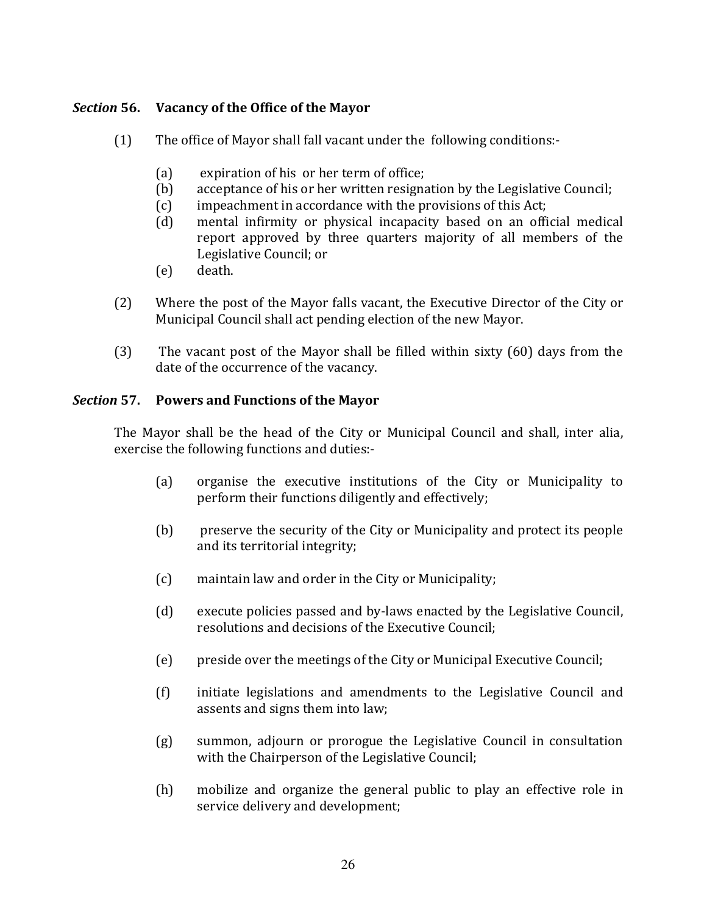# Section 56. Vacancy of the Office of the Mayor

- $(1)$ The office of Mayor shall fall vacant under the following conditions:-
	- $(a)$ expiration of his or her term of office;
	- acceptance of his or her written resignation by the Legislative Council;  $(b)$
	- impeachment in accordance with the provisions of this Act;  $(c)$
	- $(d)$ mental infirmity or physical incapacity based on an official medical report approved by three quarters majority of all members of the Legislative Council; or
	- death.  $(e)$
- $(2)$ Where the post of the Mayor falls vacant, the Executive Director of the City or Municipal Council shall act pending election of the new Mayor.
- $(3)$ The vacant post of the Mayor shall be filled within sixty (60) days from the date of the occurrence of the vacancy.

# Section 57. Powers and Functions of the Mayor

The Mayor shall be the head of the City or Municipal Council and shall, inter alia, exercise the following functions and duties:-

- organise the executive institutions of the City or Municipality to  $(a)$ perform their functions diligently and effectively;
- $(b)$ preserve the security of the City or Municipality and protect its people and its territorial integrity;
- $(c)$ maintain law and order in the City or Municipality;
- $(d)$ execute policies passed and by-laws enacted by the Legislative Council. resolutions and decisions of the Executive Council:
- preside over the meetings of the City or Municipal Executive Council;  $(e)$
- initiate legislations and amendments to the Legislative Council and  $(f)$ assents and signs them into law;
- $(g)$ summon, adjourn or prorogue the Legislative Council in consultation with the Chairperson of the Legislative Council;
- $(h)$ mobilize and organize the general public to play an effective role in service delivery and development;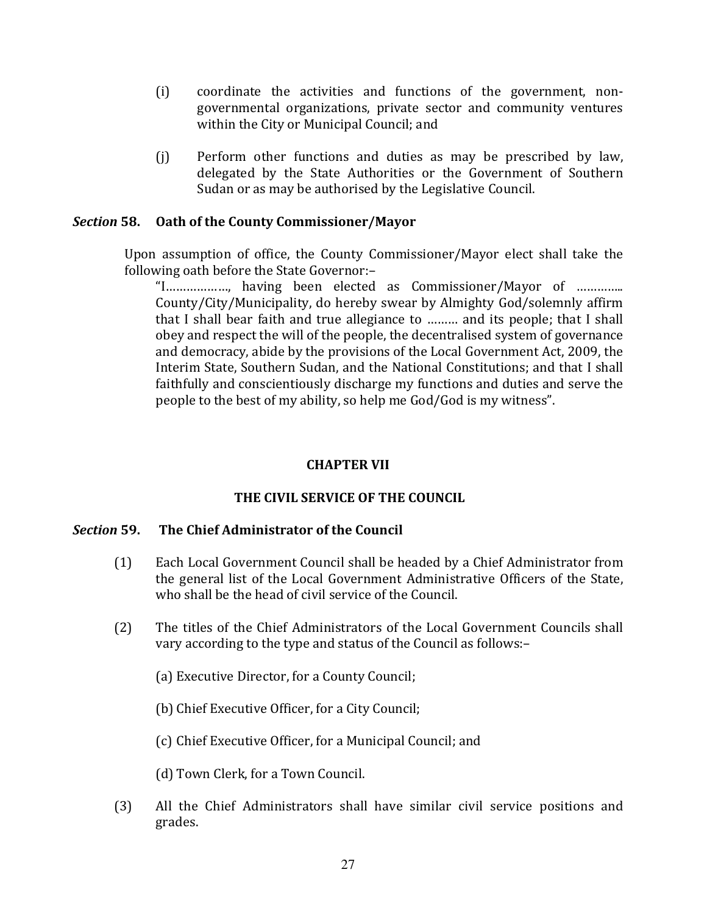- $(i)$ coordinate the activities and functions of the government, nongovernmental organizations, private sector and community ventures within the City or Municipal Council; and
- $(i)$ Perform other functions and duties as may be prescribed by law, delegated by the State Authorities or the Government of Southern Sudan or as may be authorised by the Legislative Council.

#### Section 58. Oath of the County Commissioner/Mayor

Upon assumption of office, the County Commissioner/Mayor elect shall take the following oath before the State Governor:-

County/City/Municipality, do hereby swear by Almighty God/solemnly affirm that I shall bear faith and true allegiance to ......... and its people; that I shall obey and respect the will of the people, the decentralised system of governance and democracy, abide by the provisions of the Local Government Act, 2009, the Interim State, Southern Sudan, and the National Constitutions; and that I shall faithfully and conscientiously discharge my functions and duties and serve the people to the best of my ability, so help me God/God is my witness".

### **CHAPTER VII**

# THE CIVIL SERVICE OF THE COUNCIL

#### Section 59. The Chief Administrator of the Council

- $(1)$ Each Local Government Council shall be headed by a Chief Administrator from the general list of the Local Government Administrative Officers of the State, who shall be the head of civil service of the Council.
- The titles of the Chief Administrators of the Local Government Councils shall  $(2)$ vary according to the type and status of the Council as follows:-
	- (a) Executive Director, for a County Council;
	- (b) Chief Executive Officer, for a City Council;
	- (c) Chief Executive Officer, for a Municipal Council; and
	- (d) Town Clerk, for a Town Council.
- $(3)$ All the Chief Administrators shall have similar civil service positions and grades.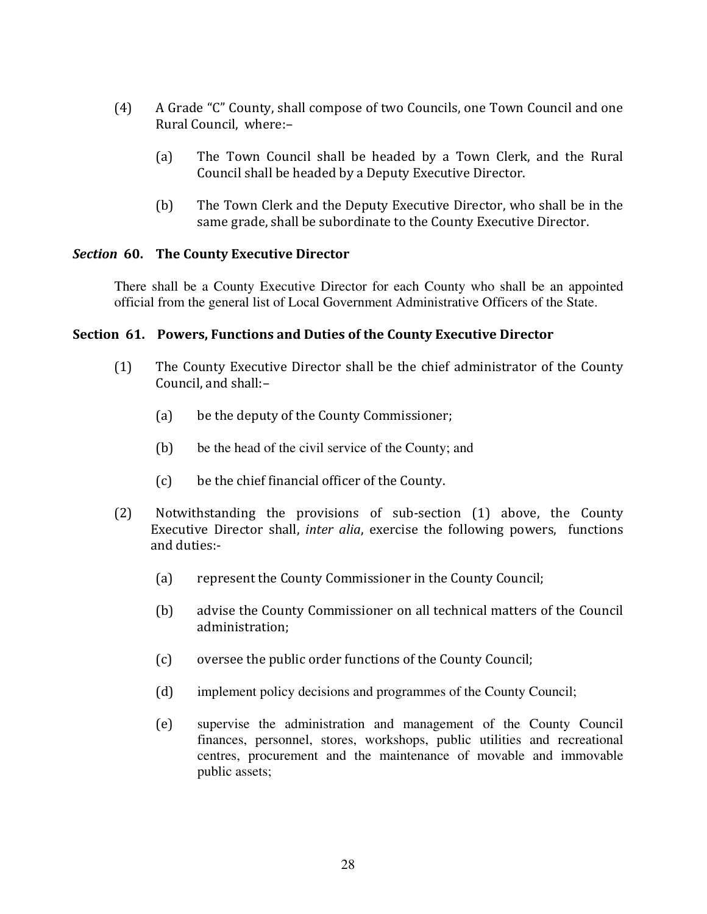- $(4)$ A Grade "C" County, shall compose of two Councils, one Town Council and one Rural Council, where:-
	- The Town Council shall be headed by a Town Clerk, and the Rural  $(a)$ Council shall be headed by a Deputy Executive Director.
	- $(b)$ The Town Clerk and the Deputy Executive Director, who shall be in the same grade, shall be subordinate to the County Executive Director.

### Section 60. The County Executive Director

There shall be a County Executive Director for each County who shall be an appointed official from the general list of Local Government Administrative Officers of the State.

### Section 61. Powers, Functions and Duties of the County Executive Director

- The County Executive Director shall be the chief administrator of the County  $(1)$ Council, and shall:-
	- $(a)$ be the deputy of the County Commissioner;
	- $(b)$ be the head of the civil service of the County; and
	- be the chief financial officer of the County.  $(c)$
- $(2)$ Notwithstanding the provisions of sub-section (1) above, the County Executive Director shall, *inter alia*, exercise the following powers, functions and duties:-
	- $(a)$ represent the County Commissioner in the County Council;
	- (b) advise the County Commissioner on all technical matters of the Council administration:
	- $(c)$ oversee the public order functions of the County Council;
	- $(d)$ implement policy decisions and programmes of the County Council;
	- $(e)$ supervise the administration and management of the County Council finances, personnel, stores, workshops, public utilities and recreational centres, procurement and the maintenance of movable and immovable public assets;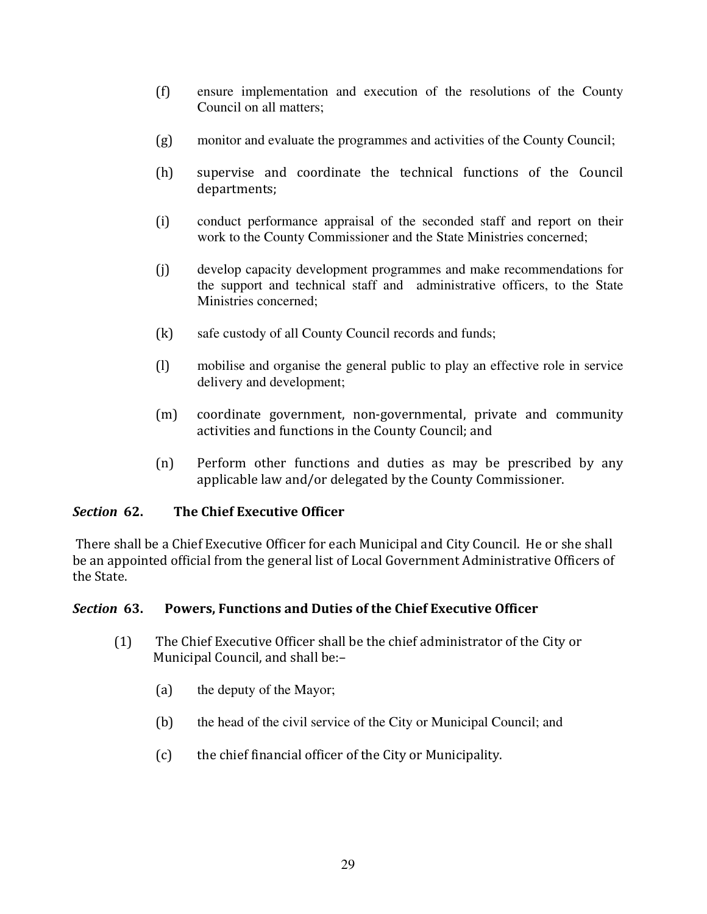- $(f)$ ensure implementation and execution of the resolutions of the County Council on all matters:
- monitor and evaluate the programmes and activities of the County Council;  $(g)$
- $(h)$ supervise and coordinate the technical functions of the Council departments;
- $(i)$ conduct performance appraisal of the seconded staff and report on their work to the County Commissioner and the State Ministries concerned;
- $(i)$ develop capacity development programmes and make recommendations for the support and technical staff and administrative officers, to the State Ministries concerned:
- $(k)$ safe custody of all County Council records and funds;
- $(1)$ mobilise and organise the general public to play an effective role in service delivery and development;
- $(m)$ coordinate government, non-governmental, private and community activities and functions in the County Council; and
- Perform other functions and duties as may be prescribed by any  $(n)$ applicable law and/or delegated by the County Commissioner.

### Section 62. The Chief Executive Officer

There shall be a Chief Executive Officer for each Municipal and City Council. He or she shall be an appointed official from the general list of Local Government Administrative Officers of the State.

### Section 63. Powers, Functions and Duties of the Chief Executive Officer

- $(1)$ The Chief Executive Officer shall be the chief administrator of the City or Municipal Council, and shall be:-
	- $(a)$ the deputy of the Mayor;
	- $(b)$ the head of the civil service of the City or Municipal Council; and
	- $(c)$ the chief financial officer of the City or Municipality.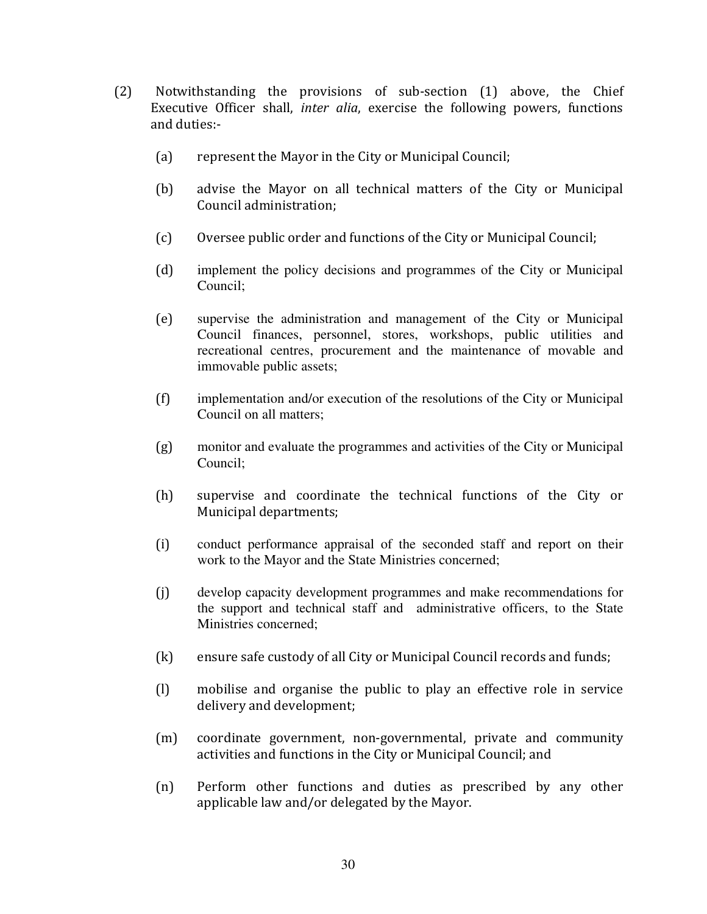- Notwithstanding the provisions of sub-section (1) above, the Chief  $(2)$ Executive Officer shall, *inter alia*, exercise the following powers, functions and duties:
	- represent the Mayor in the City or Municipal Council;  $(a)$
	- $(b)$ advise the Mayor on all technical matters of the City or Municipal Council administration:
	- $(c)$ Oversee public order and functions of the City or Municipal Council;
	- $(d)$ implement the policy decisions and programmes of the City or Municipal Council:
	- $(e)$ supervise the administration and management of the City or Municipal Council finances, personnel, stores, workshops, public utilities and recreational centres, procurement and the maintenance of movable and immovable public assets;
	- $(f)$ implementation and/or execution of the resolutions of the City or Municipal Council on all matters:
	- monitor and evaluate the programmes and activities of the City or Municipal  $(g)$ Council:
	- $(h)$ supervise and coordinate the technical functions of the City or Municipal departments:
	- $(i)$ conduct performance appraisal of the seconded staff and report on their work to the Mayor and the State Ministries concerned;
	- $(i)$ develop capacity development programmes and make recommendations for the support and technical staff and administrative officers, to the State Ministries concerned:
	- $(k)$ ensure safe custody of all City or Municipal Council records and funds;
	- $(1)$ mobilise and organise the public to play an effective role in service delivery and development;
	- $(m)$ coordinate government, non-governmental, private and community activities and functions in the City or Municipal Council; and
	- $(n)$ Perform other functions and duties as prescribed by any other applicable law and/or delegated by the Mayor.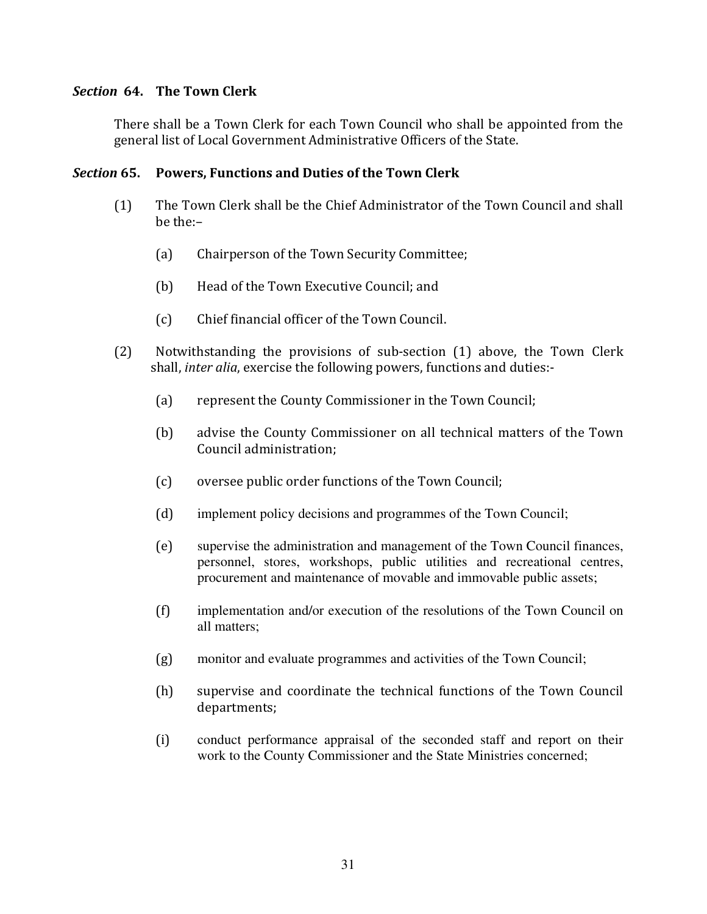# Section 64. The Town Clerk

There shall be a Town Clerk for each Town Council who shall be appointed from the general list of Local Government Administrative Officers of the State.

#### Section 65. Powers, Functions and Duties of the Town Clerk

- (1) The Town Clerk shall be the Chief Administrator of the Town Council and shall  $he$ the: $-$ 
	- (a) Chairperson of the Town Security Committee;
	- (b) Head of the Town Executive Council; and
	- (c) Chief financial officer of the Town Council.
- $(2)$  Notwithstanding the provisions of sub-section  $(1)$  above, the Town Clerk shall, *inter alia*, exercise the following powers, functions and duties:-
	- (a) represent the County Commissioner in the Town Council;
	- (b) advise the County Commissioner on all technical matters of the Town Council administration;
	- (c) oversee public order functions of the Town Council;
	- implement policy decisions and programmes of the Town Council;
	- supervise the administration and management of the Town Council finances, personnel, stores, workshops, public utilities and recreational centres, procurement and maintenance of movable and immovable public assets;
	- implementation and/or execution of the resolutions of the Town Council on all matters;
	- monitor and evaluate programmes and activities of the Town Council;
	- (h) supervise and coordinate the technical functions of the Town Council departments;
	- conduct performance appraisal of the seconded staff and report on their work to the County Commissioner and the State Ministries concerned;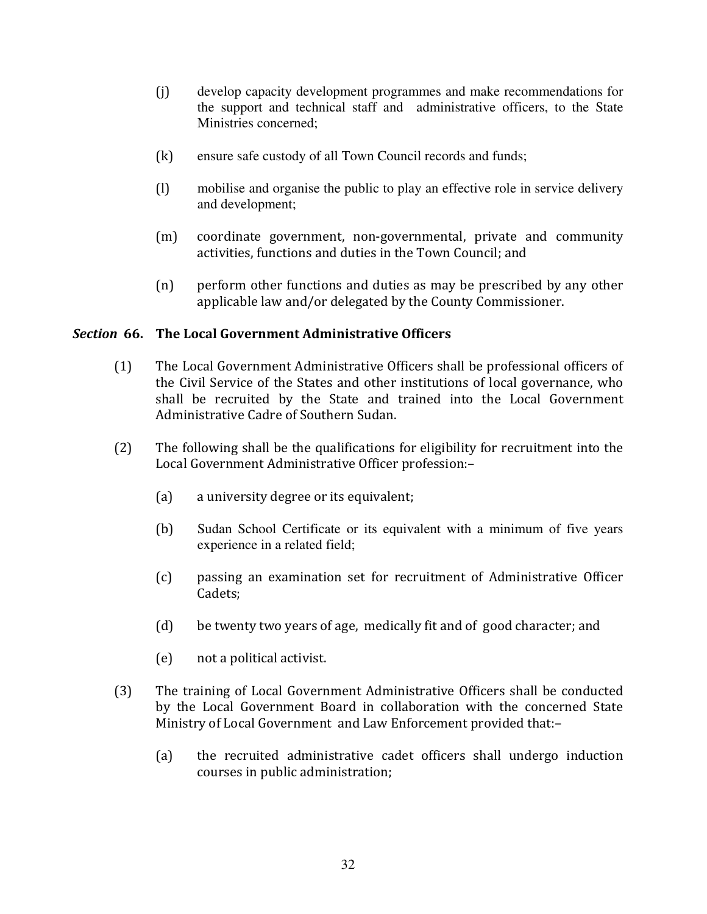- develop capacity development programmes and make recommendations for  $(i)$ the support and technical staff and administrative officers, to the State Ministries concerned:
- $(k)$ ensure safe custody of all Town Council records and funds;
- mobilise and organise the public to play an effective role in service delivery  $(1)$ and development;
- $(m)$ coordinate government, non-governmental, private and community activities, functions and duties in the Town Council; and
- $(n)$ perform other functions and duties as may be prescribed by any other applicable law and/or delegated by the County Commissioner.

# Section 66. The Local Government Administrative Officers

- The Local Government Administrative Officers shall be professional officers of  $(1)$ the Civil Service of the States and other institutions of local governance, who shall be recruited by the State and trained into the Local Government Administrative Cadre of Southern Sudan.
- $(2)$ The following shall be the qualifications for eligibility for recruitment into the Local Government Administrative Officer profession:-
	- $(a)$ a university degree or its equivalent;
	- $(b)$ Sudan School Certificate or its equivalent with a minimum of five years experience in a related field;
	- passing an examination set for recruitment of Administrative Officer  $(c)$ Cadets:
	- $(d)$ be twenty two years of age, medically fit and of good character; and
	- $(e)$ not a political activist.
- $(3)$ The training of Local Government Administrative Officers shall be conducted by the Local Government Board in collaboration with the concerned State Ministry of Local Government and Law Enforcement provided that:
	- the recruited administrative cadet officers shall undergo induction  $(a)$ courses in public administration;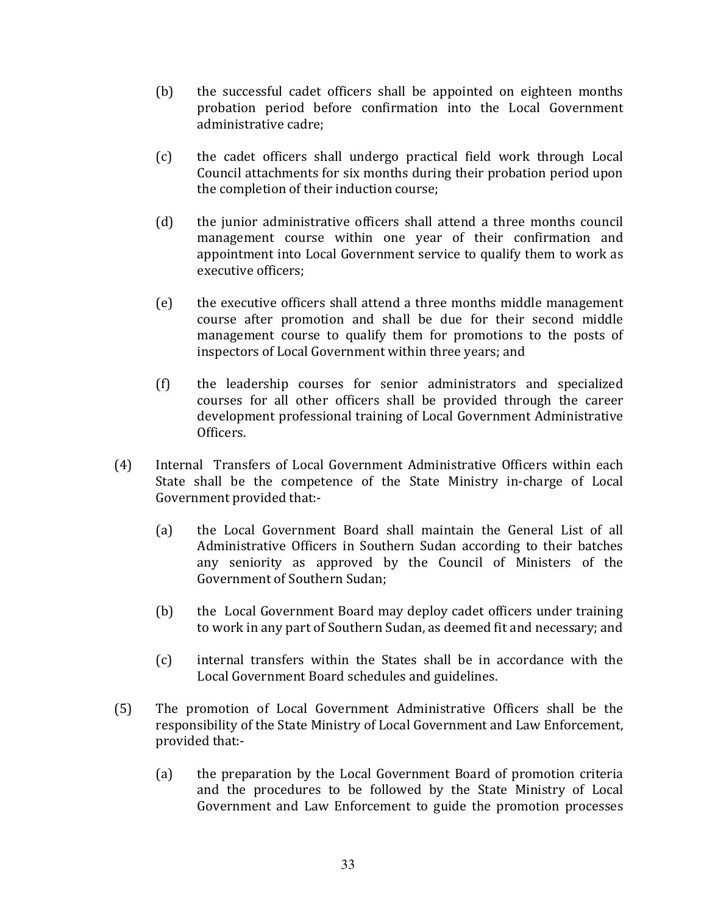- $(b)$ the successful cadet officers shall be appointed on eighteen months probation period before confirmation into the Local Government administrative cadre:
- $(c)$ the cadet officers shall undergo practical field work through Local Council attachments for six months during their probation period upon the completion of their induction course;
- $(d)$ the junior administrative officers shall attend a three months council management course within one year of their confirmation and appointment into Local Government service to qualify them to work as executive officers;
- $(e)$ the executive officers shall attend a three months middle management course after promotion and shall be due for their second middle management course to qualify them for promotions to the posts of inspectors of Local Government within three years; and
- the leadership courses for senior administrators and specialized  $(f)$ courses for all other officers shall be provided through the career development professional training of Local Government Administrative Officers.
- Internal Transfers of Local Government Administrative Officers within each  $(4)$ State shall be the competence of the State Ministry in-charge of Local Government provided that:
	- the Local Government Board shall maintain the General List of all  $(a)$ Administrative Officers in Southern Sudan according to their batches any seniority as approved by the Council of Ministers of the Government of Southern Sudan:
	- $(b)$ the Local Government Board may deploy cadet officers under training to work in any part of Southern Sudan, as deemed fit and necessary; and
	- $(c)$ internal transfers within the States shall be in accordance with the Local Government Board schedules and guidelines.
- $(5)$ The promotion of Local Government Administrative Officers shall be the responsibility of the State Ministry of Local Government and Law Enforcement, provided that:
	- the preparation by the Local Government Board of promotion criteria  $(a)$ and the procedures to be followed by the State Ministry of Local Government and Law Enforcement to guide the promotion processes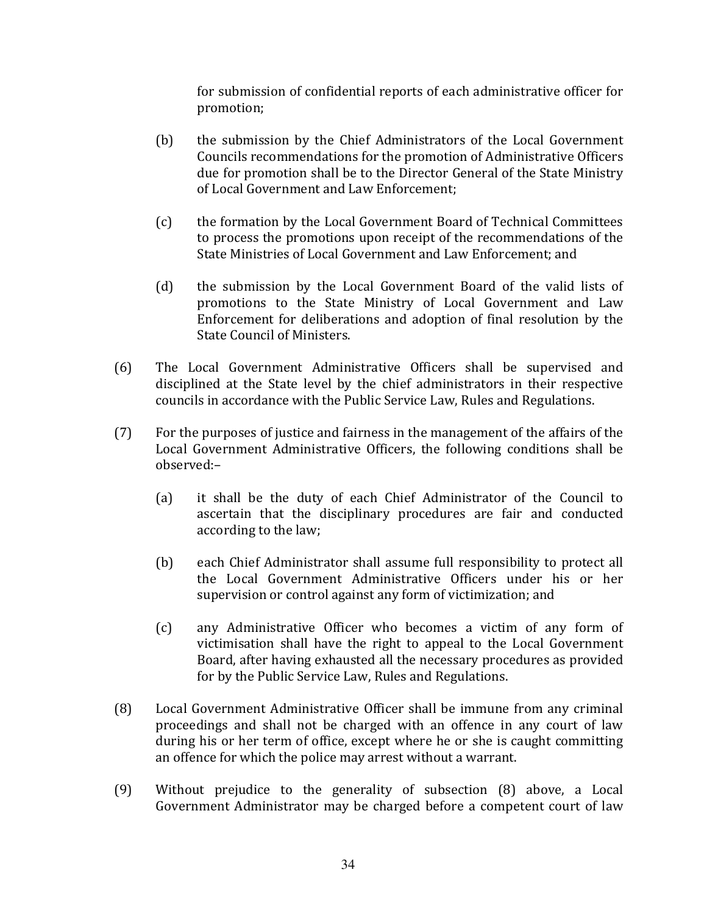for submission of confidential reports of each administrative officer for promotion;

- $(b)$ the submission by the Chief Administrators of the Local Government Councils recommendations for the promotion of Administrative Officers due for promotion shall be to the Director General of the State Ministry of Local Government and Law Enforcement:
- $(c)$ the formation by the Local Government Board of Technical Committees to process the promotions upon receipt of the recommendations of the State Ministries of Local Government and Law Enforcement; and
- $(d)$ the submission by the Local Government Board of the valid lists of promotions to the State Ministry of Local Government and Law Enforcement for deliberations and adoption of final resolution by the State Council of Ministers.
- $(6)$ The Local Government Administrative Officers shall be supervised and disciplined at the State level by the chief administrators in their respective councils in accordance with the Public Service Law, Rules and Regulations.
- $(7)$ For the purposes of justice and fairness in the management of the affairs of the Local Government Administrative Officers, the following conditions shall be observed:-
	- $(a)$ it shall be the duty of each Chief Administrator of the Council to ascertain that the disciplinary procedures are fair and conducted according to the law;
	- $(b)$ each Chief Administrator shall assume full responsibility to protect all the Local Government Administrative Officers under his or her supervision or control against any form of victimization; and
	- $(c)$ any Administrative Officer who becomes a victim of any form of victimisation shall have the right to appeal to the Local Government Board, after having exhausted all the necessary procedures as provided for by the Public Service Law, Rules and Regulations.
- $(8)$ Local Government Administrative Officer shall be immune from any criminal proceedings and shall not be charged with an offence in any court of law during his or her term of office, except where he or she is caught committing an offence for which the police may arrest without a warrant.
- $(9)$ Without prejudice to the generality of subsection (8) above, a Local Government Administrator may be charged before a competent court of law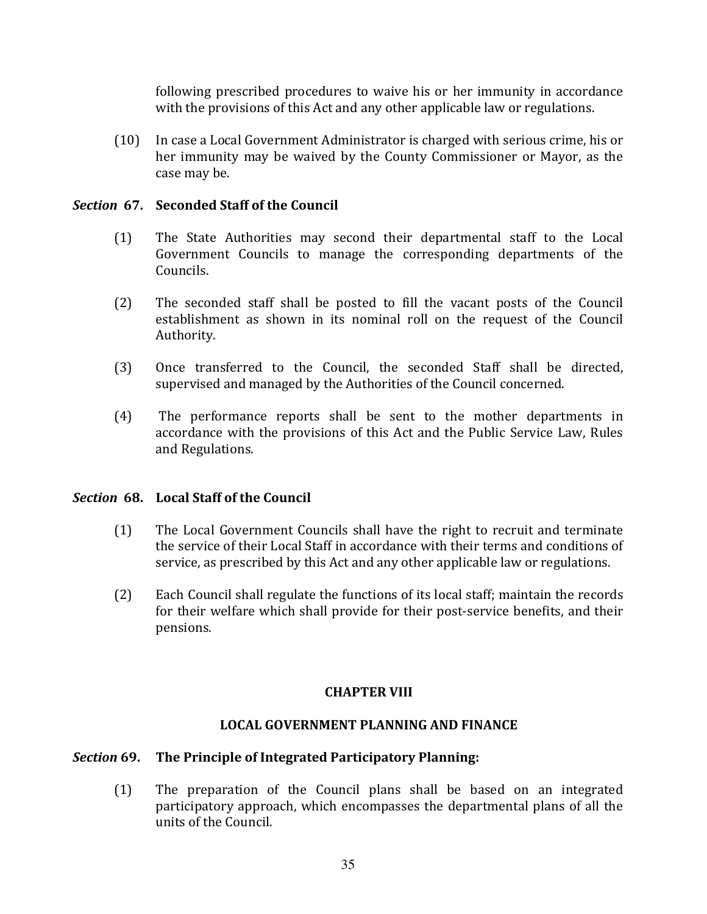following prescribed procedures to waive his or her immunity in accordance with the provisions of this Act and any other applicable law or regulations.

 $(10)$ In case a Local Government Administrator is charged with serious crime, his or her immunity may be waived by the County Commissioner or Mayor, as the case may be.

# Section 67. Seconded Staff of the Council

- $(1)$ The State Authorities may second their departmental staff to the Local Government Councils to manage the corresponding departments of the Councils.
- $(2)$ The seconded staff shall be posted to fill the vacant posts of the Council establishment as shown in its nominal roll on the request of the Council Authority.
- $(3)$ Once transferred to the Council, the seconded Staff shall be directed, supervised and managed by the Authorities of the Council concerned.
- $(4)$ The performance reports shall be sent to the mother departments in accordance with the provisions of this Act and the Public Service Law, Rules and Regulations.

# Section 68. Local Staff of the Council

- The Local Government Councils shall have the right to recruit and terminate  $(1)$ the service of their Local Staff in accordance with their terms and conditions of service, as prescribed by this Act and any other applicable law or regulations.
- Each Council shall regulate the functions of its local staff; maintain the records  $(2)$ for their welfare which shall provide for their post-service benefits, and their pensions.

# **CHAPTER VIII**

# **LOCAL GOVERNMENT PLANNING AND FINANCE**

# Section 69. The Principle of Integrated Participatory Planning:

 $(1)$ The preparation of the Council plans shall be based on an integrated participatory approach, which encompasses the departmental plans of all the units of the Council.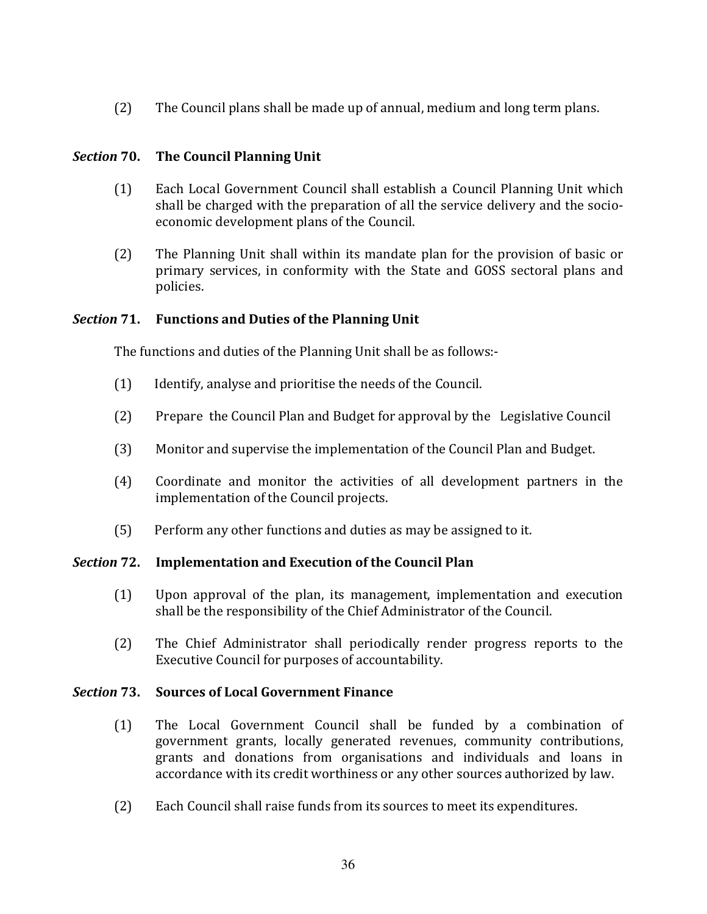$(2)$ The Council plans shall be made up of annual, medium and long term plans.

### Section 70. The Council Planning Unit

- $(1)$ Each Local Government Council shall establish a Council Planning Unit which shall be charged with the preparation of all the service delivery and the socioeconomic development plans of the Council.
- The Planning Unit shall within its mandate plan for the provision of basic or  $(2)$ primary services, in conformity with the State and GOSS sectoral plans and policies.

#### Section 71. **Functions and Duties of the Planning Unit**

The functions and duties of the Planning Unit shall be as follows:-

- $(1)$ Identify, analyse and prioritise the needs of the Council.
- $(2)$ Prepare the Council Plan and Budget for approval by the Legislative Council
- $(3)$ Monitor and supervise the implementation of the Council Plan and Budget.
- $(4)$ Coordinate and monitor the activities of all development partners in the implementation of the Council projects.
- Perform any other functions and duties as may be assigned to it.  $(5)$

#### **Implementation and Execution of the Council Plan** Section 72.

- $(1)$ Upon approval of the plan, its management, implementation and execution shall be the responsibility of the Chief Administrator of the Council.
- $(2)$ The Chief Administrator shall periodically render progress reports to the Executive Council for purposes of accountability.

#### Section 73. **Sources of Local Government Finance**

- The Local Government Council shall be funded by a combination of  $(1)$ government grants, locally generated revenues, community contributions, grants and donations from organisations and individuals and loans in accordance with its credit worthiness or any other sources authorized by law.
- $(2)$ Each Council shall raise funds from its sources to meet its expenditures.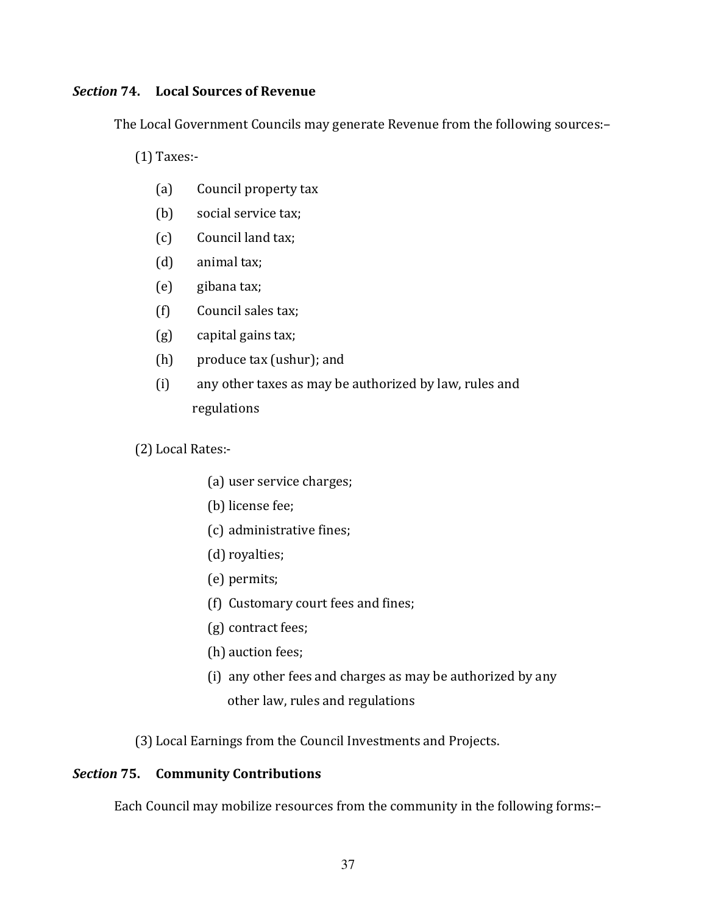# **Section 74.** Local Sources of Revenue

The Local Government Councils may generate Revenue from the following sources:-

 $(1)$  Taxes:-

- $(a)$ Council property tax
- $(b)$ social service tax;
- $(c)$ Council land tax;
- $(d)$ animal tax;
- $(e)$ gibana tax;
- $(f)$ Council sales tax;
- $(g)$ capital gains tax;
- $(h)$ produce tax (ushur); and
- $(i)$ any other taxes as may be authorized by law, rules and regulations
- (2) Local Rates:-
	- (a) user service charges;
	- (b) license fee;
	- (c) administrative fines;
	- (d) royalties;
	- (e) permits;
	- (f) Customary court fees and fines;
	- (g) contract fees;
	- (h) auction fees;
	- (i) any other fees and charges as may be authorized by any
		- other law, rules and regulations

(3) Local Earnings from the Council Investments and Projects.

### **Section 75.** Community Contributions

Each Council may mobilize resources from the community in the following forms:-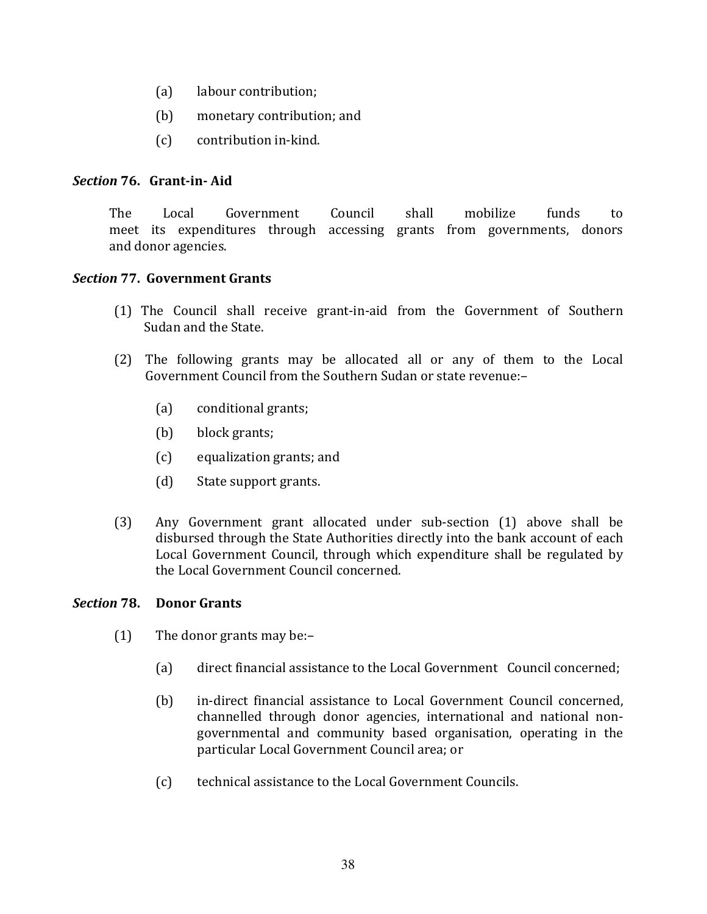- labour contribution;  $(a)$
- $(b)$ monetary contribution; and
- $(c)$ contribution in-kind.

# Section 76. Grant-in-Aid

**The** Local Government Council shall mobilize funds to meet its expenditures through accessing grants from governments, donors and donor agencies.

# **Section 77. Government Grants**

- (1) The Council shall receive grant-in-aid from the Government of Southern Sudan and the State.
- (2) The following grants may be allocated all or any of them to the Local Government Council from the Southern Sudan or state revenue:
	- conditional grants;  $(a)$
	- $(b)$ block grants;
	- $(c)$ equalization grants; and
	- $(d)$ State support grants.
- $(3)$ Any Government grant allocated under sub-section (1) above shall be disbursed through the State Authorities directly into the bank account of each Local Government Council, through which expenditure shall be regulated by the Local Government Council concerned.

#### Section 78. **Donor Grants**

- $(1)$ The donor grants may be:-
	- $(a)$ direct financial assistance to the Local Government Council concerned;
	- in-direct financial assistance to Local Government Council concerned,  $(b)$ channelled through donor agencies, international and national nongovernmental and community based organisation, operating in the particular Local Government Council area; or
	- technical assistance to the Local Government Councils.  $(c)$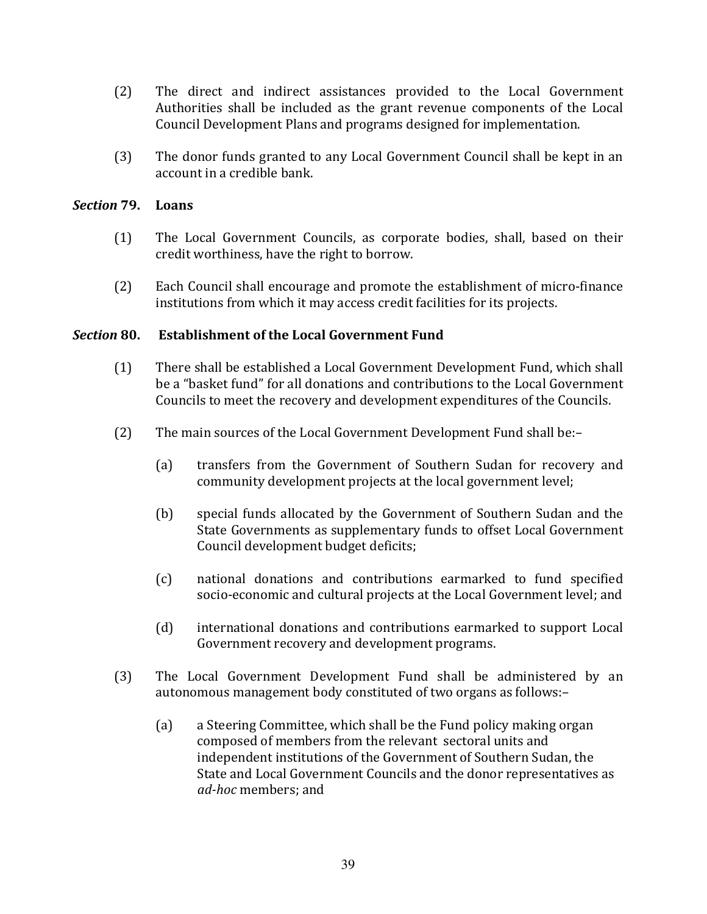- $(2)$ The direct and indirect assistances provided to the Local Government Authorities shall be included as the grant revenue components of the Local Council Development Plans and programs designed for implementation.
- $(3)$ The donor funds granted to any Local Government Council shall be kept in an account in a credible bank.

#### Section 79. Loans

- $(1)$ The Local Government Councils, as corporate bodies, shall, based on their credit worthiness, have the right to borrow.
- $(2)$ Each Council shall encourage and promote the establishment of micro-finance institutions from which it may access credit facilities for its projects.

#### **Section 80. Establishment of the Local Government Fund**

- $(1)$ There shall be established a Local Government Development Fund, which shall be a "basket fund" for all donations and contributions to the Local Government Councils to meet the recovery and development expenditures of the Councils.
- $(2)$ The main sources of the Local Government Development Fund shall be:
	- transfers from the Government of Southern Sudan for recovery and  $(a)$ community development projects at the local government level;
	- $(b)$ special funds allocated by the Government of Southern Sudan and the State Governments as supplementary funds to offset Local Government Council development budget deficits;
	- $(c)$ national donations and contributions earmarked to fund specified socio-economic and cultural projects at the Local Government level; and
	- $(d)$ international donations and contributions earmarked to support Local Government recovery and development programs.
- $(3)$ The Local Government Development Fund shall be administered by an autonomous management body constituted of two organs as follows:
	- a Steering Committee, which shall be the Fund policy making organ  $(a)$ composed of members from the relevant sectoral units and independent institutions of the Government of Southern Sudan, the State and Local Government Councils and the donor representatives as *ad-hoc* members: and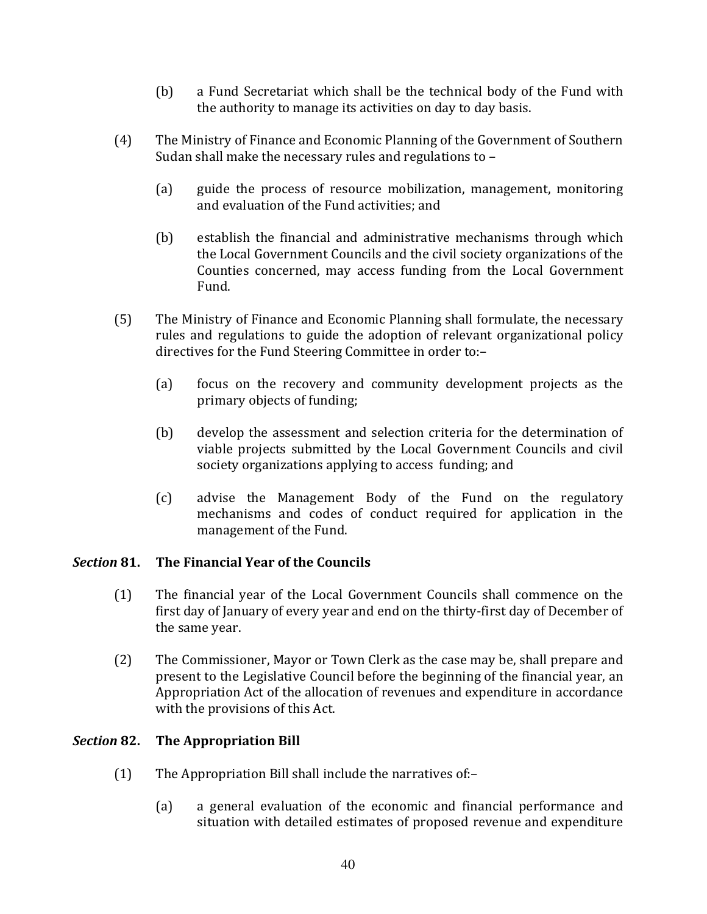- $(b)$ a Fund Secretariat which shall be the technical body of the Fund with the authority to manage its activities on day to day basis.
- $(4)$ The Ministry of Finance and Economic Planning of the Government of Southern Sudan shall make the necessary rules and regulations to -
	- $(a)$ guide the process of resource mobilization, management, monitoring and evaluation of the Fund activities: and
	- establish the financial and administrative mechanisms through which  $(b)$ the Local Government Councils and the civil society organizations of the Counties concerned, may access funding from the Local Government Fund.
- The Ministry of Finance and Economic Planning shall formulate, the necessary  $(5)$ rules and regulations to guide the adoption of relevant organizational policy directives for the Fund Steering Committee in order to:
	- focus on the recovery and community development projects as the  $(a)$ primary objects of funding;
	- $(b)$ develop the assessment and selection criteria for the determination of viable projects submitted by the Local Government Councils and civil society organizations applying to access funding; and
	- $(c)$ advise the Management Body of the Fund on the regulatory mechanisms and codes of conduct required for application in the management of the Fund.

### The Financial Year of the Councils **Section 81.**

- The financial year of the Local Government Councils shall commence on the  $(1)$ first day of January of every year and end on the thirty-first day of December of the same year.
- $(2)$ The Commissioner, Mayor or Town Clerk as the case may be, shall prepare and present to the Legislative Council before the beginning of the financial year, an Appropriation Act of the allocation of revenues and expenditure in accordance with the provisions of this Act.

### Section 82. **The Appropriation Bill**

- $(1)$ The Appropriation Bill shall include the narratives of:
	- a general evaluation of the economic and financial performance and  $(a)$ situation with detailed estimates of proposed revenue and expenditure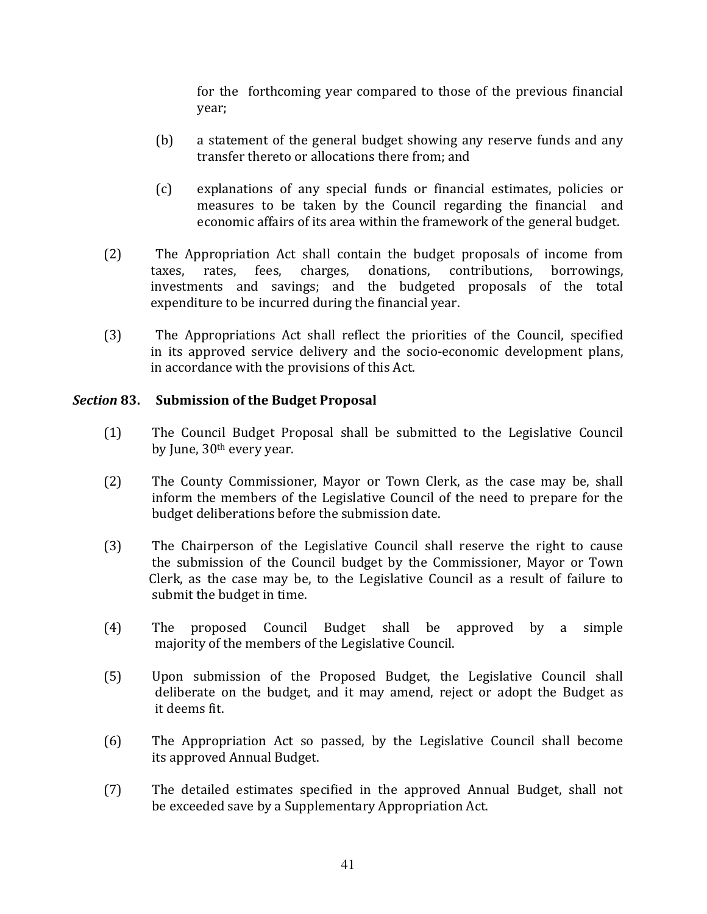for the forthcoming year compared to those of the previous financial year;

- $(b)$ a statement of the general budget showing any reserve funds and any transfer thereto or allocations there from: and
- explanations of any special funds or financial estimates, policies or  $(c)$ measures to be taken by the Council regarding the financial and economic affairs of its area within the framework of the general budget.
- $(2)$ The Appropriation Act shall contain the budget proposals of income from contributions. rates. fees. charges. donations. borrowings. taxes. investments and savings; and the budgeted proposals of the total expenditure to be incurred during the financial year.
- $(3)$ The Appropriations Act shall reflect the priorities of the Council, specified in its approved service delivery and the socio-economic development plans, in accordance with the provisions of this Act.

# Section 83. Submission of the Budget Proposal

- The Council Budget Proposal shall be submitted to the Legislative Council  $(1)$ by June, 30<sup>th</sup> every year.
- $(2)$ The County Commissioner, Mayor or Town Clerk, as the case may be, shall inform the members of the Legislative Council of the need to prepare for the budget deliberations before the submission date.
- $(3)$ The Chairperson of the Legislative Council shall reserve the right to cause the submission of the Council budget by the Commissioner, Mayor or Town Clerk, as the case may be, to the Legislative Council as a result of failure to submit the budget in time.
- $(4)$ The proposed Council Budget shall be approved by a simple majority of the members of the Legislative Council.
- $(5)$ Upon submission of the Proposed Budget, the Legislative Council shall deliberate on the budget, and it may amend, reject or adopt the Budget as it deems fit.
- $(6)$ The Appropriation Act so passed, by the Legislative Council shall become its approved Annual Budget.
- $(7)$ The detailed estimates specified in the approved Annual Budget, shall not be exceeded save by a Supplementary Appropriation Act.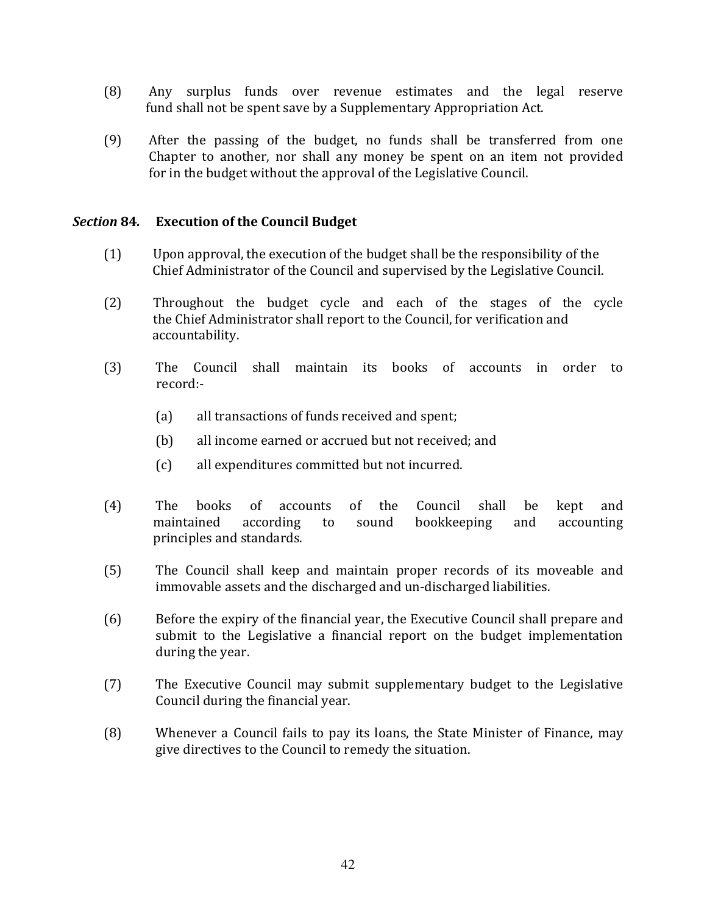- $(8)$ Any surplus funds over revenue estimates and the legal reserve fund shall not be spent save by a Supplementary Appropriation Act.
- $(9)$ After the passing of the budget, no funds shall be transferred from one Chapter to another, nor shall any money be spent on an item not provided for in the budget without the approval of the Legislative Council.

#### **Section 84. Execution of the Council Budget**

- $(1)$ Upon approval, the execution of the budget shall be the responsibility of the Chief Administrator of the Council and supervised by the Legislative Council.
- $(2)$ Throughout the budget cycle and each of the stages of the cycle the Chief Administrator shall report to the Council, for verification and accountability.
- $(3)$ The Council shall maintain its books of accounts in order to record:-
	- $(a)$ all transactions of funds received and spent:
	- $(b)$ all income earned or accrued but not received; and
	- $(c)$ all expenditures committed but not incurred.
- $(4)$ The **books**  $\sigma$ f accounts of the Council shall be kept and maintained according sound bookkeeping and accounting  $\mathsf{to}$ principles and standards.
- $(5)$ The Council shall keep and maintain proper records of its moveable and immovable assets and the discharged and un-discharged liabilities.
- $(6)$ Before the expiry of the financial year, the Executive Council shall prepare and submit to the Legislative a financial report on the budget implementation during the year.
- $(7)$ The Executive Council may submit supplementary budget to the Legislative Council during the financial year.
- $(8)$ Whenever a Council fails to pay its loans, the State Minister of Finance, may give directives to the Council to remedy the situation.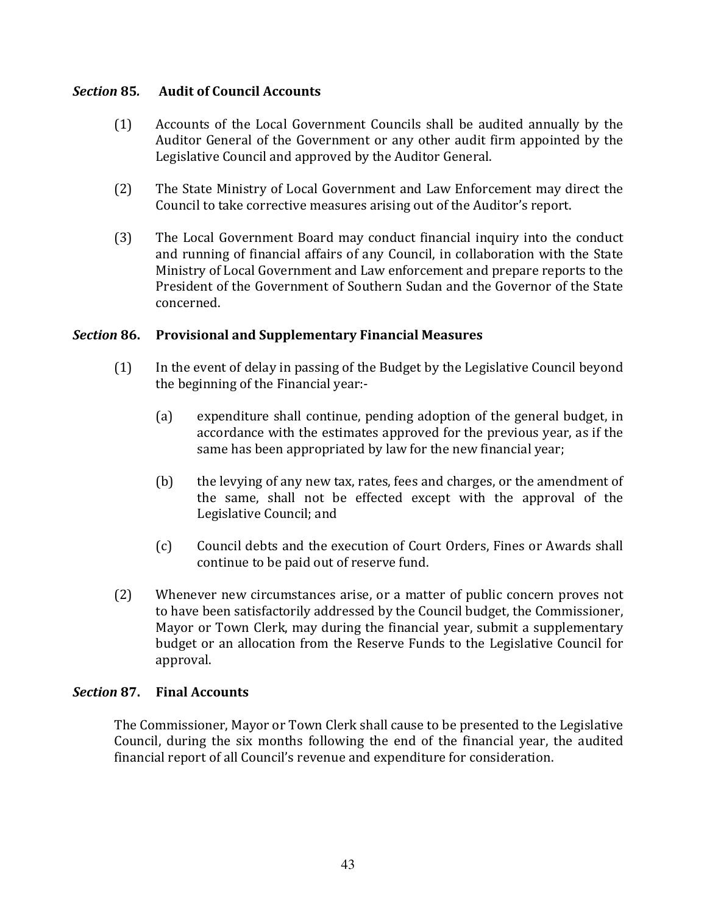#### **Section 85. Audit of Council Accounts**

- Accounts of the Local Government Councils shall be audited annually by the  $(1)$ Auditor General of the Government or any other audit firm appointed by the Legislative Council and approved by the Auditor General.
- $(2)$ The State Ministry of Local Government and Law Enforcement may direct the Council to take corrective measures arising out of the Auditor's report.
- $(3)$ The Local Government Board may conduct financial inquiry into the conduct and running of financial affairs of any Council, in collaboration with the State Ministry of Local Government and Law enforcement and prepare reports to the President of the Government of Southern Sudan and the Governor of the State concerned

#### Section 86. **Provisional and Supplementary Financial Measures**

- $(1)$ In the event of delay in passing of the Budget by the Legislative Council beyond the beginning of the Financial year:-
	- $(a)$ expenditure shall continue, pending adoption of the general budget, in accordance with the estimates approved for the previous year, as if the same has been appropriated by law for the new financial year;
	- $(b)$ the levying of any new tax, rates, fees and charges, or the amendment of the same, shall not be effected except with the approval of the Legislative Council; and
	- $(c)$ Council debts and the execution of Court Orders. Fines or Awards shall continue to be paid out of reserve fund.
- Whenever new circumstances arise, or a matter of public concern proves not  $(2)$ to have been satisfactorily addressed by the Council budget, the Commissioner, Mayor or Town Clerk, may during the financial year, submit a supplementary budget or an allocation from the Reserve Funds to the Legislative Council for approval.

### **Section 87. Final Accounts**

The Commissioner, Mayor or Town Clerk shall cause to be presented to the Legislative Council, during the six months following the end of the financial year, the audited financial report of all Council's revenue and expenditure for consideration.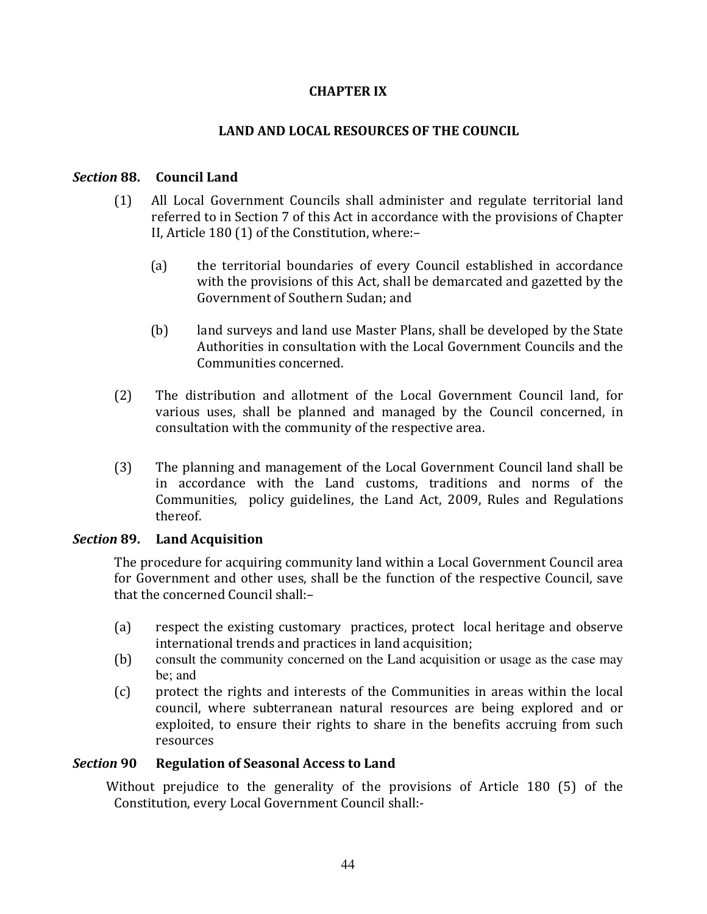# **CHAPTER IX**

# **LAND AND LOCAL RESOURCES OF THE COUNCIL**

#### **Section 88. Council Land**

- $(1)$ All Local Government Councils shall administer and regulate territorial land referred to in Section 7 of this Act in accordance with the provisions of Chapter II, Article 180 (1) of the Constitution, where:-
	- $(a)$ the territorial boundaries of every Council established in accordance with the provisions of this Act, shall be demarcated and gazetted by the Government of Southern Sudan; and
	- $(b)$ land surveys and land use Master Plans, shall be developed by the State Authorities in consultation with the Local Government Councils and the Communities concerned.
- The distribution and allotment of the Local Government Council land, for  $(2)$ various uses, shall be planned and managed by the Council concerned, in consultation with the community of the respective area.
- $(3)$ The planning and management of the Local Government Council land shall be in accordance with the Land customs, traditions and norms of the Communities, policy guidelines, the Land Act, 2009, Rules and Regulations thereof.

# Section 89. Land Acquisition

The procedure for acquiring community land within a Local Government Council area for Government and other uses, shall be the function of the respective Council, save that the concerned Council shall:-

- $(a)$ respect the existing customary practices, protect local heritage and observe international trends and practices in land acquisition;
- $(b)$ consult the community concerned on the Land acquisition or usage as the case may be; and
- $(c)$ protect the rights and interests of the Communities in areas within the local council, where subterranean natural resources are being explored and or exploited, to ensure their rights to share in the benefits accruing from such resources

#### **Section 90 Regulation of Seasonal Access to Land**

Without prejudice to the generality of the provisions of Article 180 (5) of the Constitution, every Local Government Council shall:-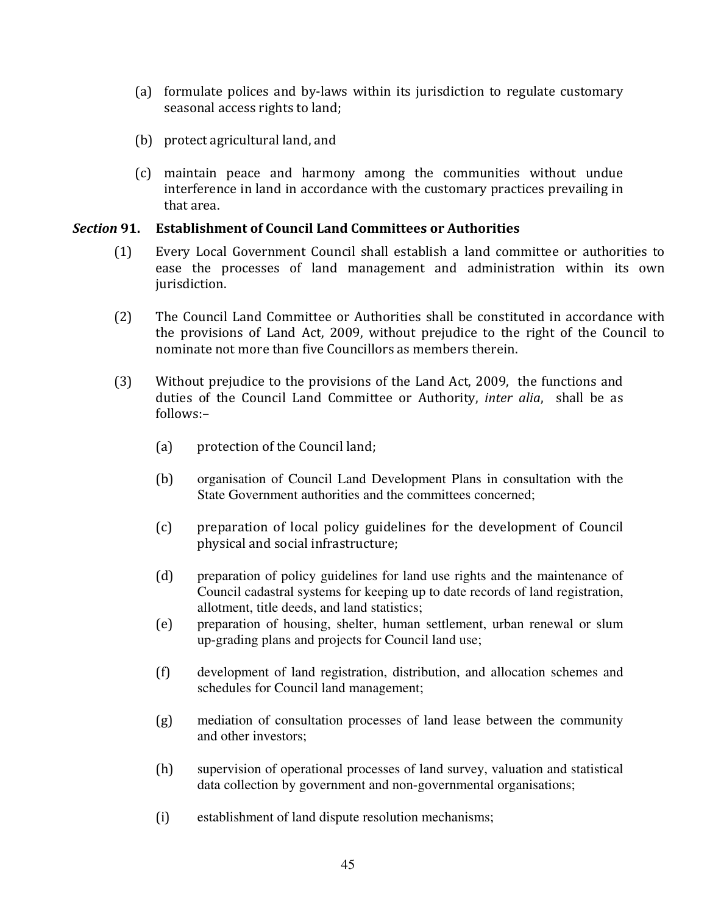- (a) formulate polices and by-laws within its jurisdiction to regulate customary seasonal access rights to land;
- (b) protect agricultural land, and
- (c) maintain peace and harmony among the communities without undue interference in land in accordance with the customary practices prevailing in that area.

#### Section 91. ction 91. Establishment of Council Land Committees or Authorities

- (1) Every Local Government Council shall establish a land committee or authorities to ease the processes of land management and administration within its own jurisdiction.
- (2) The Council Land Committee or Authorities shall be constituted in accordance with the provisions of Land Act, 2009, without prejudice to the right of the Council to nominate not more than five Councillors as members therein.
- (3) Without prejudice to the provisions of the Land Act, 2009, the functions and duties of the Council Land Committee or Authority, inter alia, shall be as follows:-
	- (a) protection of the Council land;
	- organisation of Council Land Development Plans in consultation with the State Government authorities and the committees concerned;
	- (c) preparation of local policy guidelines for the development of Council physical and social infrastructure;
	- preparation of policy guidelines for land use rights and the maintenance of Council cadastral systems for keeping up to date records of land registration, allotment, title deeds, and land statistics;
	- preparation of housing, shelter, human settlement, urban renewal or slum up-grading plans and projects for Council land use;
	- development of land registration, distribution, and allocation schemes and schedules for Council land management;
	- mediation of consultation processes of land lease between the community and other investors;
	- supervision of operational processes of land survey, valuation and statistical data collection by government and non-governmental organisations;
	- establishment of land dispute resolution mechanisms;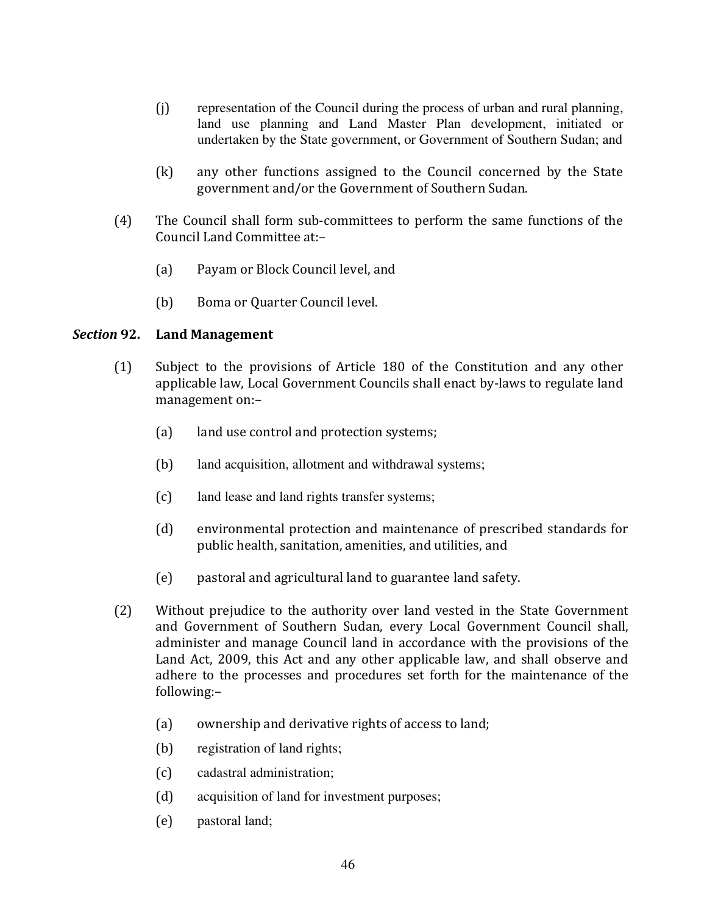- $(i)$ representation of the Council during the process of urban and rural planning, land use planning and Land Master Plan development, initiated or undertaken by the State government, or Government of Southern Sudan; and
- any other functions assigned to the Council concerned by the State  $(k)$ government and/or the Government of Southern Sudan.
- $(4)$ The Council shall form sub-committees to perform the same functions of the Council Land Committee at:-
	- $(a)$ Payam or Block Council level, and
	- $(b)$ Boma or Quarter Council level.

#### Section 92. **Land Management**

- Subject to the provisions of Article 180 of the Constitution and any other  $(1)$ applicable law, Local Government Councils shall enact by-laws to regulate land management on:-
	- $(a)$ land use control and protection systems;
	- $(b)$ land acquisition, allotment and withdrawal systems;
	- $(c)$ land lease and land rights transfer systems;
	- $(d)$ environmental protection and maintenance of prescribed standards for public health, sanitation, amenities, and utilities, and
	- $(e)$ pastoral and agricultural land to guarantee land safety.
- $(2)$ Without prejudice to the authority over land vested in the State Government and Government of Southern Sudan, every Local Government Council shall, administer and manage Council land in accordance with the provisions of the Land Act, 2009, this Act and any other applicable law, and shall observe and adhere to the processes and procedures set forth for the maintenance of the following:
	- ownership and derivative rights of access to land;  $(a)$
	- $(b)$ registration of land rights;
	- $(c)$ cadastral administration;
	- $(d)$ acquisition of land for investment purposes;
	- $(e)$ pastoral land;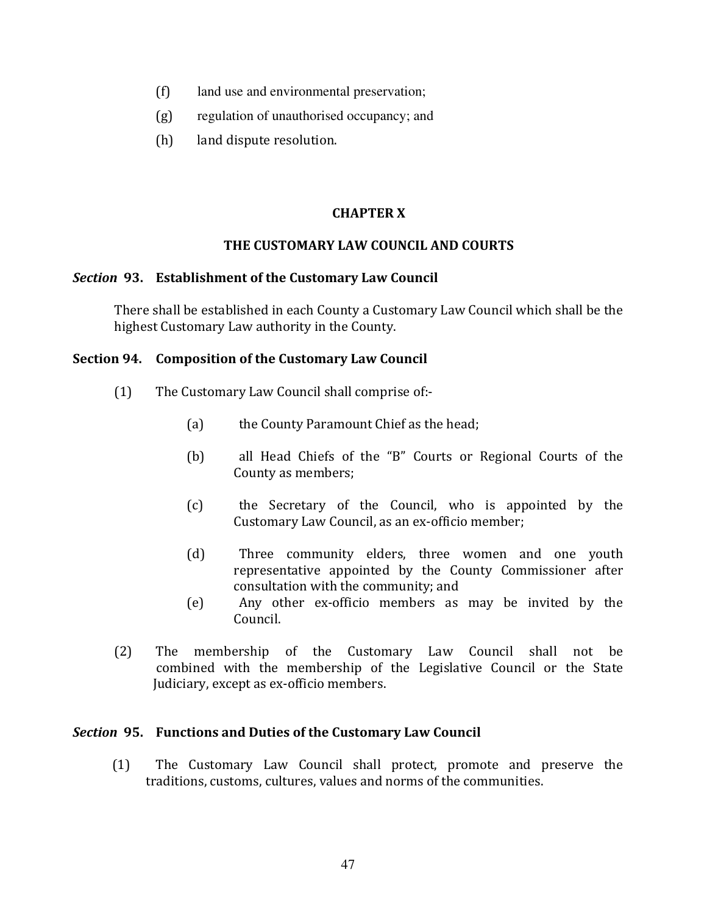- $(f)$ land use and environmental preservation;
- $(g)$ regulation of unauthorised occupancy; and
- $(h)$ land dispute resolution.

# **CHAPTER X**

## THE CUSTOMARY LAW COUNCIL AND COURTS

### Section 93. Establishment of the Customary Law Council

There shall be established in each County a Customary Law Council which shall be the highest Customary Law authority in the County.

## Section 94. Composition of the Customary Law Council

- $(1)$ The Customary Law Council shall comprise of:-
	- $(a)$ the County Paramount Chief as the head;
	- all Head Chiefs of the "B" Courts or Regional Courts of the  $(b)$ County as members:
	- $(c)$ the Secretary of the Council, who is appointed by the Customary Law Council, as an ex-officio member:
	- Three community elders, three women and one youth  $(d)$ representative appointed by the County Commissioner after consultation with the community; and
	- Any other ex-officio members as may be invited by the  $(e)$ Council.
- $(2)$ The membership of the Customary Law Council shall not be combined with the membership of the Legislative Council or the State Judiciary, except as ex-officio members.

### Section 95. Functions and Duties of the Customary Law Council

The Customary Law Council shall protect, promote and preserve the  $(1)$ traditions, customs, cultures, values and norms of the communities.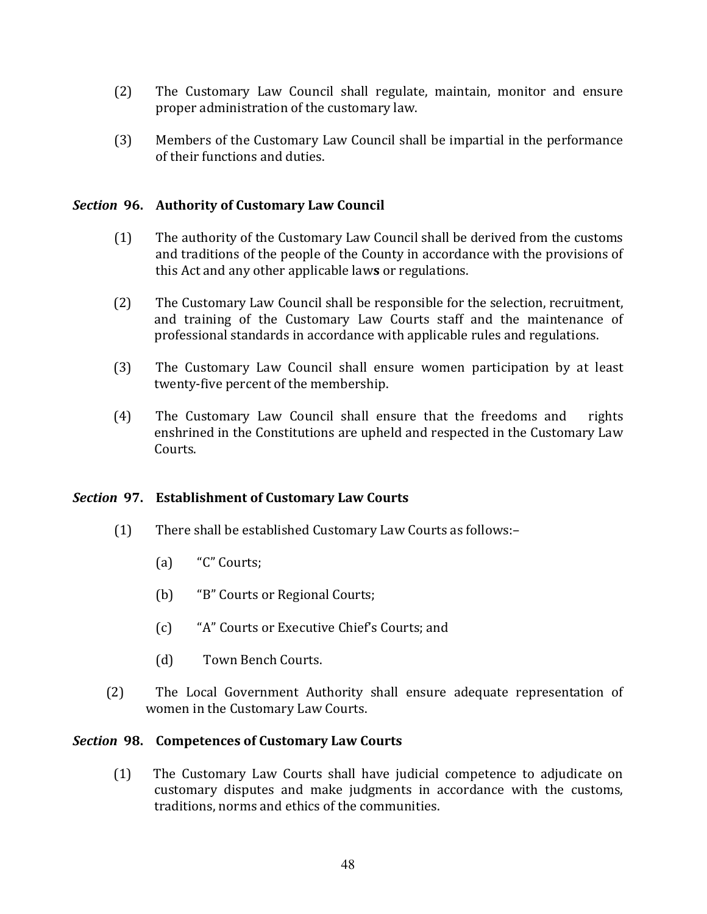- $(2)$ The Customary Law Council shall regulate, maintain, monitor and ensure proper administration of the customary law.
- $(3)$ Members of the Customary Law Council shall be impartial in the performance of their functions and duties.

# Section 96. Authority of Customary Law Council

- $(1)$ The authority of the Customary Law Council shall be derived from the customs and traditions of the people of the County in accordance with the provisions of this Act and any other applicable laws or regulations.
- $(2)$ The Customary Law Council shall be responsible for the selection, recruitment, and training of the Customary Law Courts staff and the maintenance of professional standards in accordance with applicable rules and regulations.
- $(3)$ The Customary Law Council shall ensure women participation by at least twenty-five percent of the membership.
- $(4)$ The Customary Law Council shall ensure that the freedoms and rights enshrined in the Constitutions are upheld and respected in the Customary Law Courts.

# Section 97. Establishment of Customary Law Courts

- $(1)$ There shall be established Customary Law Courts as follows:-
	- $(a)$ "C" Courts;
	- $(b)$ "B" Courts or Regional Courts;
	- $(c)$ "A" Courts or Executive Chief's Courts: and
	- $(d)$ Town Bench Courts.
- $(2)$ The Local Government Authority shall ensure adequate representation of women in the Customary Law Courts.

### Section 98. Competences of Customary Law Courts

 $(1)$ The Customary Law Courts shall have judicial competence to adjudicate on customary disputes and make judgments in accordance with the customs, traditions, norms and ethics of the communities.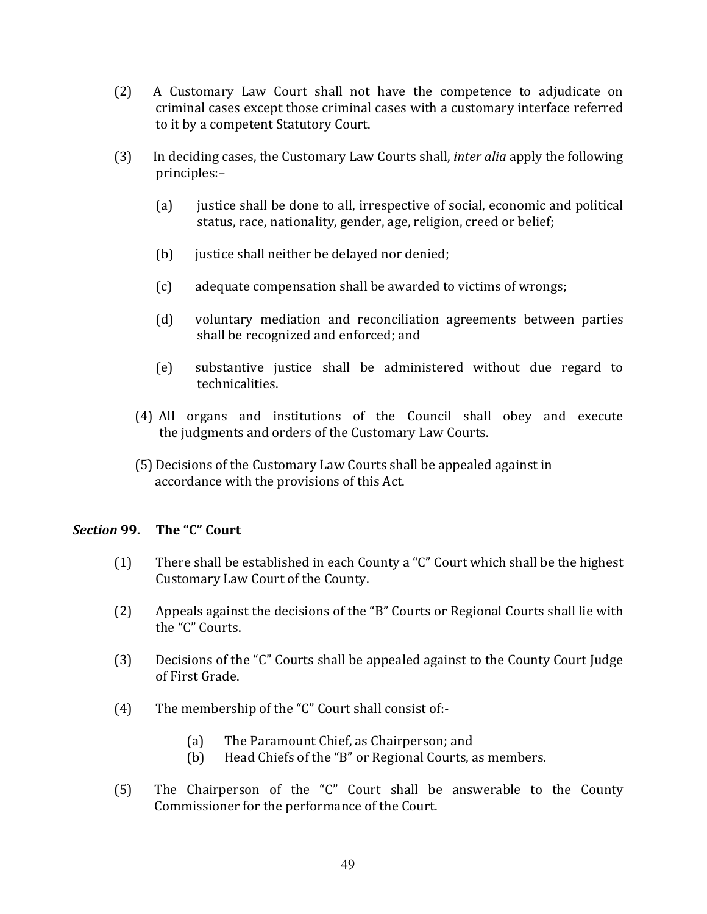- $(2)$ A Customary Law Court shall not have the competence to adjudicate on criminal cases except those criminal cases with a customary interface referred to it by a competent Statutory Court.
- In deciding cases, the Customary Law Courts shall, *inter alia* apply the following  $(3)$ principles:-
	- $(a)$ justice shall be done to all, irrespective of social, economic and political status, race, nationality, gender, age, religion, creed or belief;
	- $(b)$ justice shall neither be delayed nor denied;
	- $(c)$ adequate compensation shall be awarded to victims of wrongs;
	- $(d)$ voluntary mediation and reconciliation agreements between parties shall be recognized and enforced; and
	- $(e)$ substantive justice shall be administered without due regard to technicalities.
	- (4) All organs and institutions of the Council shall obey and execute the judgments and orders of the Customary Law Courts.
	- (5) Decisions of the Customary Law Courts shall be appealed against in accordance with the provisions of this Act.

#### The "C" Court Section 99.

- There shall be established in each County a "C" Court which shall be the highest  $(1)$ Customary Law Court of the County.
- $(2)$ Appeals against the decisions of the "B" Courts or Regional Courts shall lie with the "C" Courts.
- $(3)$ Decisions of the "C" Courts shall be appealed against to the County Court Judge of First Grade
- $(4)$ The membership of the "C" Court shall consist of:-
	- $(a)$ The Paramount Chief, as Chairperson; and
	- Head Chiefs of the "B" or Regional Courts, as members.  $(b)$
- The Chairperson of the "C" Court shall be answerable to the County  $(5)$ Commissioner for the performance of the Court.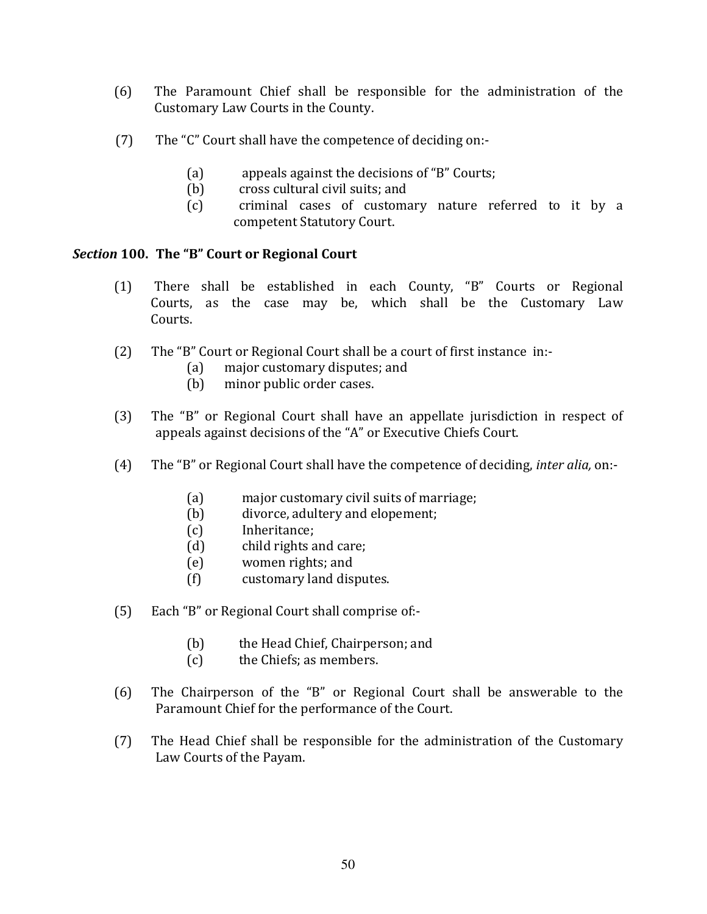- $(6)$ The Paramount Chief shall be responsible for the administration of the Customary Law Courts in the County.
- The "C" Court shall have the competence of deciding on:- $(7)$ 
	- appeals against the decisions of "B" Courts;  $(a)$
	- cross cultural civil suits: and  $(b)$
	- criminal cases of customary nature referred to it by a  $(c)$ competent Statutory Court.

# Section 100. The "B" Court or Regional Court

- There shall be established in each County, "B" Courts or Regional  $(1)$ Courts, as the case may be, which shall be the Customary Law Courts.
- $(2)$ The "B" Court or Regional Court shall be a court of first instance in:
	- major customary disputes; and  $(a)$
	- minor public order cases.  $(b)$
- $(3)$ The "B" or Regional Court shall have an appellate jurisdiction in respect of appeals against decisions of the "A" or Executive Chiefs Court.
- The "B" or Regional Court shall have the competence of deciding, *inter alia*, on:- $(4)$ 
	- $(a)$ major customary civil suits of marriage;
	- divorce, adultery and elopement;  $(b)$
	- Inheritance:  $(c)$
	- $(d)$ child rights and care;
	- women rights; and  $(e)$
	- customary land disputes.  $(f)$
- $(5)$ Each "B" or Regional Court shall comprise of:-
	- $(b)$ the Head Chief, Chairperson; and
	- $(c)$ the Chiefs; as members.
- The Chairperson of the "B" or Regional Court shall be answerable to the  $(6)$ Paramount Chief for the performance of the Court.
- $(7)$ The Head Chief shall be responsible for the administration of the Customary Law Courts of the Payam.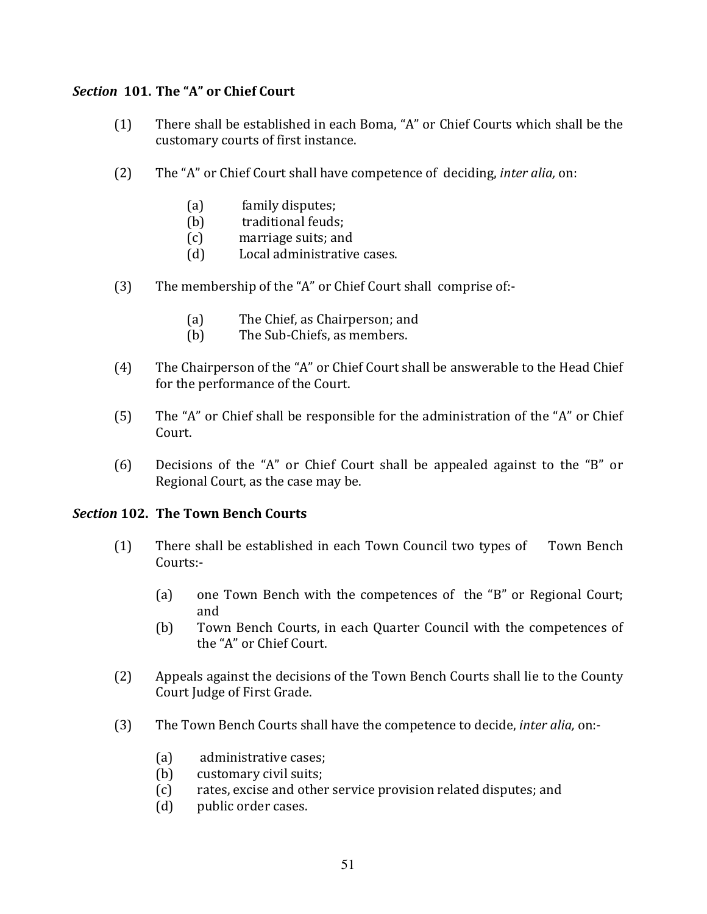# Section 101. The "A" or Chief Court

- There shall be established in each Boma, "A" or Chief Courts which shall be the  $(1)$ customary courts of first instance.
- $(2)$ The "A" or Chief Court shall have competence of deciding, *inter alia*, on:
	- $(a)$ family disputes:
	- $(b)$ traditional feuds:
	- marriage suits: and  $(c)$
	- Local administrative cases.  $(d)$
- $(3)$ The membership of the "A" or Chief Court shall comprise of:-
	- The Chief, as Chairperson; and  $(a)$
	- The Sub-Chiefs, as members.  $(b)$
- $(4)$ The Chairperson of the "A" or Chief Court shall be answerable to the Head Chief for the performance of the Court.
- $(5)$ The "A" or Chief shall be responsible for the administration of the "A" or Chief Court.
- Decisions of the "A" or Chief Court shall be appealed against to the "B" or  $(6)$ Regional Court, as the case may be.

# **Section 102. The Town Bench Courts**

- $(1)$ There shall be established in each Town Council two types of Town Bench Courts:
	- one Town Bench with the competences of the "B" or Regional Court;  $(a)$ and
	- $(b)$ Town Bench Courts, in each Quarter Council with the competences of the "A" or Chief Court.
- $(2)$ Appeals against the decisions of the Town Bench Courts shall lie to the County Court Judge of First Grade.
- $(3)$ The Town Bench Courts shall have the competence to decide, *inter alia*, on:-
	- $(a)$ administrative cases:
	- $(b)$ customary civil suits;
	- rates, excise and other service provision related disputes; and  $(c)$
	- public order cases.  $(d)$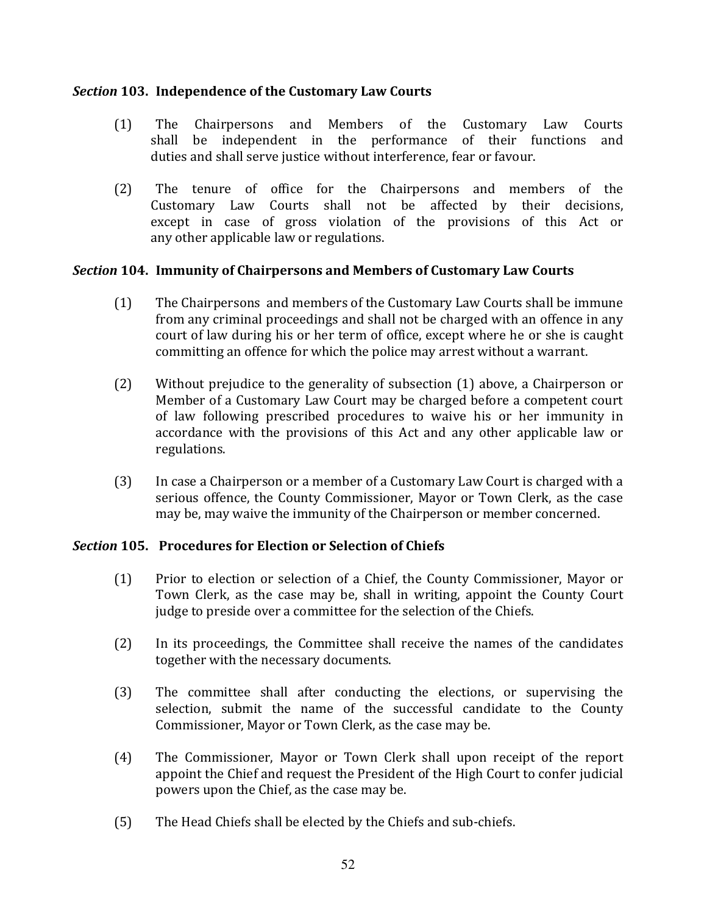# Section 103. Independence of the Customary Law Courts

- $(1)$ The Chairpersons and Members of the Customary Law Courts shall be independent in the performance of their functions and duties and shall serve justice without interference, fear or favour.
- $(2)$ The tenure of office for the Chairpersons and members of the Customary Law Courts shall not be affected by their decisions, except in case of gross violation of the provisions of this Act or any other applicable law or regulations.

## Section 104. Immunity of Chairpersons and Members of Customary Law Courts

- $(1)$ The Chairpersons and members of the Customary Law Courts shall be immune from any criminal proceedings and shall not be charged with an offence in any court of law during his or her term of office, except where he or she is caught committing an offence for which the police may arrest without a warrant.
- $(2)$ Without prejudice to the generality of subsection (1) above, a Chairperson or Member of a Customary Law Court may be charged before a competent court of law following prescribed procedures to waive his or her immunity in accordance with the provisions of this Act and any other applicable law or regulations.
- In case a Chairperson or a member of a Customary Law Court is charged with a  $(3)$ serious offence, the County Commissioner, Mayor or Town Clerk, as the case may be, may waive the immunity of the Chairperson or member concerned.

# **Section 105.** Procedures for Election or Selection of Chiefs

- Prior to election or selection of a Chief, the County Commissioner, Mayor or  $(1)$ Town Clerk, as the case may be, shall in writing, appoint the County Court judge to preside over a committee for the selection of the Chiefs.
- $(2)$ In its proceedings, the Committee shall receive the names of the candidates together with the necessary documents.
- The committee shall after conducting the elections, or supervising the  $(3)$ selection, submit the name of the successful candidate to the County Commissioner, Mayor or Town Clerk, as the case may be.
- $(4)$ The Commissioner, Mayor or Town Clerk shall upon receipt of the report appoint the Chief and request the President of the High Court to confer judicial powers upon the Chief, as the case may be.
- $(5)$ The Head Chiefs shall be elected by the Chiefs and sub-chiefs.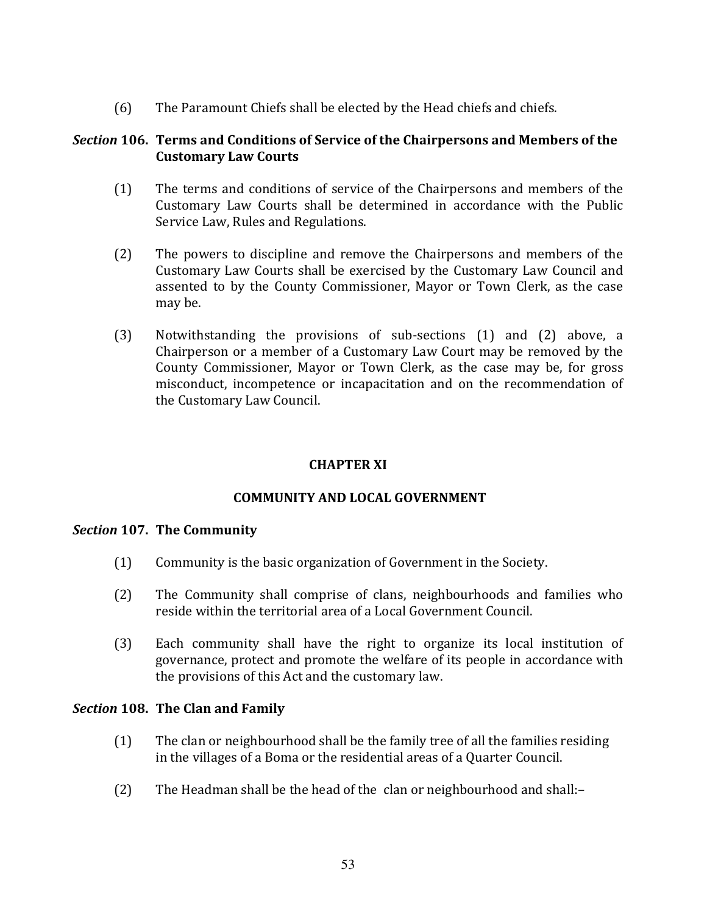The Paramount Chiefs shall be elected by the Head chiefs and chiefs.  $(6)$ 

# Section 106. Terms and Conditions of Service of the Chairpersons and Members of the **Customary Law Courts**

- $(1)$ The terms and conditions of service of the Chairpersons and members of the Customary Law Courts shall be determined in accordance with the Public Service Law, Rules and Regulations.
- The powers to discipline and remove the Chairpersons and members of the  $(2)$ Customary Law Courts shall be exercised by the Customary Law Council and assented to by the County Commissioner, Mayor or Town Clerk, as the case may be.
- $(3)$ Notwithstanding the provisions of sub-sections (1) and (2) above, a Chairperson or a member of a Customary Law Court may be removed by the County Commissioner, Mayor or Town Clerk, as the case may be, for gross misconduct, incompetence or incapacitation and on the recommendation of the Customary Law Council.

# **CHAPTER XI**

# **COMMUNITY AND LOCAL GOVERNMENT**

### Section 107. The Community

- $(1)$ Community is the basic organization of Government in the Society.
- $(2)$ The Community shall comprise of clans, neighbourhoods and families who reside within the territorial area of a Local Government Council.
- $(3)$ Each community shall have the right to organize its local institution of governance, protect and promote the welfare of its people in accordance with the provisions of this Act and the customary law.

# Section 108. The Clan and Family

- $(1)$ The clan or neighbourhood shall be the family tree of all the families residing in the villages of a Boma or the residential areas of a Quarter Council.
- $(2)$ The Headman shall be the head of the clan or neighbourhood and shall:-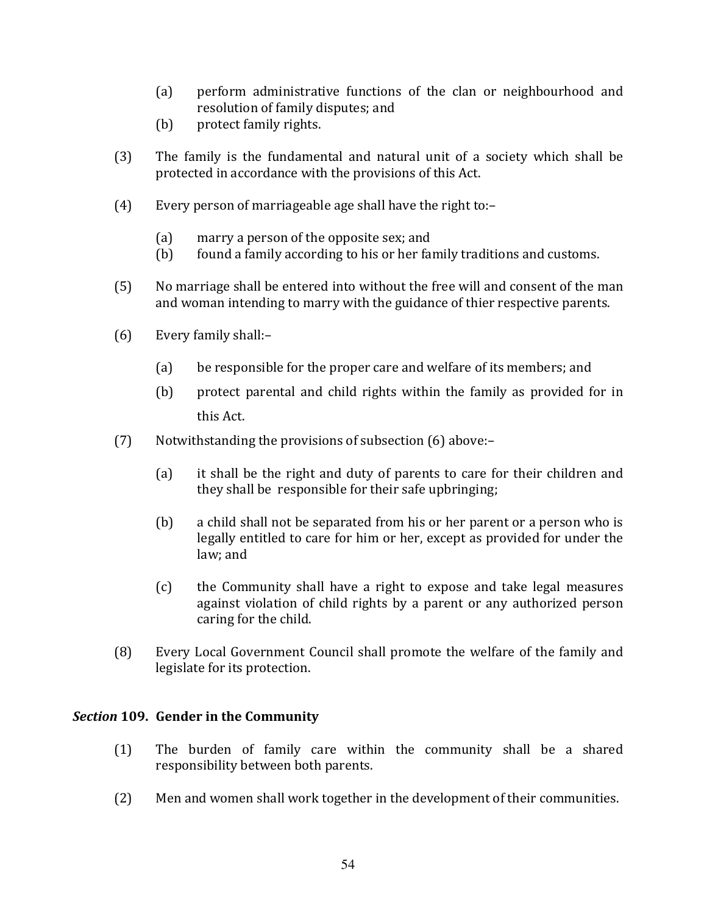- perform administrative functions of the clan or neighbourhood and  $(a)$ resolution of family disputes; and
- $(b)$ protect family rights.
- $(3)$ The family is the fundamental and natural unit of a society which shall be protected in accordance with the provisions of this Act.
- $(4)$ Every person of marriageable age shall have the right to:-
	- $(a)$ marry a person of the opposite sex; and
	- found a family according to his or her family traditions and customs.  $(b)$
- $(5)$ No marriage shall be entered into without the free will and consent of the man and woman intending to marry with the guidance of thier respective parents.
- $(6)$ Every family shall:-
	- $(a)$ be responsible for the proper care and welfare of its members; and
	- $(b)$ protect parental and child rights within the family as provided for in this Act.
- $(7)$ Notwithstanding the provisions of subsection (6) above:-
	- $(a)$ it shall be the right and duty of parents to care for their children and they shall be responsible for their safe upbringing;
	- $(b)$ a child shall not be separated from his or her parent or a person who is legally entitled to care for him or her, except as provided for under the law; and
	- $(c)$ the Community shall have a right to expose and take legal measures against violation of child rights by a parent or any authorized person caring for the child.
- Every Local Government Council shall promote the welfare of the family and  $(8)$ legislate for its protection.

# Section 109. Gender in the Community

- $(1)$ The burden of family care within the community shall be a shared responsibility between both parents.
- $(2)$ Men and women shall work together in the development of their communities.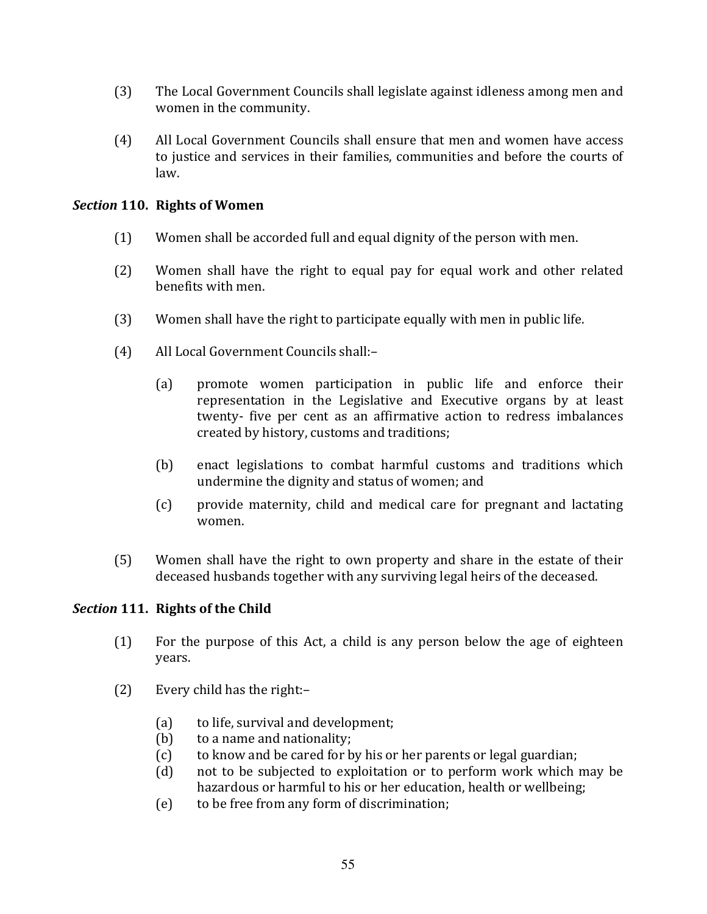- $(3)$ The Local Government Councils shall legislate against idleness among men and women in the community.
- All Local Government Councils shall ensure that men and women have access  $(4)$ to justice and services in their families, communities and before the courts of law.

# Section 110. Rights of Women

- $(1)$ Women shall be accorded full and equal dignity of the person with men.
- $(2)$ Women shall have the right to equal pay for equal work and other related benefits with men.
- Women shall have the right to participate equally with men in public life.  $(3)$
- $(4)$ All Local Government Councils shall:
	- promote women participation in public life and enforce their  $(a)$ representation in the Legislative and Executive organs by at least twenty- five per cent as an affirmative action to redress imbalances created by history, customs and traditions;
	- enact legislations to combat harmful customs and traditions which  $(b)$ undermine the dignity and status of women; and
	- $(c)$ provide maternity, child and medical care for pregnant and lactating women.
- $(5)$ Women shall have the right to own property and share in the estate of their deceased husbands together with any surviving legal heirs of the deceased.

# Section 111. Rights of the Child

- $(1)$ For the purpose of this Act, a child is any person below the age of eighteen years.
- $(2)$ Every child has the right:-
	- $(a)$ to life, survival and development;
	- to a name and nationality;  $(b)$
	- to know and be cared for by his or her parents or legal guardian;  $(c)$
	- not to be subjected to exploitation or to perform work which may be  $(d)$ hazardous or harmful to his or her education, health or wellbeing;
	- to be free from any form of discrimination;  $(e)$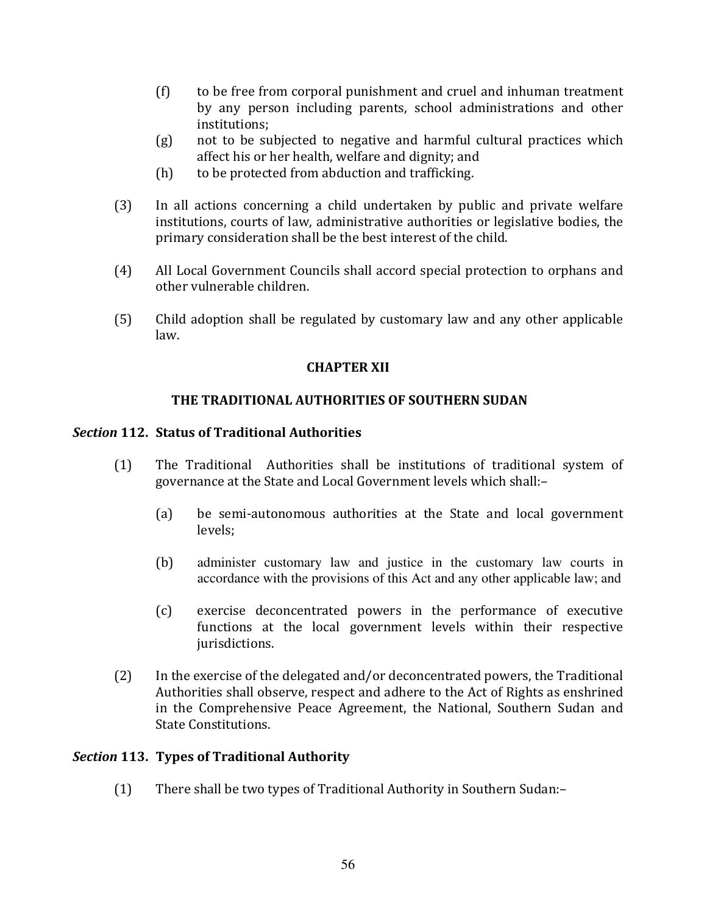- $(f)$ to be free from corporal punishment and cruel and inhuman treatment by any person including parents, school administrations and other institutions:
- not to be subjected to negative and harmful cultural practices which  $(g)$ affect his or her health, welfare and dignity; and
- to be protected from abduction and trafficking.  $(h)$
- $(3)$ In all actions concerning a child undertaken by public and private welfare institutions, courts of law, administrative authorities or legislative bodies, the primary consideration shall be the best interest of the child.
- $(4)$ All Local Government Councils shall accord special protection to orphans and other vulnerable children.
- $(5)$ Child adoption shall be regulated by customary law and any other applicable law.

# **CHAPTER XII**

# THE TRADITIONAL AUTHORITIES OF SOUTHERN SUDAN

## **Section 112. Status of Traditional Authorities**

- The Traditional Authorities shall be institutions of traditional system of  $(1)$ governance at the State and Local Government levels which shall:-
	- $(a)$ be semi-autonomous authorities at the State and local government levels:
	- $(b)$ administer customary law and justice in the customary law courts in accordance with the provisions of this Act and any other applicable law; and
	- $(c)$ exercise deconcentrated powers in the performance of executive functions at the local government levels within their respective jurisdictions.
- $(2)$ In the exercise of the delegated and/or deconcentrated powers, the Traditional Authorities shall observe, respect and adhere to the Act of Rights as enshrined in the Comprehensive Peace Agreement, the National, Southern Sudan and **State Constitutions.**

# Section 113. Types of Traditional Authority

 $(1)$ There shall be two types of Traditional Authority in Southern Sudan:-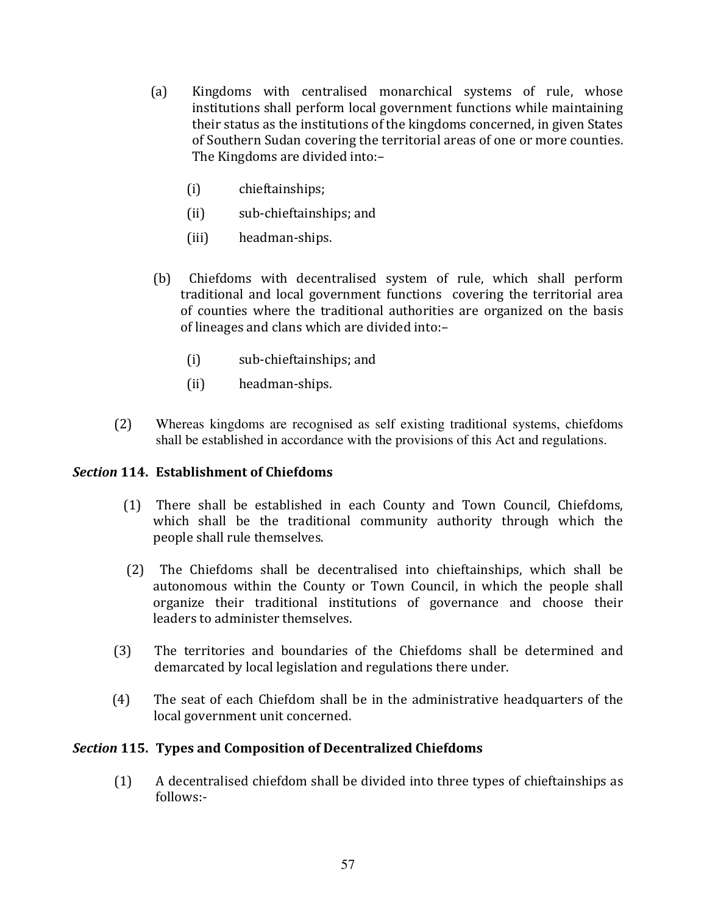- $(a)$ Kingdoms with centralised monarchical systems of rule, whose institutions shall perform local government functions while maintaining their status as the institutions of the kingdoms concerned, in given States of Southern Sudan covering the territorial areas of one or more counties. The Kingdoms are divided into:-
	- $(i)$ chieftainships;
	- $(ii)$ sub-chieftainships; and
	- $(iii)$ headman-ships.
- (b) Chiefdoms with decentralised system of rule, which shall perform traditional and local government functions covering the territorial area of counties where the traditional authorities are organized on the basis of lineages and clans which are divided into:-
	- $(i)$ sub-chieftainships; and
	- $(ii)$ headman-ships.
- $(2)$ Whereas kingdoms are recognised as self existing traditional systems, chiefdoms shall be established in accordance with the provisions of this Act and regulations.

# **Section 114. Establishment of Chiefdoms**

- (1) There shall be established in each County and Town Council, Chiefdoms, which shall be the traditional community authority through which the people shall rule themselves.
- (2) The Chiefdoms shall be decentralised into chieftainships, which shall be autonomous within the County or Town Council, in which the people shall organize their traditional institutions of governance and choose their leaders to administer themselves.
- $(3)$ The territories and boundaries of the Chiefdoms shall be determined and demarcated by local legislation and regulations there under.
- The seat of each Chiefdom shall be in the administrative headquarters of the  $(4)$ local government unit concerned.

# Section 115. Types and Composition of Decentralized Chiefdoms

A decentralised chiefdom shall be divided into three types of chieftainships as  $(1)$  $follows:$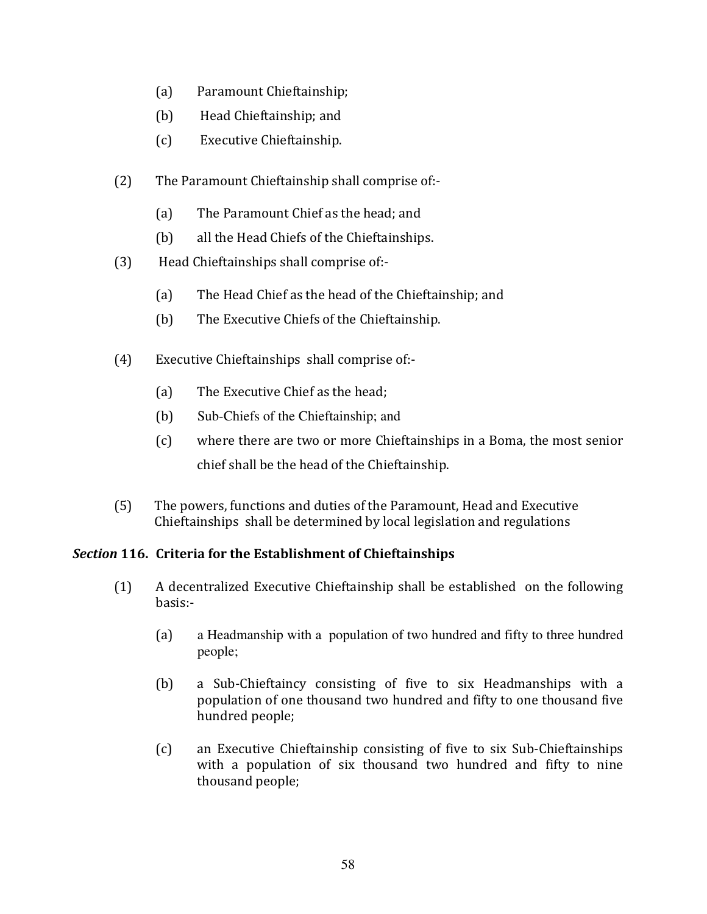- Paramount Chieftainship;  $(a)$
- $(b)$ Head Chieftainship; and
- $(c)$ Executive Chieftainship.
- $(2)$ The Paramount Chieftainship shall comprise of:-
	- The Paramount Chief as the head; and  $(a)$
	- $(b)$ all the Head Chiefs of the Chieftainships.
- $(3)$ Head Chieftainships shall comprise of:-
	- The Head Chief as the head of the Chieftainship; and  $(a)$
	- $(b)$ The Executive Chiefs of the Chieftainship.
- Executive Chieftainships shall comprise of:- $(4)$ 
	- The Executive Chief as the head;  $(a)$
	- $(b)$ Sub-Chiefs of the Chieftainship; and
	- $(c)$ where there are two or more Chieftainships in a Boma, the most senior chief shall be the head of the Chieftainship.
- The powers, functions and duties of the Paramount, Head and Executive  $(5)$ Chieftainships shall be determined by local legislation and regulations

# Section 116. Criteria for the Establishment of Chieftainships

- $(1)$ A decentralized Executive Chieftainship shall be established on the following basis:
	- a Headmanship with a population of two hundred and fifty to three hundred  $(a)$ people;
	- $(b)$ a Sub-Chieftaincy consisting of five to six Headmanships with a population of one thousand two hundred and fifty to one thousand five hundred people;
	- $(c)$ an Executive Chieftainship consisting of five to six Sub-Chieftainships with a population of six thousand two hundred and fifty to nine thousand people;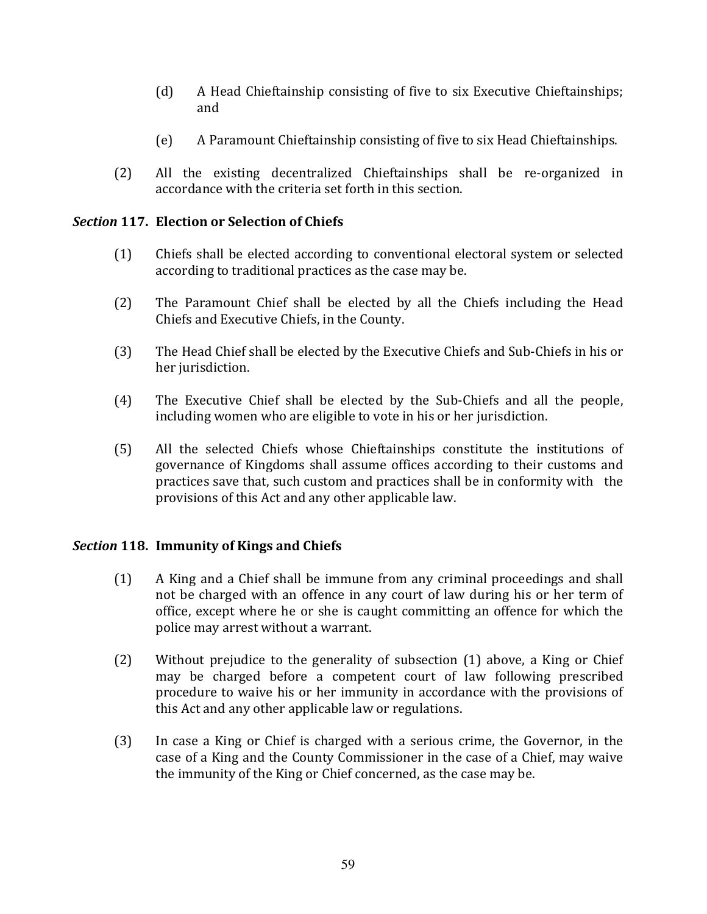- $(d)$ A Head Chieftainship consisting of five to six Executive Chieftainships; and
- $(e)$ A Paramount Chieftainship consisting of five to six Head Chieftainships.
- All the existing decentralized Chieftainships shall be re-organized in  $(2)$ accordance with the criteria set forth in this section.

# Section 117. Election or Selection of Chiefs

- $(1)$ Chiefs shall be elected according to conventional electoral system or selected according to traditional practices as the case may be.
- $(2)$ The Paramount Chief shall be elected by all the Chiefs including the Head Chiefs and Executive Chiefs, in the County.
- $(3)$ The Head Chief shall be elected by the Executive Chiefs and Sub-Chiefs in his or her jurisdiction.
- $(4)$ The Executive Chief shall be elected by the Sub-Chiefs and all the people, including women who are eligible to vote in his or her jurisdiction.
- $(5)$ All the selected Chiefs whose Chieftainships constitute the institutions of governance of Kingdoms shall assume offices according to their customs and practices save that, such custom and practices shall be in conformity with the provisions of this Act and any other applicable law.

# Section 118. Immunity of Kings and Chiefs

- $(1)$ A King and a Chief shall be immune from any criminal proceedings and shall not be charged with an offence in any court of law during his or her term of office, except where he or she is caught committing an offence for which the police may arrest without a warrant.
- Without prejudice to the generality of subsection (1) above, a King or Chief  $(2)$ may be charged before a competent court of law following prescribed procedure to waive his or her immunity in accordance with the provisions of this Act and any other applicable law or regulations.
- $(3)$ In case a King or Chief is charged with a serious crime, the Governor, in the case of a King and the County Commissioner in the case of a Chief, may waive the immunity of the King or Chief concerned, as the case may be.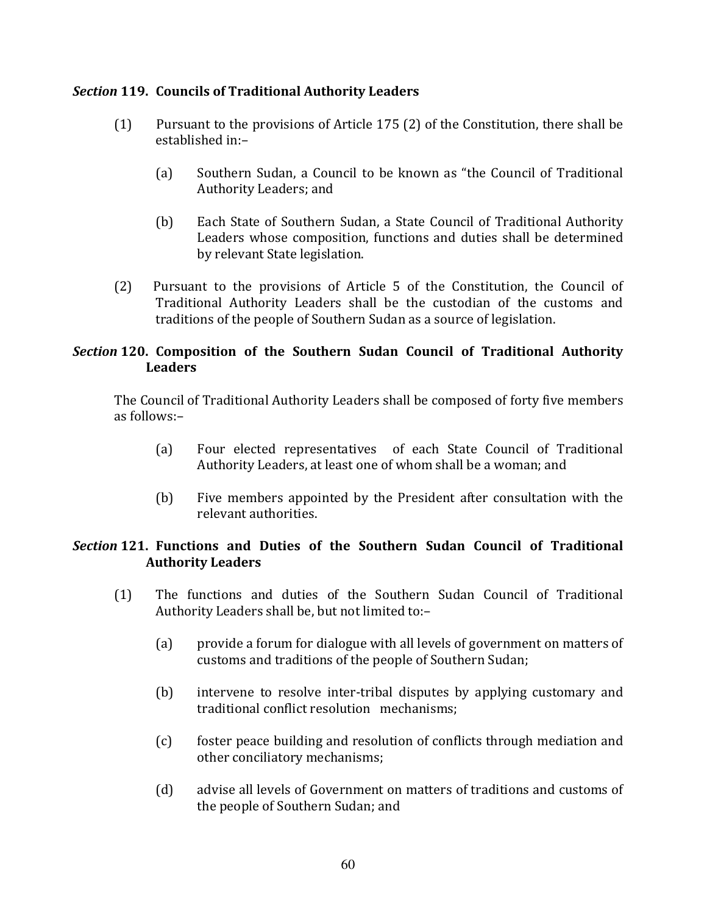# **Section 119. Councils of Traditional Authority Leaders**

- $(1)$ Pursuant to the provisions of Article 175 (2) of the Constitution, there shall be established in:-
	- Southern Sudan, a Council to be known as "the Council of Traditional  $(a)$ Authority Leaders; and
	- $(b)$ Each State of Southern Sudan, a State Council of Traditional Authority Leaders whose composition, functions and duties shall be determined by relevant State legislation.
- Pursuant to the provisions of Article 5 of the Constitution, the Council of  $(2)$ Traditional Authority Leaders shall be the custodian of the customs and traditions of the people of Southern Sudan as a source of legislation.

# Section 120. Composition of the Southern Sudan Council of Traditional Authority **Leaders**

The Council of Traditional Authority Leaders shall be composed of forty five members  $as$  follows:-

- Four elected representatives of each State Council of Traditional  $(a)$ Authority Leaders, at least one of whom shall be a woman; and
- $(b)$ Five members appointed by the President after consultation with the relevant authorities.

# Section 121. Functions and Duties of the Southern Sudan Council of Traditional **Authority Leaders**

- The functions and duties of the Southern Sudan Council of Traditional  $(1)$ Authority Leaders shall be, but not limited to:-
	- $(a)$ provide a forum for dialogue with all levels of government on matters of customs and traditions of the people of Southern Sudan;
	- $(b)$ intervene to resolve inter-tribal disputes by applying customary and traditional conflict resolution mechanisms:
	- $(c)$ foster peace building and resolution of conflicts through mediation and other conciliatory mechanisms;
	- $(d)$ advise all levels of Government on matters of traditions and customs of the people of Southern Sudan; and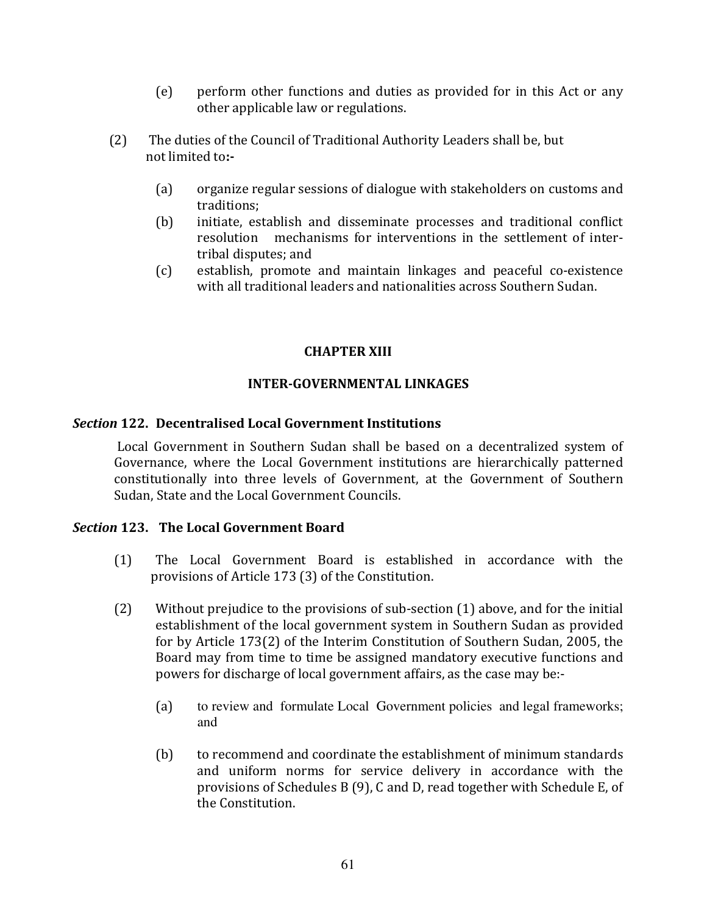- perform other functions and duties as provided for in this Act or any  $(e)$ other applicable law or regulations.
- $(2)$ The duties of the Council of Traditional Authority Leaders shall be, but not limited to:-
	- $(a)$ organize regular sessions of dialogue with stakeholders on customs and traditions:
	- $(b)$ initiate, establish and disseminate processes and traditional conflict resolution mechanisms for interventions in the settlement of intertribal disputes: and
	- establish, promote and maintain linkages and peaceful co-existence  $(c)$ with all traditional leaders and nationalities across Southern Sudan.

# **CHAPTER XIII**

# **INTER-GOVERNMENTAL LINKAGES**

# **Section 122. Decentralised Local Government Institutions**

Local Government in Southern Sudan shall be based on a decentralized system of Governance, where the Local Government institutions are hierarchically patterned constitutionally into three levels of Government, at the Government of Southern Sudan, State and the Local Government Councils.

### Section 123. The Local Government Board

- $(1)$ The Local Government Board is established in accordance with the provisions of Article 173 (3) of the Constitution.
- Without prejudice to the provisions of sub-section (1) above, and for the initial  $(2)$ establishment of the local government system in Southern Sudan as provided for by Article 173(2) of the Interim Constitution of Southern Sudan, 2005, the Board may from time to time be assigned mandatory executive functions and powers for discharge of local government affairs, as the case may be:
	- to review and formulate Local Government policies and legal frameworks;  $(a)$ and
	- $(b)$ to recommend and coordinate the establishment of minimum standards and uniform norms for service delivery in accordance with the provisions of Schedules B (9), C and D, read together with Schedule E, of the Constitution.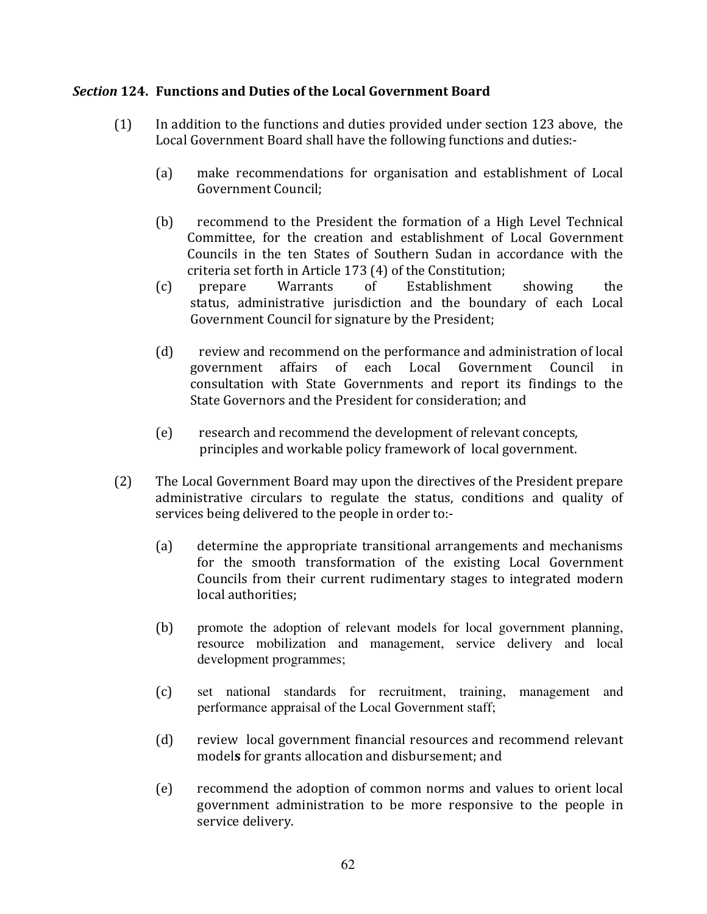# Section 124. Functions and Duties of the Local Government Board

- $(1)$ In addition to the functions and duties provided under section 123 above, the Local Government Board shall have the following functions and duties:-
	- $(a)$ make recommendations for organisation and establishment of Local **Government Council:**
	- $(b)$ recommend to the President the formation of a High Level Technical Committee, for the creation and establishment of Local Government Councils in the ten States of Southern Sudan in accordance with the criteria set forth in Article 173 (4) of the Constitution;
	- $(c)$ Warrants  $\sigma$ f Establishment prepare showing the status, administrative jurisdiction and the boundary of each Local Government Council for signature by the President;
	- $(d)$ review and recommend on the performance and administration of local government affairs of each Local Government Council in consultation with State Governments and report its findings to the State Governors and the President for consideration; and
	- $(e)$ research and recommend the development of relevant concepts, principles and workable policy framework of local government.
- $(2)$ The Local Government Board may upon the directives of the President prepare administrative circulars to regulate the status, conditions and quality of services being delivered to the people in order to:-
	- $(a)$ determine the appropriate transitional arrangements and mechanisms for the smooth transformation of the existing Local Government Councils from their current rudimentary stages to integrated modern local authorities;
	- $(b)$ promote the adoption of relevant models for local government planning, resource mobilization and management, service delivery and local development programmes;
	- $(c)$ set national standards for recruitment, training, management and performance appraisal of the Local Government staff;
	- $(d)$ review local government financial resources and recommend relevant models for grants allocation and disbursement; and
	- recommend the adoption of common norms and values to orient local  $(e)$ government administration to be more responsive to the people in service delivery.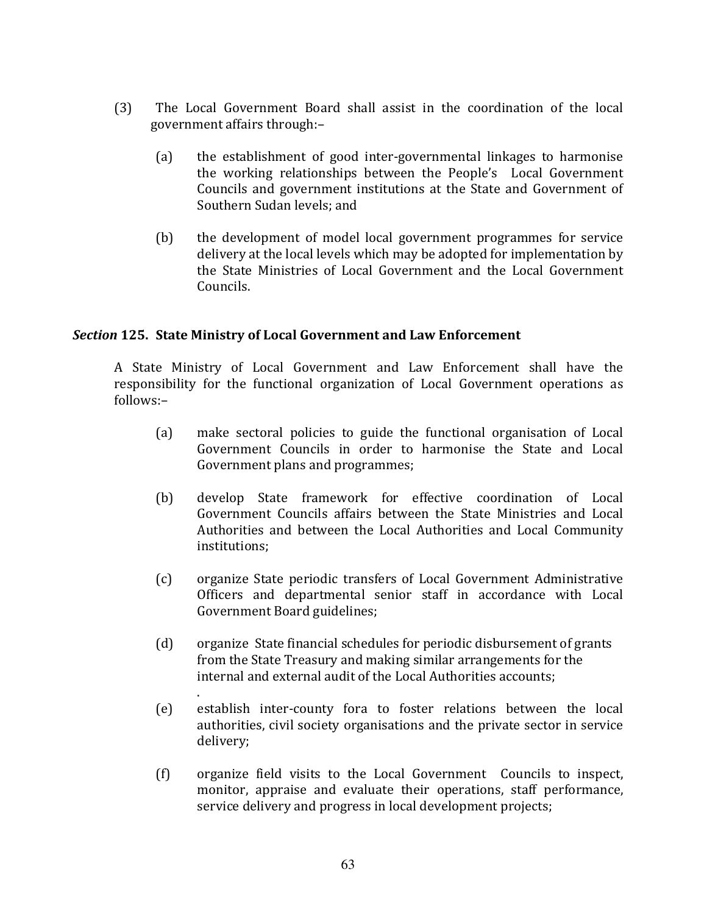- $(3)$ The Local Government Board shall assist in the coordination of the local government affairs through:-
	- $(a)$ the establishment of good inter-governmental linkages to harmonise the working relationships between the People's Local Government Councils and government institutions at the State and Government of Southern Sudan levels: and
	- $(b)$ the development of model local government programmes for service delivery at the local levels which may be adopted for implementation by the State Ministries of Local Government and the Local Government Councils.

# Section 125. State Ministry of Local Government and Law Enforcement

A State Ministry of Local Government and Law Enforcement shall have the responsibility for the functional organization of Local Government operations as follows:-

- $(a)$ make sectoral policies to guide the functional organisation of Local Government Councils in order to harmonise the State and Local Government plans and programmes;
- develop State framework for effective coordination of Local  $(b)$ Government Councils affairs between the State Ministries and Local Authorities and between the Local Authorities and Local Community institutions:
- organize State periodic transfers of Local Government Administrative  $(c)$ Officers and departmental senior staff in accordance with Local Government Board guidelines:
- $(d)$ organize State financial schedules for periodic disbursement of grants from the State Treasury and making similar arrangements for the internal and external audit of the Local Authorities accounts:
- $(e)$ establish inter-county fora to foster relations between the local authorities, civil society organisations and the private sector in service delivery;
- $(f)$ organize field visits to the Local Government Councils to inspect, monitor, appraise and evaluate their operations, staff performance, service delivery and progress in local development projects;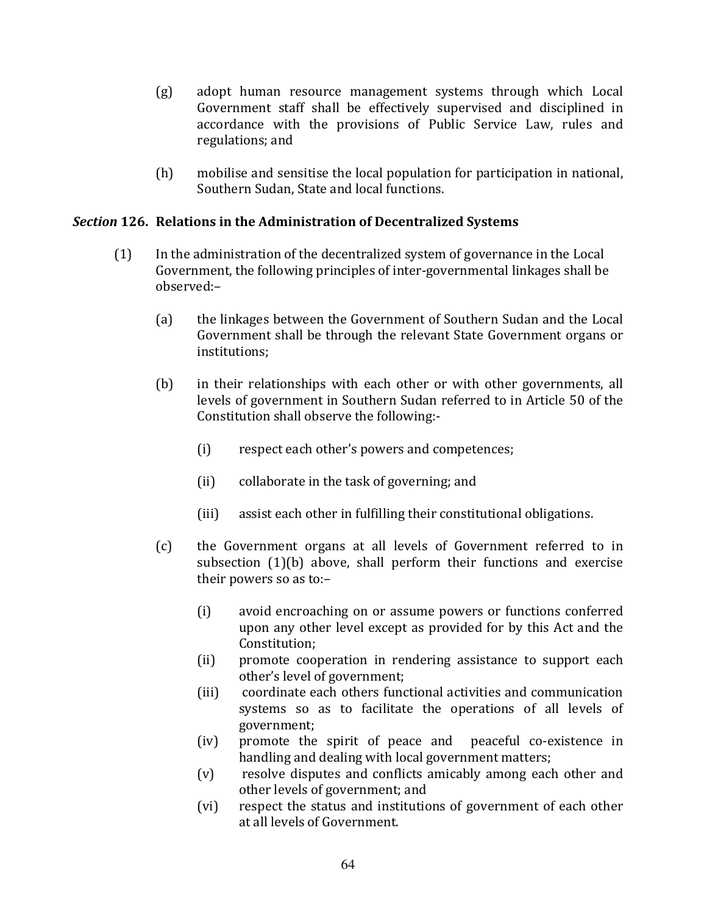- adopt human resource management systems through which Local  $(g)$ Government staff shall be effectively supervised and disciplined in accordance with the provisions of Public Service Law, rules and regulations; and
- $(h)$ mobilise and sensitise the local population for participation in national, Southern Sudan, State and local functions.

# Section 126. Relations in the Administration of Decentralized Systems

- In the administration of the decentralized system of governance in the Local  $(1)$ Government, the following principles of inter-governmental linkages shall be observed:-
	- $(a)$ the linkages between the Government of Southern Sudan and the Local Government shall be through the relevant State Government organs or institutions:
	- $(b)$ in their relationships with each other or with other governments, all levels of government in Southern Sudan referred to in Article 50 of the Constitution shall observe the following:-
		- $(i)$ respect each other's powers and competences;
		- $(ii)$ collaborate in the task of governing; and
		- $(iii)$ assist each other in fulfilling their constitutional obligations.
	- $(c)$ the Government organs at all levels of Government referred to in subsection (1)(b) above, shall perform their functions and exercise their powers so as to:-
		- $(i)$ avoid encroaching on or assume powers or functions conferred upon any other level except as provided for by this Act and the Constitution:
		- promote cooperation in rendering assistance to support each  $(ii)$ other's level of government:
		- coordinate each others functional activities and communication  $(iii)$ systems so as to facilitate the operations of all levels of government;
		- $(iv)$ promote the spirit of peace and peaceful co-existence in handling and dealing with local government matters;
		- resolve disputes and conflicts amicably among each other and  $(v)$ other levels of government; and
		- respect the status and institutions of government of each other  $(vi)$ at all levels of Government.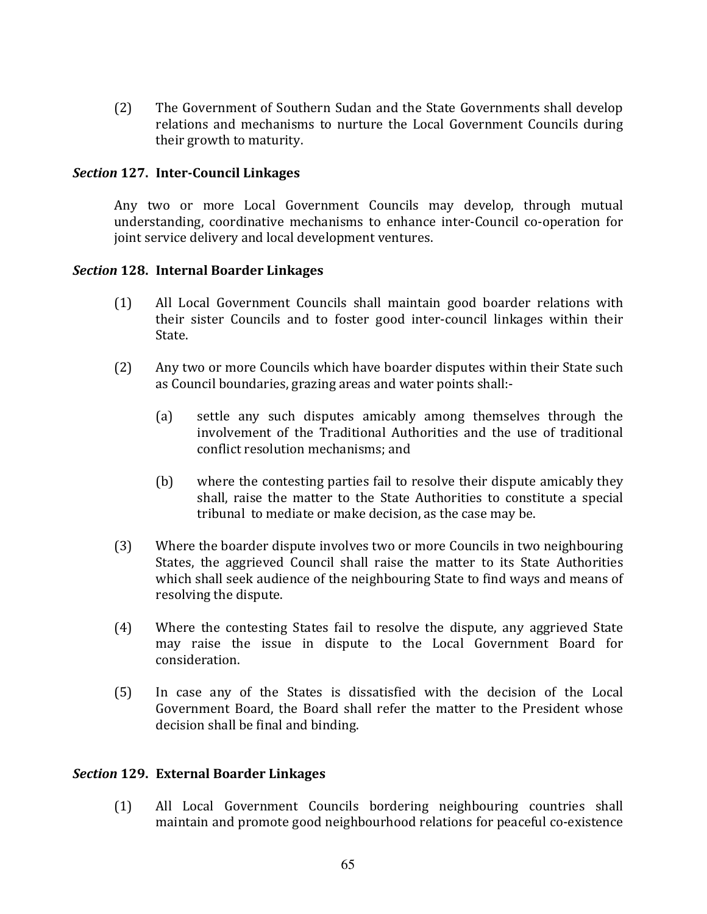$(2)$ The Government of Southern Sudan and the State Governments shall develop relations and mechanisms to nurture the Local Government Councils during their growth to maturity.

## Section 127. Inter-Council Linkages

Any two or more Local Government Councils may develop, through mutual understanding, coordinative mechanisms to enhance inter-Council co-operation for joint service delivery and local development ventures.

### Section 128. Internal Boarder Linkages

- $(1)$ All Local Government Councils shall maintain good boarder relations with their sister Councils and to foster good inter-council linkages within their State.
- $(2)$ Any two or more Councils which have boarder disputes within their State such as Council boundaries, grazing areas and water points shall:-
	- $(a)$ settle any such disputes amicably among themselves through the involvement of the Traditional Authorities and the use of traditional conflict resolution mechanisms: and
	- $(b)$ where the contesting parties fail to resolve their dispute amicably they shall, raise the matter to the State Authorities to constitute a special tribunal to mediate or make decision, as the case may be.
- $(3)$ Where the boarder dispute involves two or more Councils in two neighbouring States, the aggrieved Council shall raise the matter to its State Authorities which shall seek audience of the neighbouring State to find ways and means of resolving the dispute.
- $(4)$ Where the contesting States fail to resolve the dispute, any aggrieved State may raise the issue in dispute to the Local Government Board for consideration.
- In case any of the States is dissatisfied with the decision of the Local  $(5)$ Government Board, the Board shall refer the matter to the President whose decision shall be final and binding.

# **Section 129. External Boarder Linkages**

All Local Government Councils bordering neighbouring countries shall  $(1)$ maintain and promote good neighbourhood relations for peaceful co-existence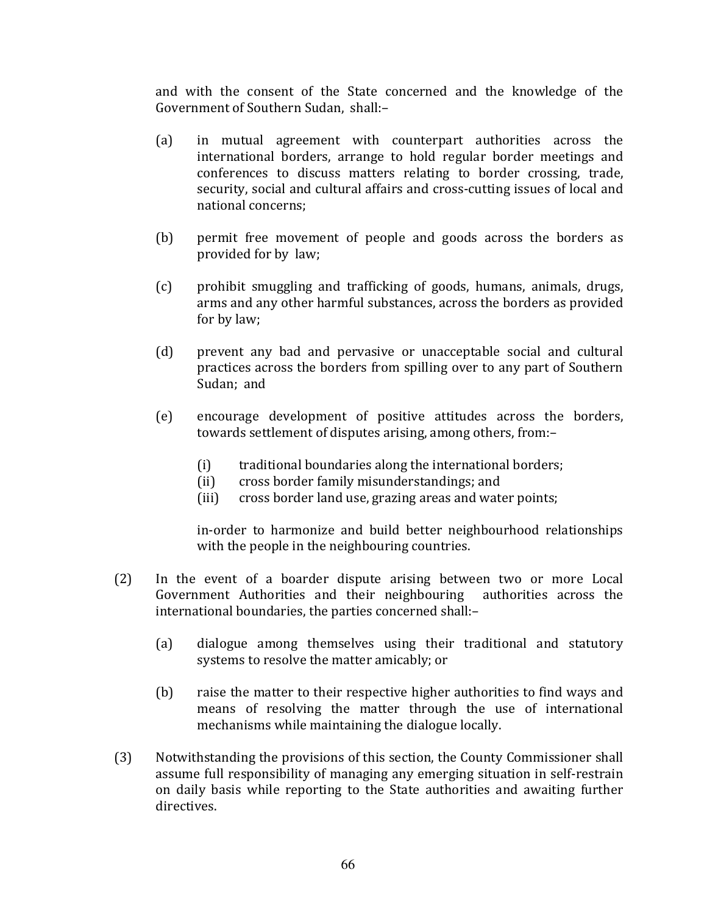and with the consent of the State concerned and the knowledge of the Government of Southern Sudan, shall:-

- in mutual agreement with counterpart authorities across the  $(a)$ international borders, arrange to hold regular border meetings and conferences to discuss matters relating to border crossing, trade, security, social and cultural affairs and cross-cutting issues of local and national concerns;
- $(b)$ permit free movement of people and goods across the borders as provided for by law;
- $(c)$ prohibit smuggling and trafficking of goods, humans, animals, drugs, arms and any other harmful substances, across the borders as provided for by law;
- $(d)$ prevent any bad and pervasive or unacceptable social and cultural practices across the borders from spilling over to any part of Southern Sudan: and
- $(e)$ encourage development of positive attitudes across the borders, towards settlement of disputes arising, among others, from:
	- traditional boundaries along the international borders;  $(i)$
	- cross border family misunderstandings; and  $(ii)$
	- cross border land use, grazing areas and water points;  $(iii)$

in-order to harmonize and build better neighbourhood relationships with the people in the neighbouring countries.

- In the event of a boarder dispute arising between two or more Local  $(2)$ Government Authorities and their neighbouring authorities across the international boundaries, the parties concerned shall:-
	- $(a)$ dialogue among themselves using their traditional and statutory systems to resolve the matter amicably; or
	- $(b)$ raise the matter to their respective higher authorities to find ways and means of resolving the matter through the use of international mechanisms while maintaining the dialogue locally.
- $(3)$ Notwithstanding the provisions of this section, the County Commissioner shall assume full responsibility of managing any emerging situation in self-restrain on daily basis while reporting to the State authorities and awaiting further directives.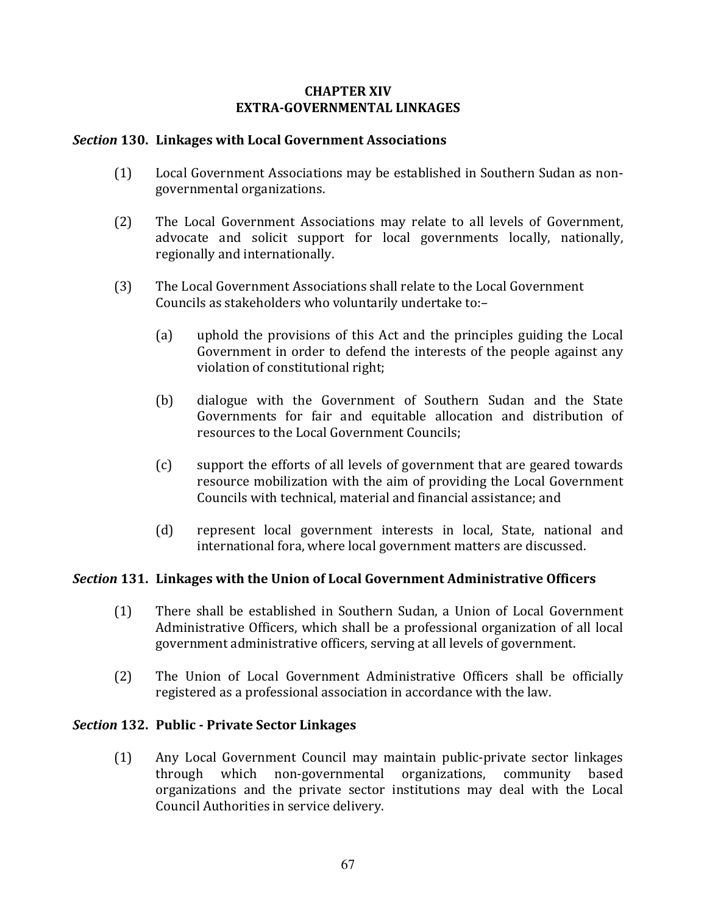# **CHAPTER XIV EXTRA-GOVERNMENTAL LINKAGES**

# Section 130. Linkages with Local Government Associations

- Local Government Associations may be established in Southern Sudan as non- $(1)$ governmental organizations.
- $(2)$ The Local Government Associations may relate to all levels of Government. advocate and solicit support for local governments locally, nationally, regionally and internationally.
- $(3)$ The Local Government Associations shall relate to the Local Government Councils as stakeholders who voluntarily undertake to:-
	- $(a)$ uphold the provisions of this Act and the principles guiding the Local Government in order to defend the interests of the people against any violation of constitutional right;
	- $(b)$ dialogue with the Government of Southern Sudan and the State Governments for fair and equitable allocation and distribution of resources to the Local Government Councils:
	- support the efforts of all levels of government that are geared towards  $(c)$ resource mobilization with the aim of providing the Local Government Councils with technical, material and financial assistance; and
	- $(d)$ represent local government interests in local, State, national and international fora, where local government matters are discussed.

# Section 131. Linkages with the Union of Local Government Administrative Officers

- $(1)$ There shall be established in Southern Sudan, a Union of Local Government Administrative Officers, which shall be a professional organization of all local government administrative officers, serving at all levels of government.
- $(2)$ The Union of Local Government Administrative Officers shall be officially registered as a professional association in accordance with the law.

# Section 132. Public - Private Sector Linkages

 $(1)$ Any Local Government Council may maintain public-private sector linkages community through which non-governmental organizations, based organizations and the private sector institutions may deal with the Local Council Authorities in service delivery.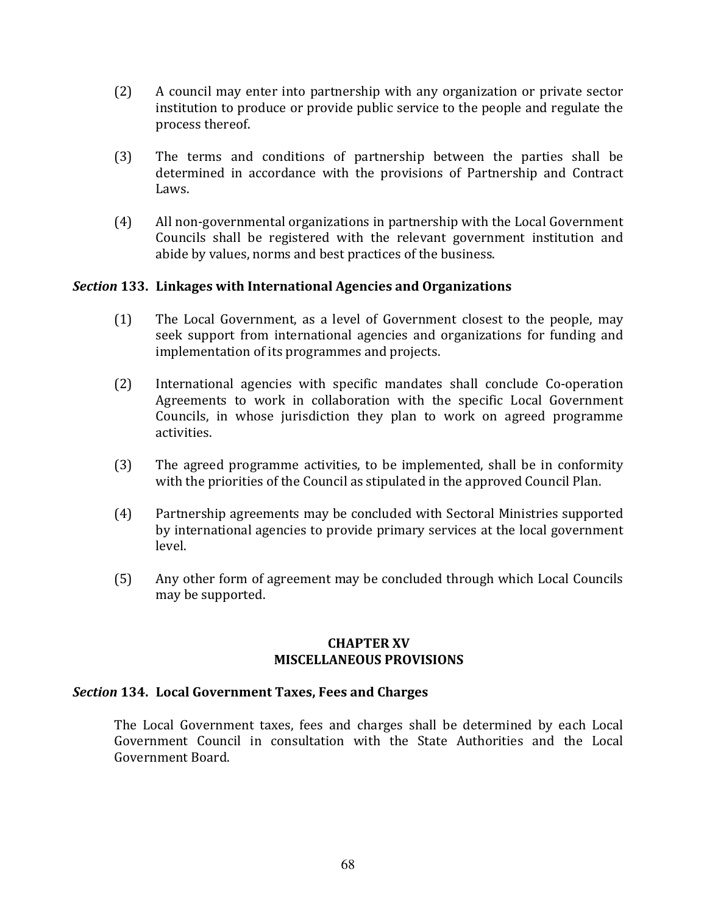- $(2)$ A council may enter into partnership with any organization or private sector institution to produce or provide public service to the people and regulate the process thereof.
- $(3)$ The terms and conditions of partnership between the parties shall be determined in accordance with the provisions of Partnership and Contract Laws.
- $(4)$ All non-governmental organizations in partnership with the Local Government Councils shall be registered with the relevant government institution and abide by values, norms and best practices of the business.

# Section 133. Linkages with International Agencies and Organizations

- The Local Government, as a level of Government closest to the people, may  $(1)$ seek support from international agencies and organizations for funding and implementation of its programmes and projects.
- $(2)$ International agencies with specific mandates shall conclude Co-operation Agreements to work in collaboration with the specific Local Government Councils, in whose jurisdiction they plan to work on agreed programme activities.
- The agreed programme activities, to be implemented, shall be in conformity  $(3)$ with the priorities of the Council as stipulated in the approved Council Plan.
- Partnership agreements may be concluded with Sectoral Ministries supported  $(4)$ by international agencies to provide primary services at the local government level.
- $(5)$ Any other form of agreement may be concluded through which Local Councils may be supported.

### **CHAPTER XV MISCELLANEOUS PROVISIONS**

### Section 134. Local Government Taxes, Fees and Charges

The Local Government taxes, fees and charges shall be determined by each Local Government Council in consultation with the State Authorities and the Local Government Board.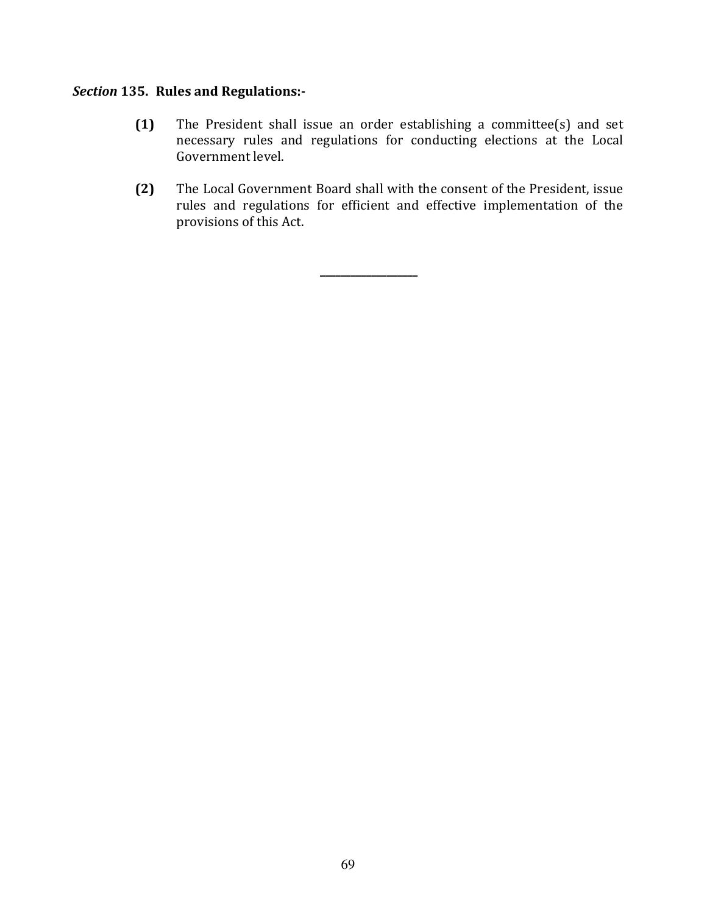# Section 135. Rules and Regulations:-

- $(1)$ The President shall issue an order establishing a committee(s) and set necessary rules and regulations for conducting elections at the Local Government level.
- $(2)$ The Local Government Board shall with the consent of the President, issue rules and regulations for efficient and effective implementation of the provisions of this Act.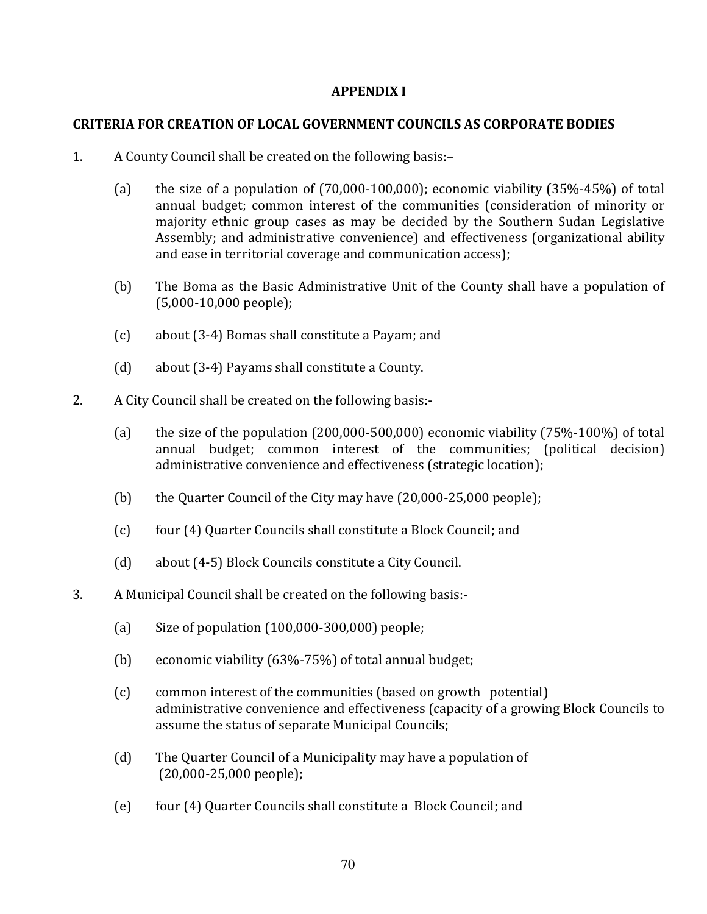## **APPENDIX I**

# **CRITERIA FOR CREATION OF LOCAL GOVERNMENT COUNCILS AS CORPORATE BODIES**

- $1<sub>1</sub>$ A County Council shall be created on the following basis:-
	- $(a)$ the size of a population of  $(70,000-100,000)$ ; economic viability  $(35\% - 45\%)$  of total annual budget; common interest of the communities (consideration of minority or majority ethnic group cases as may be decided by the Southern Sudan Legislative Assembly; and administrative convenience) and effectiveness (organizational ability and ease in territorial coverage and communication access);
	- $(b)$ The Boma as the Basic Administrative Unit of the County shall have a population of  $(5,000-10,000$  people);
	- $(c)$ about (3-4) Bomas shall constitute a Payam; and
	- $(d)$ about (3-4) Payams shall constitute a County.
- 2. A City Council shall be created on the following basis:-
	- $(a)$ the size of the population  $(200,000-500,000)$  economic viability  $(75\% -100\%)$  of total annual budget; common interest of the communities; (political decision) administrative convenience and effectiveness (strategic location);
	- $(b)$ the Quarter Council of the City may have (20,000-25,000 people);
	- $(c)$ four (4) Quarter Councils shall constitute a Block Council; and
	- $(d)$ about (4-5) Block Councils constitute a City Council.
- 3. A Municipal Council shall be created on the following basis:-
	- $(a)$ Size of population (100,000-300,000) people;
	- $(b)$ economic viability (63%-75%) of total annual budget;
	- $(c)$ common interest of the communities (based on growth potential) administrative convenience and effectiveness (capacity of a growing Block Councils to assume the status of separate Municipal Councils;
	- The Quarter Council of a Municipality may have a population of  $(d)$  $(20,000-25,000$  people);
	- four (4) Quarter Councils shall constitute a Block Council; and  $(e)$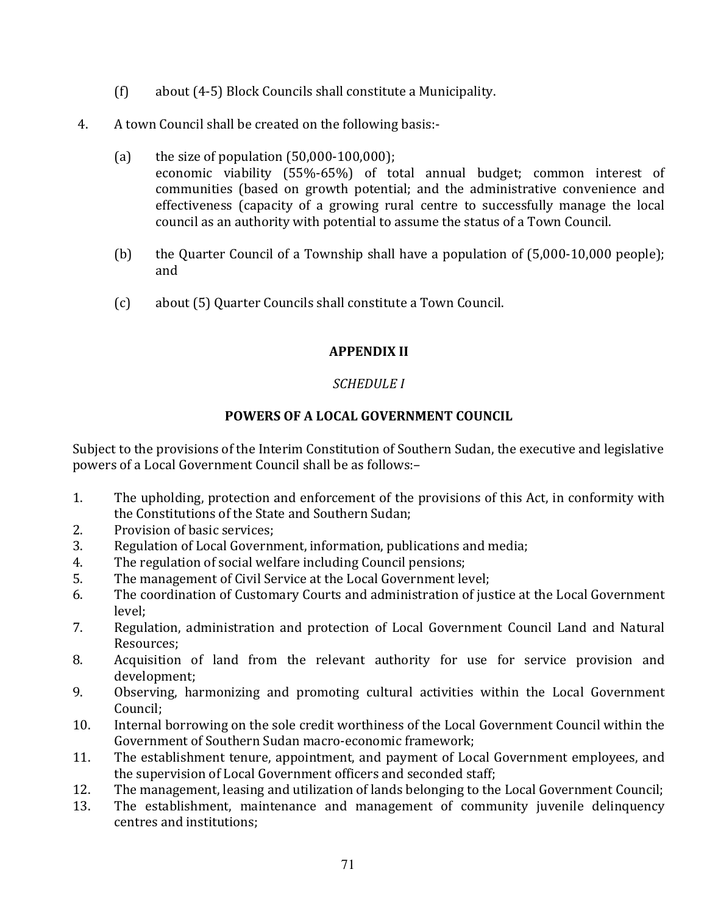- $(f)$ about (4-5) Block Councils shall constitute a Municipality.
- $4.$ A town Council shall be created on the following basis:-
	- $(a)$ the size of population  $(50,000-100,000)$ ; economic viability (55%-65%) of total annual budget; common interest of communities (based on growth potential; and the administrative convenience and effectiveness (capacity of a growing rural centre to successfully manage the local council as an authority with potential to assume the status of a Town Council.
	- the Quarter Council of a Township shall have a population of (5,000-10,000 people);  $(b)$ and
	- $(c)$ about (5) Quarter Councils shall constitute a Town Council.

# **APPENDIX II**

# **SCHEDULE I**

# POWERS OF A LOCAL GOVERNMENT COUNCIL

Subject to the provisions of the Interim Constitution of Southern Sudan, the executive and legislative powers of a Local Government Council shall be as follows:-

- $1<sub>1</sub>$ The upholding, protection and enforcement of the provisions of this Act, in conformity with the Constitutions of the State and Southern Sudan:
- 2. Provision of basic services;
- 3. Regulation of Local Government, information, publications and media;
- The regulation of social welfare including Council pensions; 4.
- 5. The management of Civil Service at the Local Government level:
- The coordination of Customary Courts and administration of justice at the Local Government 6. level:
- 7. Regulation, administration and protection of Local Government Council Land and Natural Resources:
- 8. Acquisition of land from the relevant authority for use for service provision and development:
- 9. Observing, harmonizing and promoting cultural activities within the Local Government Council:
- 10. Internal borrowing on the sole credit worthiness of the Local Government Council within the Government of Southern Sudan macro-economic framework;
- The establishment tenure, appointment, and payment of Local Government employees, and 11. the supervision of Local Government officers and seconded staff;
- The management, leasing and utilization of lands belonging to the Local Government Council;  $12.$
- 13. The establishment, maintenance and management of community juvenile delinquency centres and institutions: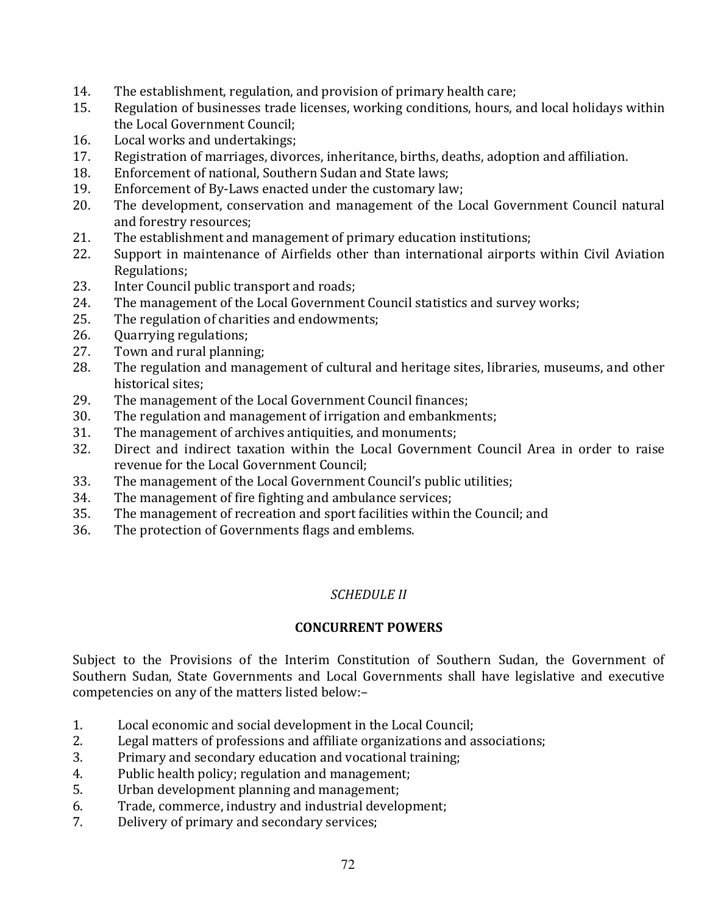- $14.$ The establishment, regulation, and provision of primary health care;
- 15. Regulation of businesses trade licenses, working conditions, hours, and local holidays within the Local Government Council;
- 16. Local works and undertakings:
- $17.$ Registration of marriages, divorces, inheritance, births, deaths, adoption and affiliation.
- Enforcement of national. Southern Sudan and State laws: 18.
- Enforcement of By-Laws enacted under the customary law; 19.
- The development, conservation and management of the Local Government Council natural  $20<sub>1</sub>$ and forestry resources;
- The establishment and management of primary education institutions; 21.
- 22. Support in maintenance of Airfields other than international airports within Civil Aviation Regulations:
- 23. Inter Council public transport and roads;
- The management of the Local Government Council statistics and survey works; 24.
- 25. The regulation of charities and endowments:
- Quarrying regulations; 26.
- $27<sub>1</sub>$ Town and rural planning:
- The regulation and management of cultural and heritage sites, libraries, museums, and other 28. historical sites:
- 29. The management of the Local Government Council finances;
- 30. The regulation and management of irrigation and embankments;
- The management of archives antiquities, and monuments; 31.
- Direct and indirect taxation within the Local Government Council Area in order to raise 32. revenue for the Local Government Council:
- 33. The management of the Local Government Council's public utilities;
- The management of fire fighting and ambulance services; 34.
- 35. The management of recreation and sport facilities within the Council; and
- 36. The protection of Governments flags and emblems.

# **SCHEDULE II**

# **CONCURRENT POWERS**

Subject to the Provisions of the Interim Constitution of Southern Sudan, the Government of Southern Sudan, State Governments and Local Governments shall have legislative and executive competencies on any of the matters listed below:-

- 1. Local economic and social development in the Local Council;
- Legal matters of professions and affiliate organizations and associations; 2.
- Primary and secondary education and vocational training; 3.
- Public health policy; regulation and management; 4.
- Urban development planning and management; 5.
- Trade, commerce, industry and industrial development; 6.
- $7<sup>1</sup>$ Delivery of primary and secondary services;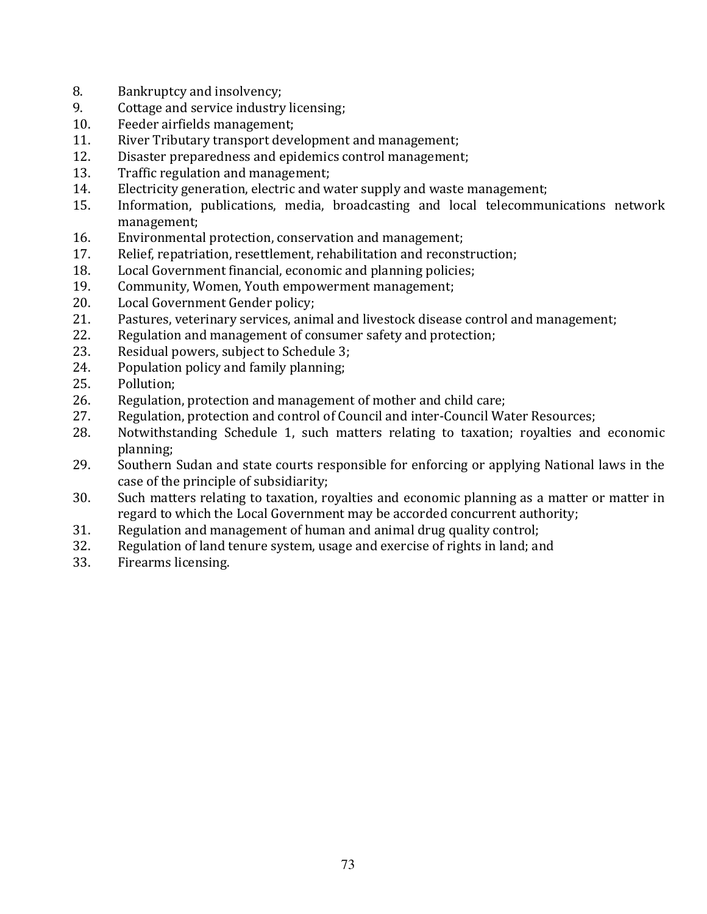- $8<sub>1</sub>$ Bankruptcy and insolvency;
- 9. Cottage and service industry licensing;
- Feeder airfields management:  $10.$
- 11. River Tributary transport development and management;
- $12.$ Disaster preparedness and epidemics control management;
- 13. Traffic regulation and management:
- Electricity generation, electric and water supply and waste management; 14.
- Information, publications, media, broadcasting and local telecommunications network 15. management:
- $16.$ Environmental protection, conservation and management;
- 17. Relief, repatriation, resettlement, rehabilitation and reconstruction;
- Local Government financial, economic and planning policies; 18.
- 19. Community, Women, Youth empowerment management;
- 20. Local Government Gender policy;
- 21. Pastures, veterinary services, animal and livestock disease control and management;
- 22. Regulation and management of consumer safety and protection;
- $23.$ Residual powers, subject to Schedule 3;
- Population policy and family planning; 24.
- 25. Pollution:
- 26. Regulation, protection and management of mother and child care;
- 27. Regulation, protection and control of Council and inter-Council Water Resources;
- 28. Notwithstanding Schedule 1, such matters relating to taxation; royalties and economic planning;
- 29. Southern Sudan and state courts responsible for enforcing or applying National laws in the case of the principle of subsidiarity;
- Such matters relating to taxation, royalties and economic planning as a matter or matter in 30. regard to which the Local Government may be accorded concurrent authority;
- 31. Regulation and management of human and animal drug quality control;
- $32<sub>1</sub>$ Regulation of land tenure system, usage and exercise of rights in land; and
- Firearms licensing. 33.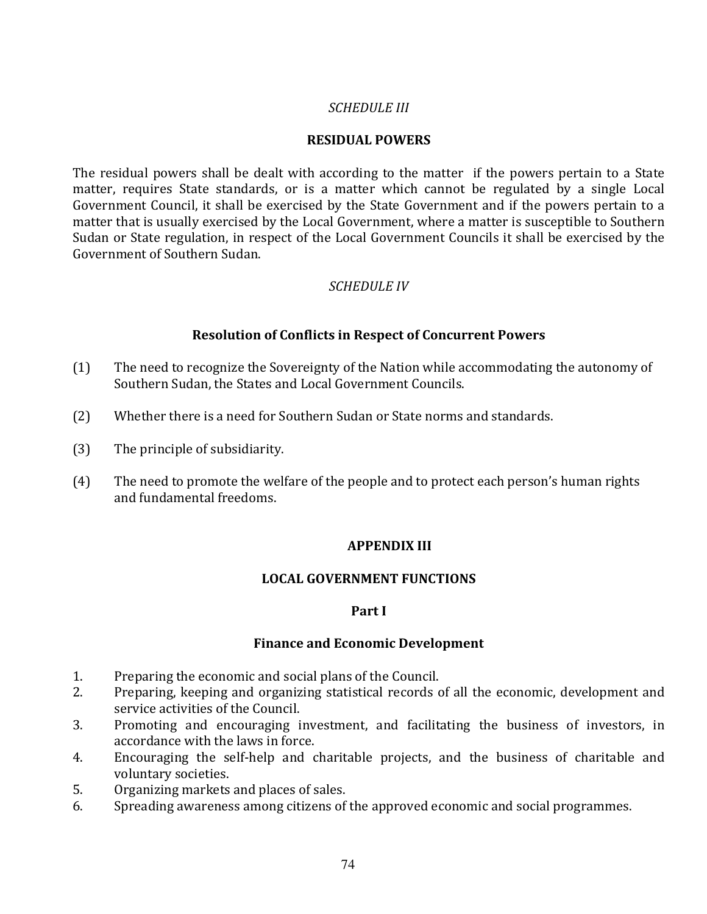### **SCHEDULE III**

### **RESIDUAL POWERS**

The residual powers shall be dealt with according to the matter if the powers pertain to a State matter, requires State standards, or is a matter which cannot be regulated by a single Local Government Council, it shall be exercised by the State Government and if the powers pertain to a matter that is usually exercised by the Local Government, where a matter is susceptible to Southern Sudan or State regulation, in respect of the Local Government Councils it shall be exercised by the Government of Southern Sudan.

### **SCHEDULE IV**

### **Resolution of Conflicts in Respect of Concurrent Powers**

- $(1)$ The need to recognize the Sovereignty of the Nation while accommodating the autonomy of Southern Sudan, the States and Local Government Councils.
- $(2)$ Whether there is a need for Southern Sudan or State norms and standards.
- The principle of subsidiarity.  $(3)$
- $(4)$ The need to promote the welfare of the people and to protect each person's human rights and fundamental freedoms.

### **APPENDIX III**

### **LOCAL GOVERNMENT FUNCTIONS**

### Part I

### **Finance and Economic Development**

- $1.$ Preparing the economic and social plans of the Council.
- Preparing, keeping and organizing statistical records of all the economic, development and  $2.$ service activities of the Council.
- Promoting and encouraging investment, and facilitating the business of investors, in 3. accordance with the laws in force.
- Encouraging the self-help and charitable projects, and the business of charitable and 4. voluntary societies.
- Organizing markets and places of sales. 5.
- Spreading awareness among citizens of the approved economic and social programmes. 6.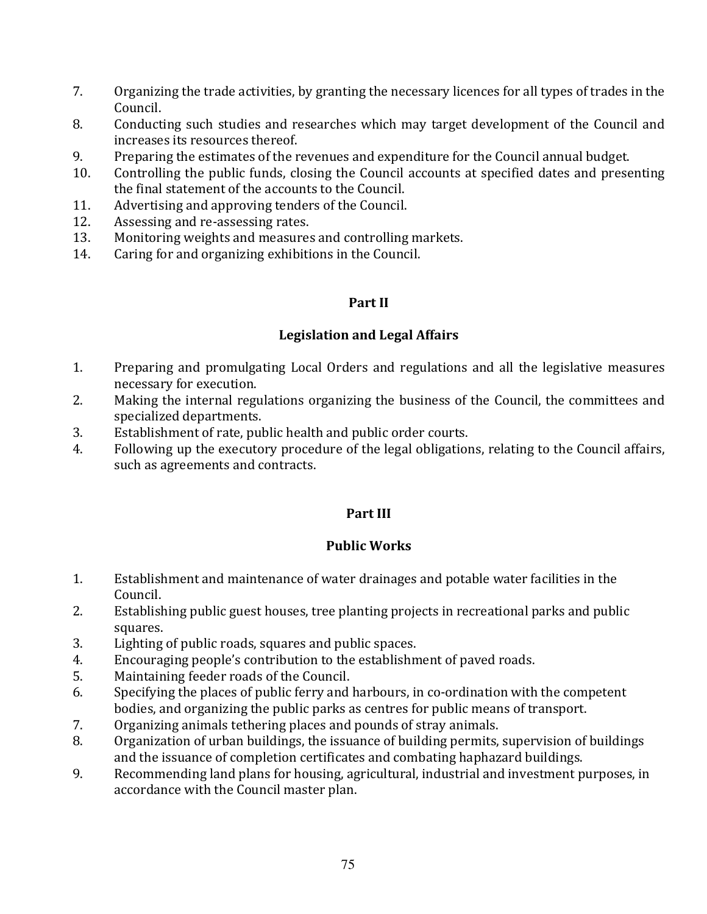- $7<sup>1</sup>$ Organizing the trade activities, by granting the necessary licences for all types of trades in the Council.
- 8. Conducting such studies and researches which may target development of the Council and increases its resources thereof.
- 9. Preparing the estimates of the revenues and expenditure for the Council annual budget.
- Controlling the public funds, closing the Council accounts at specified dates and presenting 10. the final statement of the accounts to the Council.
- Advertising and approving tenders of the Council. 11.
- 12. Assessing and re-assessing rates.
- $13.$ Monitoring weights and measures and controlling markets.
- Caring for and organizing exhibitions in the Council. 14.

## Part II

## **Legislation and Legal Affairs**

- $1<sub>1</sub>$ Preparing and promulgating Local Orders and regulations and all the legislative measures necessary for execution.
- Making the internal regulations organizing the business of the Council, the committees and 2. specialized departments.
- 3. Establishment of rate, public health and public order courts.
- Following up the executory procedure of the legal obligations, relating to the Council affairs,  $4.$ such as agreements and contracts.

# Part III

## **Public Works**

- $1.$ Establishment and maintenance of water drainages and potable water facilities in the Council.
- $2.$ Establishing public guest houses, tree planting projects in recreational parks and public squares.
- 3. Lighting of public roads, squares and public spaces.
- 4. Encouraging people's contribution to the establishment of paved roads.
- 5. Maintaining feeder roads of the Council.
- Specifying the places of public ferry and harbours, in co-ordination with the competent 6. bodies, and organizing the public parks as centres for public means of transport.
- Organizing animals tethering places and pounds of stray animals. 7.
- Organization of urban buildings, the issuance of building permits, supervision of buildings 8. and the issuance of completion certificates and combating haphazard buildings.
- 9. Recommending land plans for housing, agricultural, industrial and investment purposes, in accordance with the Council master plan.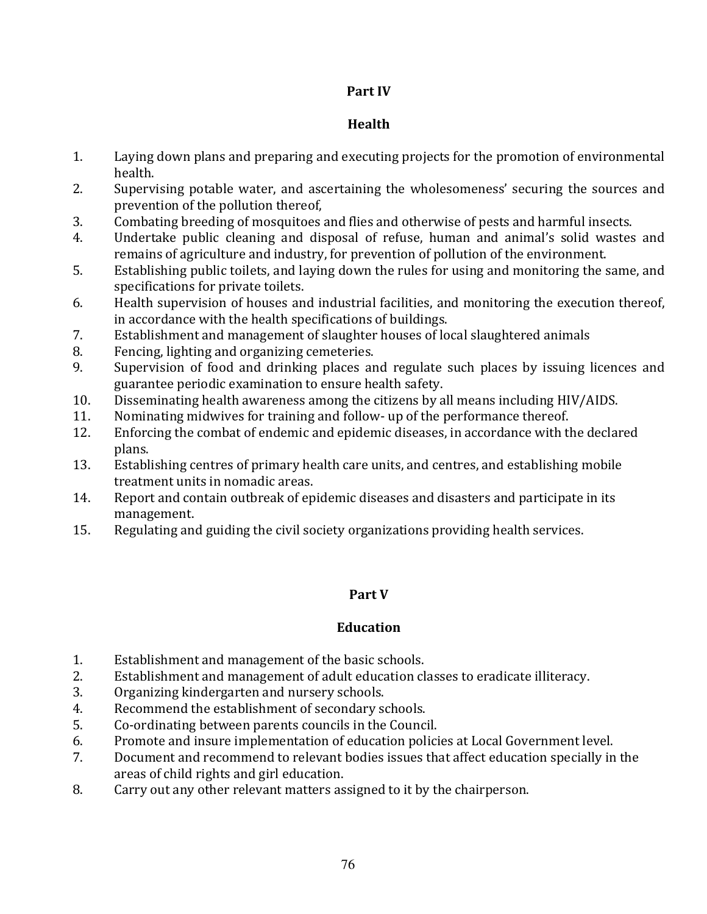## Part IV

## Health

- $1<sub>1</sub>$ Laying down plans and preparing and executing projects for the promotion of environmental health.
- 2. Supervising potable water, and ascertaining the wholesomeness' securing the sources and prevention of the pollution thereof.
- 3. Combating breeding of mosquitoes and flies and otherwise of pests and harmful insects.
- Undertake public cleaning and disposal of refuse, human and animal's solid wastes and  $4<sub>1</sub>$ remains of agriculture and industry, for prevention of pollution of the environment.
- 5. Establishing public toilets, and laying down the rules for using and monitoring the same, and specifications for private toilets.
- 6. Health supervision of houses and industrial facilities, and monitoring the execution thereof, in accordance with the health specifications of buildings.
- 7. Establishment and management of slaughter houses of local slaughtered animals
- $\mathsf{R}$ . Fencing, lighting and organizing cemeteries.
- Supervision of food and drinking places and regulate such places by issuing licences and 9. guarantee periodic examination to ensure health safety.
- Disseminating health awareness among the citizens by all means including HIV/AIDS. 10.
- 11. Nominating midwives for training and follow- up of the performance thereof.
- Enforcing the combat of endemic and epidemic diseases, in accordance with the declared 12. plans.
- 13. Establishing centres of primary health care units, and centres, and establishing mobile treatment units in nomadic areas.
- $14.$ Report and contain outbreak of epidemic diseases and disasters and participate in its management.
- 15. Regulating and guiding the civil society organizations providing health services.

## Part V

## **Education**

- Establishment and management of the basic schools. 1.
- $2.$ Establishment and management of adult education classes to eradicate illiteracy.
- Organizing kindergarten and nursery schools. 3.
- Recommend the establishment of secondary schools. 4.
- 5. Co-ordinating between parents councils in the Council.
- Promote and insure implementation of education policies at Local Government level. 6.
- Document and recommend to relevant bodies issues that affect education specially in the 7. areas of child rights and girl education.
- Carry out any other relevant matters assigned to it by the chairperson. 8.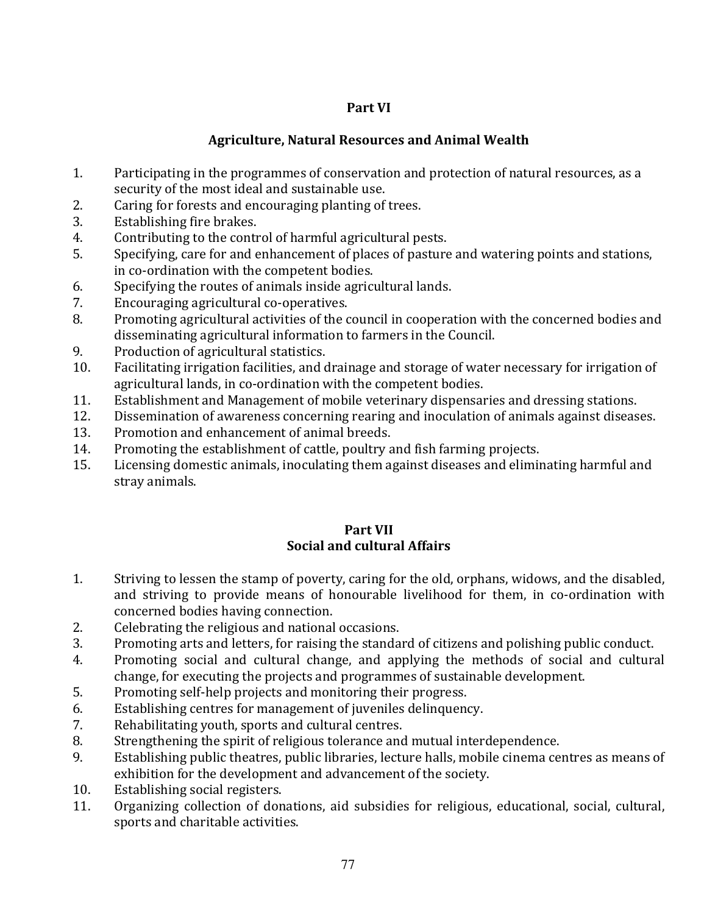## Part VI

## **Agriculture, Natural Resources and Animal Wealth**

- $1.$ Participating in the programmes of conservation and protection of natural resources, as a security of the most ideal and sustainable use.
- $2.$ Caring for forests and encouraging planting of trees.
- 3. Establishing fire brakes.
- $4.$ Contributing to the control of harmful agricultural pests.
- 5. Specifying, care for and enhancement of places of pasture and watering points and stations, in co-ordination with the competent bodies.
- 6. Specifying the routes of animals inside agricultural lands.
- 7. Encouraging agricultural co-operatives.
- 8. Promoting agricultural activities of the council in cooperation with the concerned bodies and disseminating agricultural information to farmers in the Council.
- $\mathbf{q}$ Production of agricultural statistics.
- 10. Facilitating irrigation facilities, and drainage and storage of water necessary for irrigation of agricultural lands, in co-ordination with the competent bodies.
- Establishment and Management of mobile veterinary dispensaries and dressing stations. 11.
- 12. Dissemination of awareness concerning rearing and inoculation of animals against diseases.
- Promotion and enhancement of animal breeds. 13.
- $14.$ Promoting the establishment of cattle, poultry and fish farming projects.
- 15. Licensing domestic animals, inoculating them against diseases and eliminating harmful and stray animals.

### Part VII Social and cultural Affairs

- $1.$ Striving to lessen the stamp of poverty, caring for the old, orphans, widows, and the disabled, and striving to provide means of honourable livelihood for them, in co-ordination with concerned bodies having connection.
- $2.$ Celebrating the religious and national occasions.
- Promoting arts and letters, for raising the standard of citizens and polishing public conduct. 3.
- $4.$ Promoting social and cultural change, and applying the methods of social and cultural change, for executing the projects and programmes of sustainable development.
- 5. Promoting self-help projects and monitoring their progress.
- Establishing centres for management of juveniles delinguency. 6.
- 7. Rehabilitating youth, sports and cultural centres.
- Strengthening the spirit of religious tolerance and mutual interdependence. 8.
- Establishing public theatres, public libraries, lecture halls, mobile cinema centres as means of 9. exhibition for the development and advancement of the society.
- 10. Establishing social registers.
- 11. Organizing collection of donations, aid subsidies for religious, educational, social, cultural, sports and charitable activities.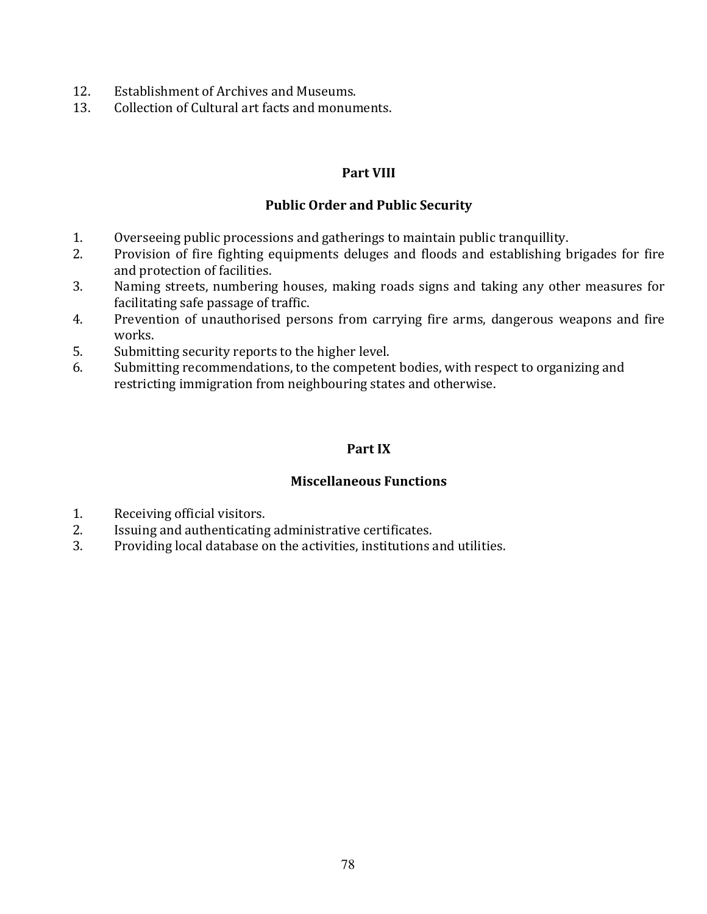- $12.$ Establishment of Archives and Museums.
- $13.$ Collection of Cultural art facts and monuments.

### **Part VIII**

### **Public Order and Public Security**

- $1<sub>1</sub>$ Overseeing public processions and gatherings to maintain public tranquillity.
- $2.$ Provision of fire fighting equipments deluges and floods and establishing brigades for fire and protection of facilities.
- $3.$ Naming streets, numbering houses, making roads signs and taking any other measures for facilitating safe passage of traffic.
- 4. Prevention of unauthorised persons from carrying fire arms, dangerous weapons and fire works.
- 5. Submitting security reports to the higher level.
- Submitting recommendations, to the competent bodies, with respect to organizing and 6. restricting immigration from neighbouring states and otherwise.

### Part IX

### **Miscellaneous Functions**

- 1. Receiving official visitors.
- 2. Issuing and authenticating administrative certificates.
- $\overline{3}$ . Providing local database on the activities, institutions and utilities.